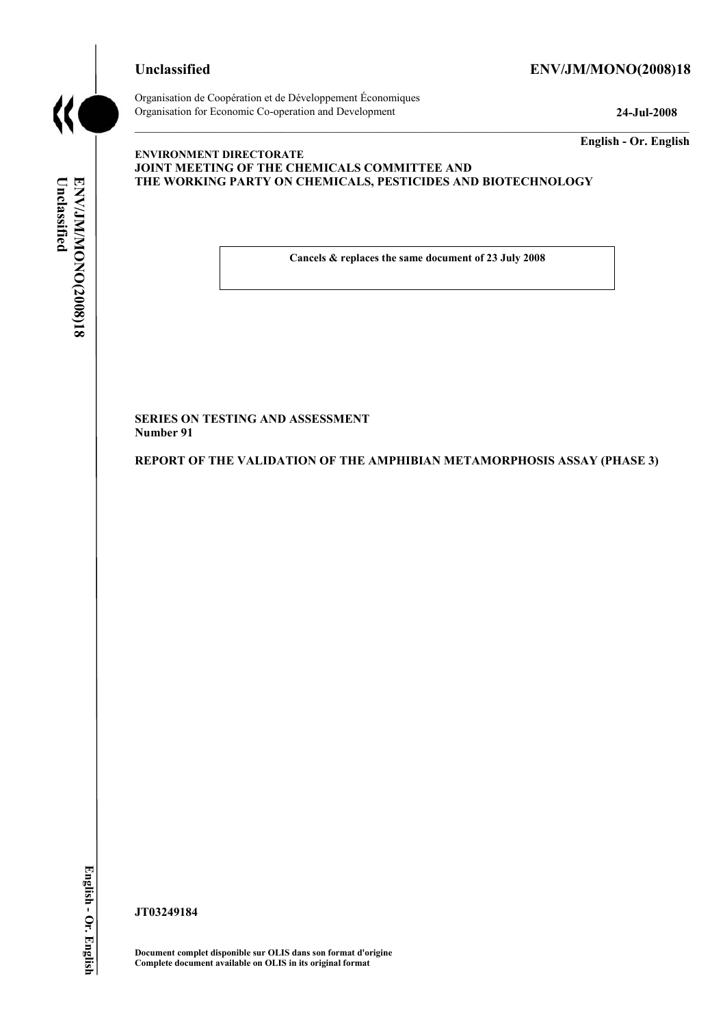

#### **Unclassified ENV/JM/MONO(2008)18**



Organisation de Coopération et de Développement Économiques Organisation for Economic Co-operation and Development **24-Jul-2008** 

**English - Or. English** 

# Unclassified **Unclassified**  ENV/JM/MONOC2008)18 **ENV/JM/MONO(2008)18 English - Or. English**

**ENVIRONMENT DIRECTORATE JOINT MEETING OF THE CHEMICALS COMMITTEE AND THE WORKING PARTY ON CHEMICALS, PESTICIDES AND BIOTECHNOLOGY** 

**Cancels & replaces the same document of 23 July 2008** 

**SERIES ON TESTING AND ASSESSMENT Number 91** 

**REPORT OF THE VALIDATION OF THE AMPHIBIAN METAMORPHOSIS ASSAY (PHASE 3)** 

**JT03249184** 

**Document complet disponible sur OLIS dans son format d'origine Complete document available on OLIS in its original format**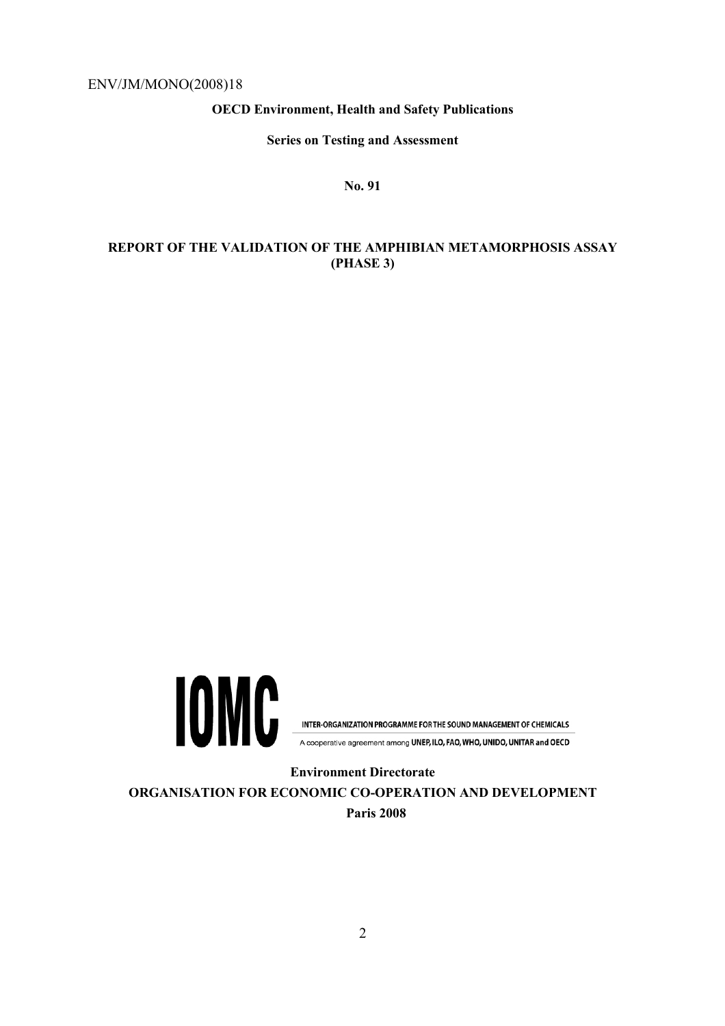**OECD Environment, Health and Safety Publications** 

**Series on Testing and Assessment** 

**No. 91** 

#### **REPORT OF THE VALIDATION OF THE AMPHIBIAN METAMORPHOSIS ASSAY (PHASE 3)**



INTER-ORGANIZATION PROGRAMME FOR THE SOUND MANAGEMENT OF CHEMICALS

A cooperative agreement among UNEP, ILO, FAO, WHO, UNIDO, UNITAR and OECD

**Environment Directorate** 

**ORGANISATION FOR ECONOMIC CO-OPERATION AND DEVELOPMENT Paris 2008**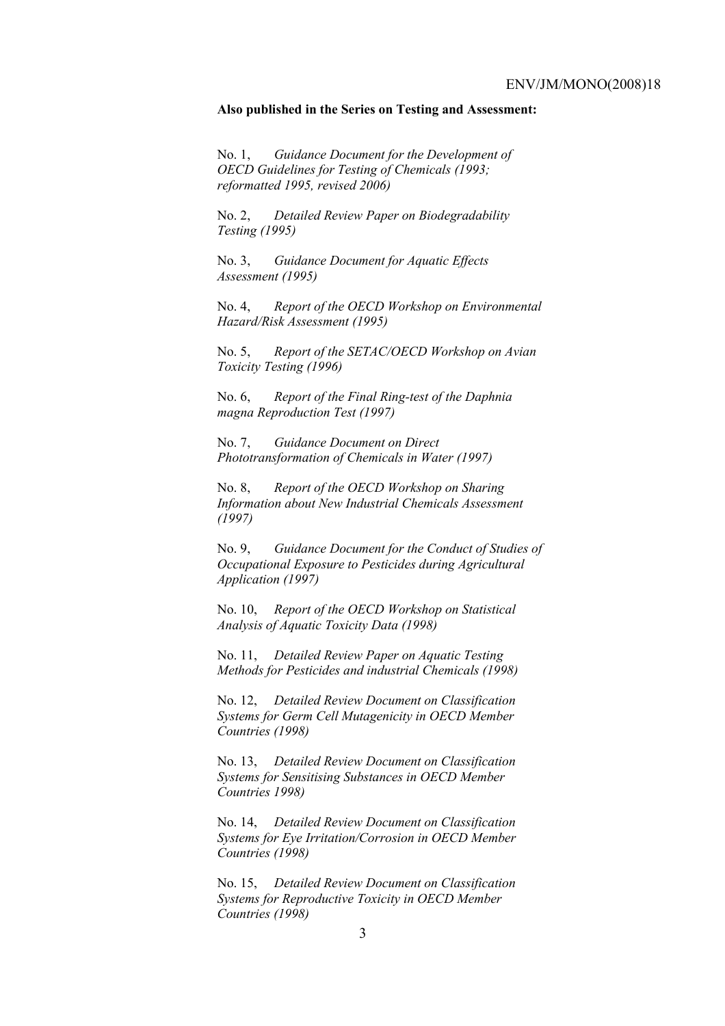#### **Also published in the Series on Testing and Assessment:**

No. 1, *Guidance Document for the Development of OECD Guidelines for Testing of Chemicals (1993; reformatted 1995, revised 2006)*

No. 2, *Detailed Review Paper on Biodegradability Testing (1995)*

No. 3, *Guidance Document for Aquatic Effects Assessment (1995)* 

No. 4, *Report of the OECD Workshop on Environmental Hazard/Risk Assessment (1995)*

No. 5, *Report of the SETAC/OECD Workshop on Avian Toxicity Testing (1996)*

No. 6, *Report of the Final Ring-test of the Daphnia magna Reproduction Test (1997)*

No. 7, *Guidance Document on Direct Phototransformation of Chemicals in Water (1997)* 

No. 8, *Report of the OECD Workshop on Sharing Information about New Industrial Chemicals Assessment (1997)*

No. 9, *Guidance Document for the Conduct of Studies of Occupational Exposure to Pesticides during Agricultural Application (1997)*

No. 10, *Report of the OECD Workshop on Statistical Analysis of Aquatic Toxicity Data (1998)*

No. 11, *Detailed Review Paper on Aquatic Testing Methods for Pesticides and industrial Chemicals (1998)*

No. 12, *Detailed Review Document on Classification Systems for Germ Cell Mutagenicity in OECD Member Countries (1998)*

No. 13, *Detailed Review Document on Classification Systems for Sensitising Substances in OECD Member Countries 1998)*

No. 14, *Detailed Review Document on Classification Systems for Eye Irritation/Corrosion in OECD Member Countries (1998)*

No. 15, *Detailed Review Document on Classification Systems for Reproductive Toxicity in OECD Member Countries (1998)*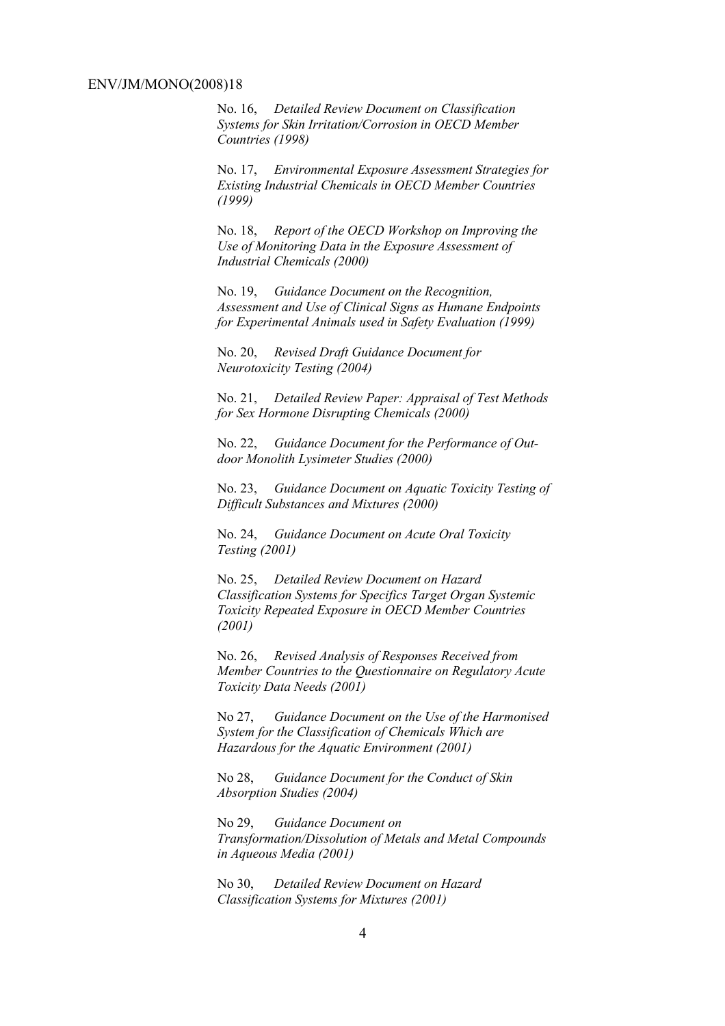No. 16, *Detailed Review Document on Classification Systems for Skin Irritation/Corrosion in OECD Member Countries (1998)*

No. 17, *Environmental Exposure Assessment Strategies for Existing Industrial Chemicals in OECD Member Countries (1999)*

No. 18, *Report of the OECD Workshop on Improving the Use of Monitoring Data in the Exposure Assessment of Industrial Chemicals (2000)*

No. 19, *Guidance Document on the Recognition, Assessment and Use of Clinical Signs as Humane Endpoints for Experimental Animals used in Safety Evaluation (1999)*

No. 20, *Revised Draft Guidance Document for Neurotoxicity Testing (2004)*

No. 21, *Detailed Review Paper: Appraisal of Test Methods for Sex Hormone Disrupting Chemicals (2000)*

No. 22, *Guidance Document for the Performance of Outdoor Monolith Lysimeter Studies (2000)*

No. 23, *Guidance Document on Aquatic Toxicity Testing of Difficult Substances and Mixtures (2000)*

No. 24, *Guidance Document on Acute Oral Toxicity Testing (2001)*

No. 25, *Detailed Review Document on Hazard Classification Systems for Specifics Target Organ Systemic Toxicity Repeated Exposure in OECD Member Countries (2001)*

No. 26, *Revised Analysis of Responses Received from Member Countries to the Questionnaire on Regulatory Acute Toxicity Data Needs (2001)*

No 27, *Guidance Document on the Use of the Harmonised System for the Classification of Chemicals Which are Hazardous for the Aquatic Environment (2001)*

No 28, *Guidance Document for the Conduct of Skin Absorption Studies (2004)*

No 29, *Guidance Document on Transformation/Dissolution of Metals and Metal Compounds in Aqueous Media (2001)*

No 30, *Detailed Review Document on Hazard Classification Systems for Mixtures (2001)*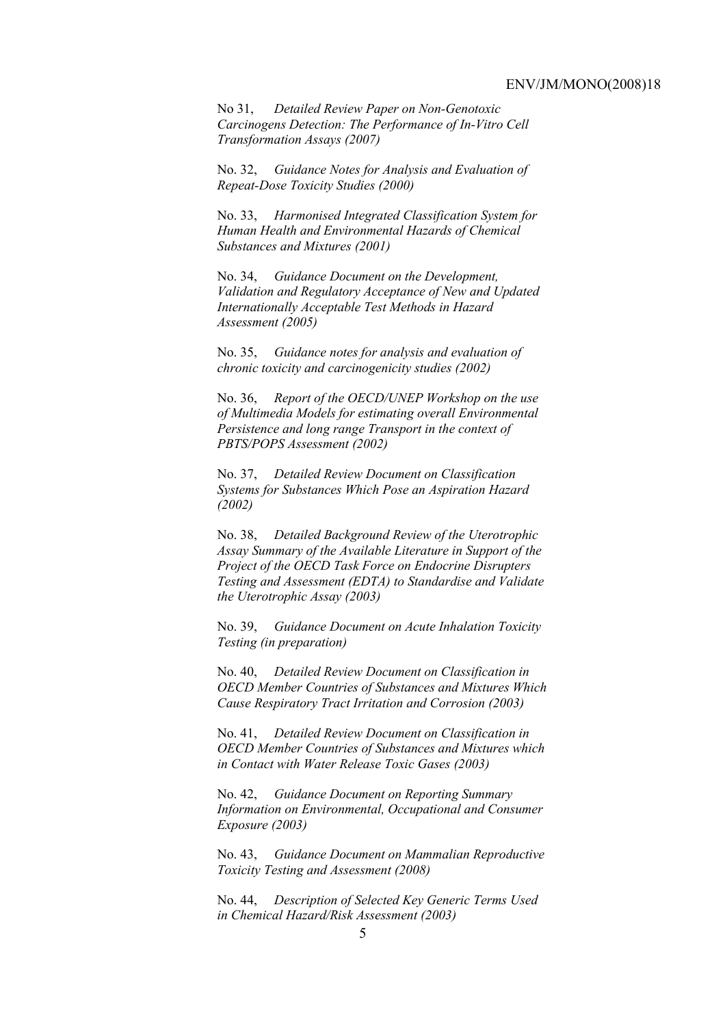No 31, *Detailed Review Paper on Non-Genotoxic Carcinogens Detection: The Performance of In-Vitro Cell Transformation Assays (2007)* 

No. 32, *Guidance Notes for Analysis and Evaluation of Repeat-Dose Toxicity Studies (2000)*

No. 33, *Harmonised Integrated Classification System for Human Health and Environmental Hazards of Chemical Substances and Mixtures (2001)*

No. 34, *Guidance Document on the Development, Validation and Regulatory Acceptance of New and Updated Internationally Acceptable Test Methods in Hazard Assessment (2005)*

No. 35, *Guidance notes for analysis and evaluation of chronic toxicity and carcinogenicity studies (2002)*

No. 36, *Report of the OECD/UNEP Workshop on the use of Multimedia Models for estimating overall Environmental Persistence and long range Transport in the context of PBTS/POPS Assessment (2002)*

No. 37, *Detailed Review Document on Classification Systems for Substances Which Pose an Aspiration Hazard (2002)*

No. 38, *Detailed Background Review of the Uterotrophic Assay Summary of the Available Literature in Support of the Project of the OECD Task Force on Endocrine Disrupters Testing and Assessment (EDTA) to Standardise and Validate the Uterotrophic Assay (2003)*

No. 39, *Guidance Document on Acute Inhalation Toxicity Testing (in preparation)*

No. 40, *Detailed Review Document on Classification in OECD Member Countries of Substances and Mixtures Which Cause Respiratory Tract Irritation and Corrosion (2003)*

No. 41, *Detailed Review Document on Classification in OECD Member Countries of Substances and Mixtures which in Contact with Water Release Toxic Gases (2003)*

No. 42, *Guidance Document on Reporting Summary Information on Environmental, Occupational and Consumer Exposure (2003)*

No. 43, *Guidance Document on Mammalian Reproductive Toxicity Testing and Assessment (2008)*

No. 44, *Description of Selected Key Generic Terms Used in Chemical Hazard/Risk Assessment (2003)*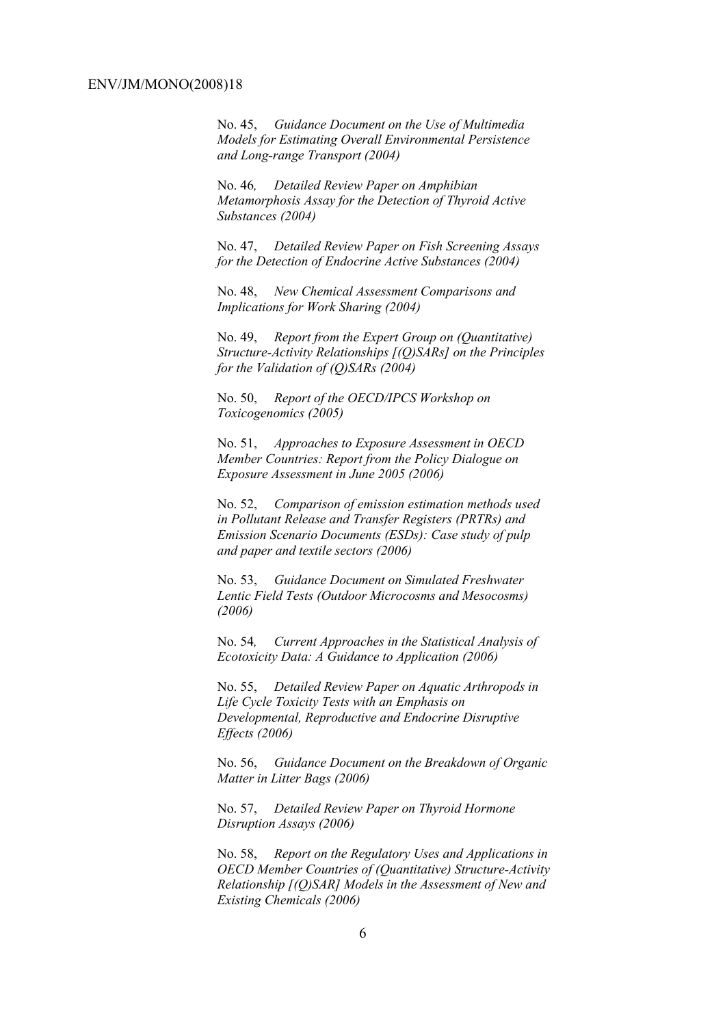No. 45, *Guidance Document on the Use of Multimedia Models for Estimating Overall Environmental Persistence and Long-range Transport (2004)*

No. 46*, Detailed Review Paper on Amphibian Metamorphosis Assay for the Detection of Thyroid Active Substances (2004)* 

No. 47, *Detailed Review Paper on Fish Screening Assays for the Detection of Endocrine Active Substances (2004)* 

No. 48, *New Chemical Assessment Comparisons and Implications for Work Sharing (2004)* 

No. 49, *Report from the Expert Group on (Quantitative) Structure-Activity Relationships [(Q)SARs] on the Principles for the Validation of (Q)SARs (2004)* 

No. 50, *Report of the OECD/IPCS Workshop on Toxicogenomics (2005)* 

No. 51, *Approaches to Exposure Assessment in OECD Member Countries: Report from the Policy Dialogue on Exposure Assessment in June 2005 (2006)* 

No. 52, *Comparison of emission estimation methods used in Pollutant Release and Transfer Registers (PRTRs) and Emission Scenario Documents (ESDs): Case study of pulp and paper and textile sectors (2006)* 

No. 53, *Guidance Document on Simulated Freshwater Lentic Field Tests (Outdoor Microcosms and Mesocosms) (2006)* 

No. 54*, Current Approaches in the Statistical Analysis of Ecotoxicity Data: A Guidance to Application (2006)* 

No. 55, *Detailed Review Paper on Aquatic Arthropods in Life Cycle Toxicity Tests with an Emphasis on Developmental, Reproductive and Endocrine Disruptive Effects (2006)* 

No. 56, *Guidance Document on the Breakdown of Organic Matter in Litter Bags (2006)* 

No. 57, *Detailed Review Paper on Thyroid Hormone Disruption Assays (2006)* 

No. 58, *Report on the Regulatory Uses and Applications in OECD Member Countries of (Quantitative) Structure-Activity Relationship [(Q)SAR] Models in the Assessment of New and Existing Chemicals (2006)*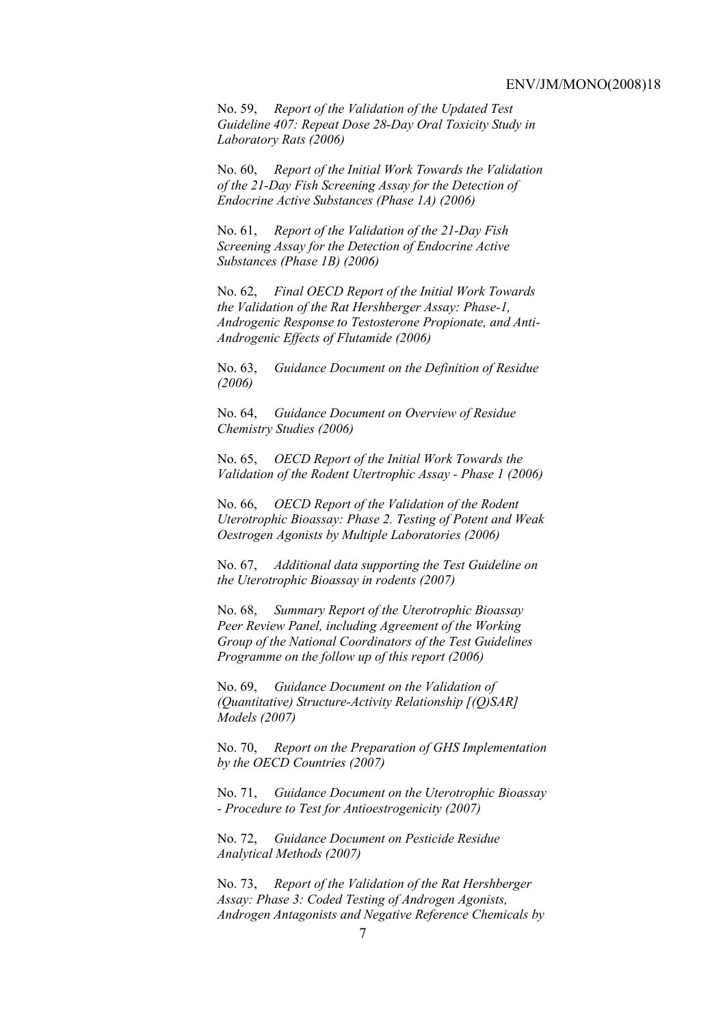No. 59, *Report of the Validation of the Updated Test Guideline 407: Repeat Dose 28-Day Oral Toxicity Study in Laboratory Rats (2006)* 

No. 60, *Report of the Initial Work Towards the Validation of the 21-Day Fish Screening Assay for the Detection of Endocrine Active Substances (Phase 1A) (2006)* 

No. 61, *Report of the Validation of the 21-Day Fish Screening Assay for the Detection of Endocrine Active Substances (Phase 1B) (2006)* 

No. 62, *Final OECD Report of the Initial Work Towards the Validation of the Rat Hershberger Assay: Phase-1, Androgenic Response to Testosterone Propionate, and Anti-Androgenic Effects of Flutamide (2006)* 

No. 63, *Guidance Document on the Definition of Residue (2006)* 

No. 64, *Guidance Document on Overview of Residue Chemistry Studies (2006)* 

No. 65, *OECD Report of the Initial Work Towards the Validation of the Rodent Utertrophic Assay - Phase 1 (2006)* 

No. 66, *OECD Report of the Validation of the Rodent Uterotrophic Bioassay: Phase 2. Testing of Potent and Weak Oestrogen Agonists by Multiple Laboratories (2006)* 

No. 67, *Additional data supporting the Test Guideline on the Uterotrophic Bioassay in rodents (2007)* 

No. 68, *Summary Report of the Uterotrophic Bioassay Peer Review Panel, including Agreement of the Working Group of the National Coordinators of the Test Guidelines Programme on the follow up of this report (2006)* 

No. 69, *Guidance Document on the Validation of (Quantitative) Structure-Activity Relationship [(Q)SAR] Models (2007)* 

No. 70, *Report on the Preparation of GHS Implementation by the OECD Countries (2007)*

No. 71, *Guidance Document on the Uterotrophic Bioassay - Procedure to Test for Antioestrogenicity (2007)*

No. 72, *Guidance Document on Pesticide Residue Analytical Methods (2007)* 

No. 73, *Report of the Validation of the Rat Hershberger Assay: Phase 3: Coded Testing of Androgen Agonists, Androgen Antagonists and Negative Reference Chemicals by*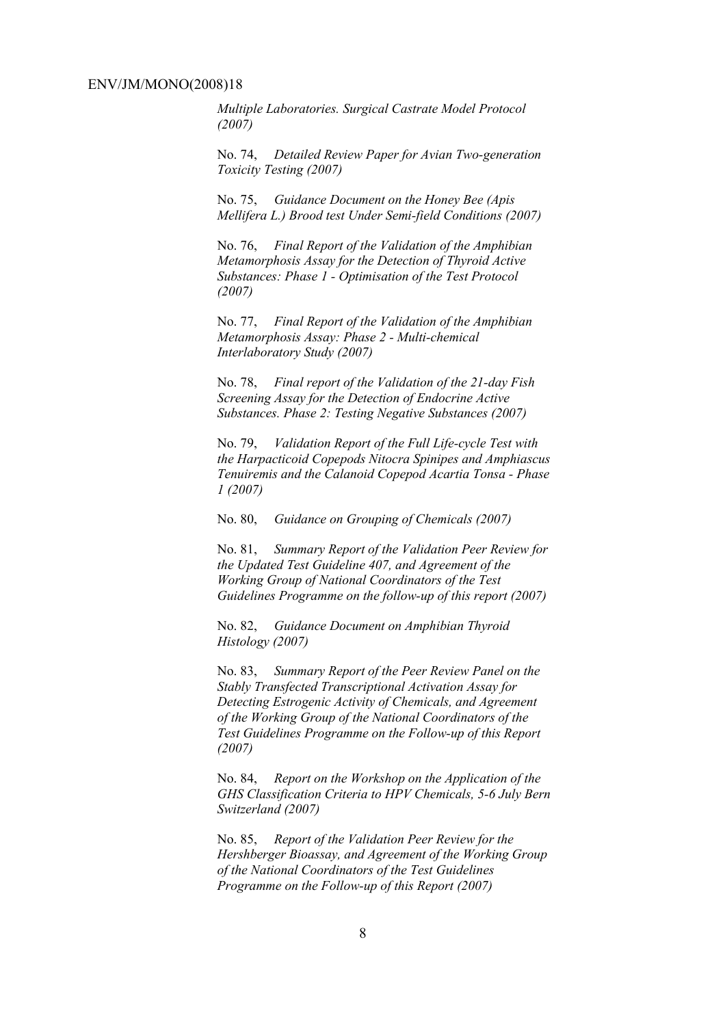*Multiple Laboratories. Surgical Castrate Model Protocol (2007)* 

No. 74, *Detailed Review Paper for Avian Two-generation Toxicity Testing (2007)*

No. 75, *Guidance Document on the Honey Bee (Apis Mellifera L.) Brood test Under Semi-field Conditions (2007)* 

No. 76, *Final Report of the Validation of the Amphibian Metamorphosis Assay for the Detection of Thyroid Active Substances: Phase 1 - Optimisation of the Test Protocol (2007)* 

No. 77, *Final Report of the Validation of the Amphibian Metamorphosis Assay: Phase 2 - Multi-chemical Interlaboratory Study (2007)* 

No. 78, *Final report of the Validation of the 21-day Fish Screening Assay for the Detection of Endocrine Active Substances. Phase 2: Testing Negative Substances (2007)* 

No. 79, *Validation Report of the Full Life-cycle Test with the Harpacticoid Copepods Nitocra Spinipes and Amphiascus Tenuiremis and the Calanoid Copepod Acartia Tonsa - Phase 1 (2007)* 

No. 80, *Guidance on Grouping of Chemicals (2007)* 

No. 81, *Summary Report of the Validation Peer Review for the Updated Test Guideline 407, and Agreement of the Working Group of National Coordinators of the Test Guidelines Programme on the follow-up of this report (2007)* 

No. 82, *Guidance Document on Amphibian Thyroid Histology (2007)* 

No. 83, *Summary Report of the Peer Review Panel on the Stably Transfected Transcriptional Activation Assay for Detecting Estrogenic Activity of Chemicals, and Agreement of the Working Group of the National Coordinators of the Test Guidelines Programme on the Follow-up of this Report (2007)* 

No. 84, *Report on the Workshop on the Application of the GHS Classification Criteria to HPV Chemicals, 5-6 July Bern Switzerland (2007)* 

No. 85, *Report of the Validation Peer Review for the Hershberger Bioassay, and Agreement of the Working Group of the National Coordinators of the Test Guidelines Programme on the Follow-up of this Report (2007)*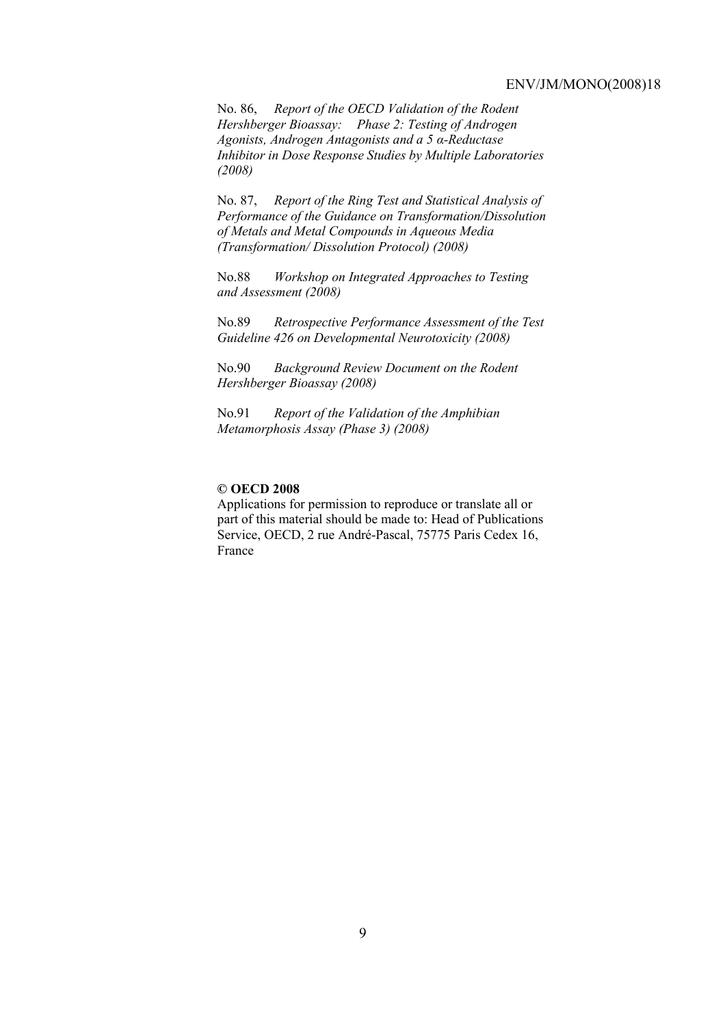No. 86, *Report of the OECD Validation of the Rodent Hershberger Bioassay: Phase 2: Testing of Androgen Agonists, Androgen Antagonists and a 5 α-Reductase Inhibitor in Dose Response Studies by Multiple Laboratories (2008)*

No. 87, *Report of the Ring Test and Statistical Analysis of Performance of the Guidance on Transformation/Dissolution of Metals and Metal Compounds in Aqueous Media (Transformation/ Dissolution Protocol) (2008)*

No.88 *Workshop on Integrated Approaches to Testing and Assessment (2008)* 

No.89 *Retrospective Performance Assessment of the Test Guideline 426 on Developmental Neurotoxicity (2008)* 

No.90 *Background Review Document on the Rodent Hershberger Bioassay (2008)* 

No.91 *Report of the Validation of the Amphibian Metamorphosis Assay (Phase 3) (2008)* 

#### **© OECD 2008**

Applications for permission to reproduce or translate all or part of this material should be made to: Head of Publications Service, OECD, 2 rue André-Pascal, 75775 Paris Cedex 16, France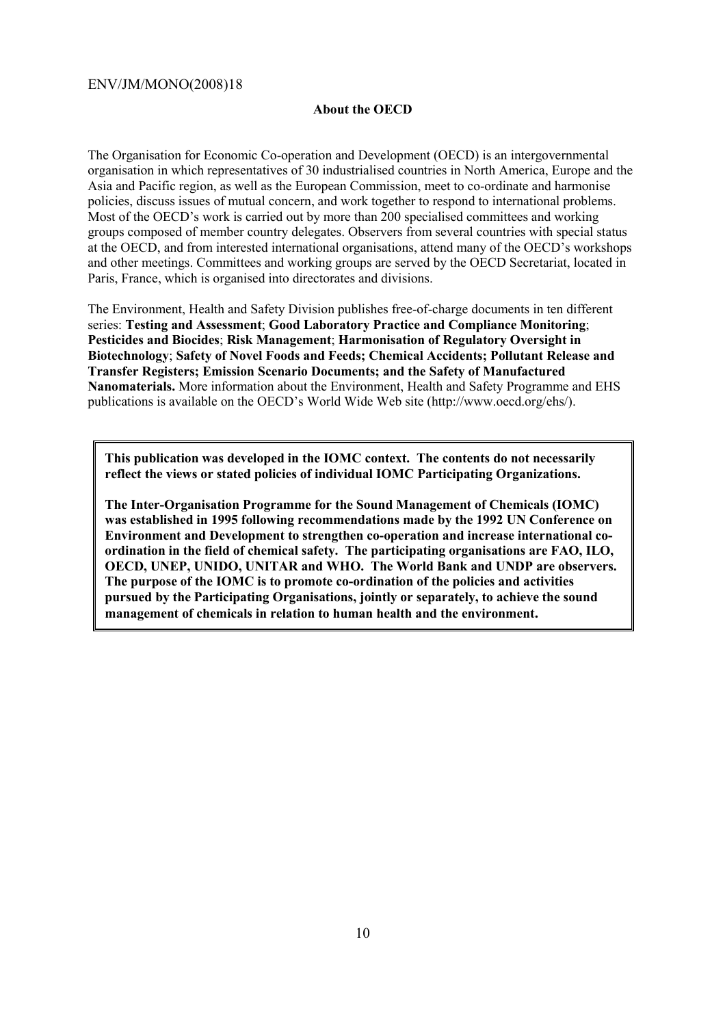#### **About the OECD**

The Organisation for Economic Co-operation and Development (OECD) is an intergovernmental organisation in which representatives of 30 industrialised countries in North America, Europe and the Asia and Pacific region, as well as the European Commission, meet to co-ordinate and harmonise policies, discuss issues of mutual concern, and work together to respond to international problems. Most of the OECD's work is carried out by more than 200 specialised committees and working groups composed of member country delegates. Observers from several countries with special status at the OECD, and from interested international organisations, attend many of the OECD's workshops and other meetings. Committees and working groups are served by the OECD Secretariat, located in Paris, France, which is organised into directorates and divisions.

The Environment, Health and Safety Division publishes free-of-charge documents in ten different series: **Testing and Assessment**; **Good Laboratory Practice and Compliance Monitoring**; **Pesticides and Biocides**; **Risk Management**; **Harmonisation of Regulatory Oversight in Biotechnology**; **Safety of Novel Foods and Feeds; Chemical Accidents; Pollutant Release and Transfer Registers; Emission Scenario Documents; and the Safety of Manufactured Nanomaterials.** More information about the Environment, Health and Safety Programme and EHS publications is available on the OECD's World Wide Web site (http://www.oecd.org/ehs/).

**This publication was developed in the IOMC context. The contents do not necessarily reflect the views or stated policies of individual IOMC Participating Organizations.** 

**The Inter-Organisation Programme for the Sound Management of Chemicals (IOMC) was established in 1995 following recommendations made by the 1992 UN Conference on Environment and Development to strengthen co-operation and increase international coordination in the field of chemical safety. The participating organisations are FAO, ILO, OECD, UNEP, UNIDO, UNITAR and WHO. The World Bank and UNDP are observers. The purpose of the IOMC is to promote co-ordination of the policies and activities pursued by the Participating Organisations, jointly or separately, to achieve the sound management of chemicals in relation to human health and the environment.**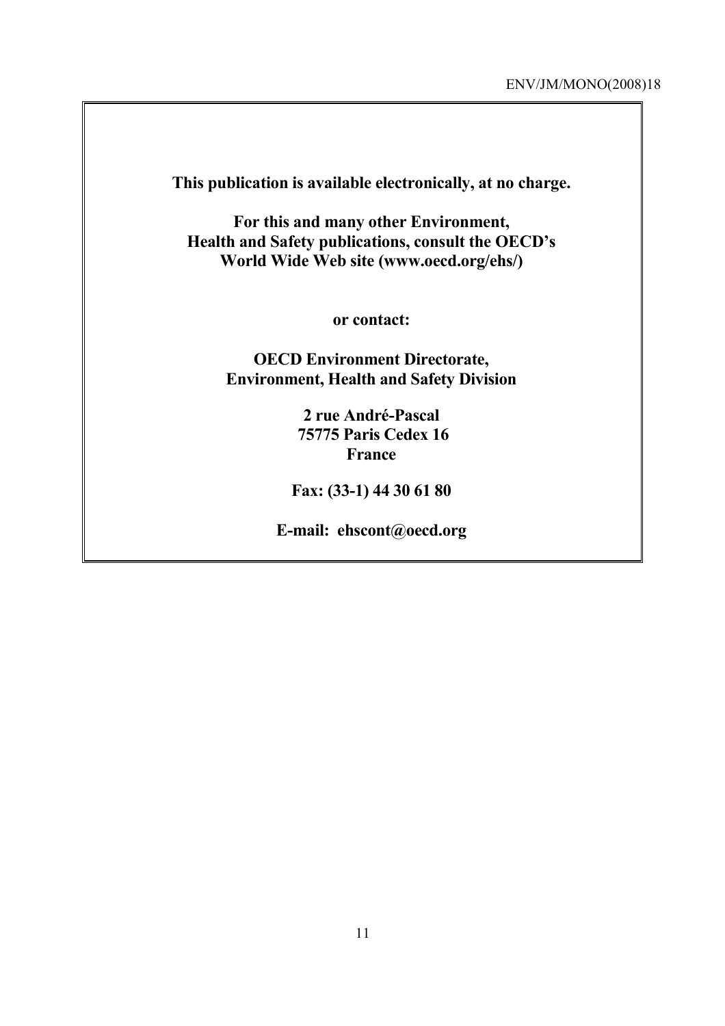**This publication is available electronically, at no charge.** 

**For this and many other Environment, Health and Safety publications, consult the OECD's World Wide Web site (www.oecd.org/ehs/)** 

**or contact:** 

**OECD Environment Directorate, Environment, Health and Safety Division**

> **2 rue André-Pascal 75775 Paris Cedex 16 France**

**Fax: (33-1) 44 30 61 80** 

**E-mail: ehscont@oecd.org**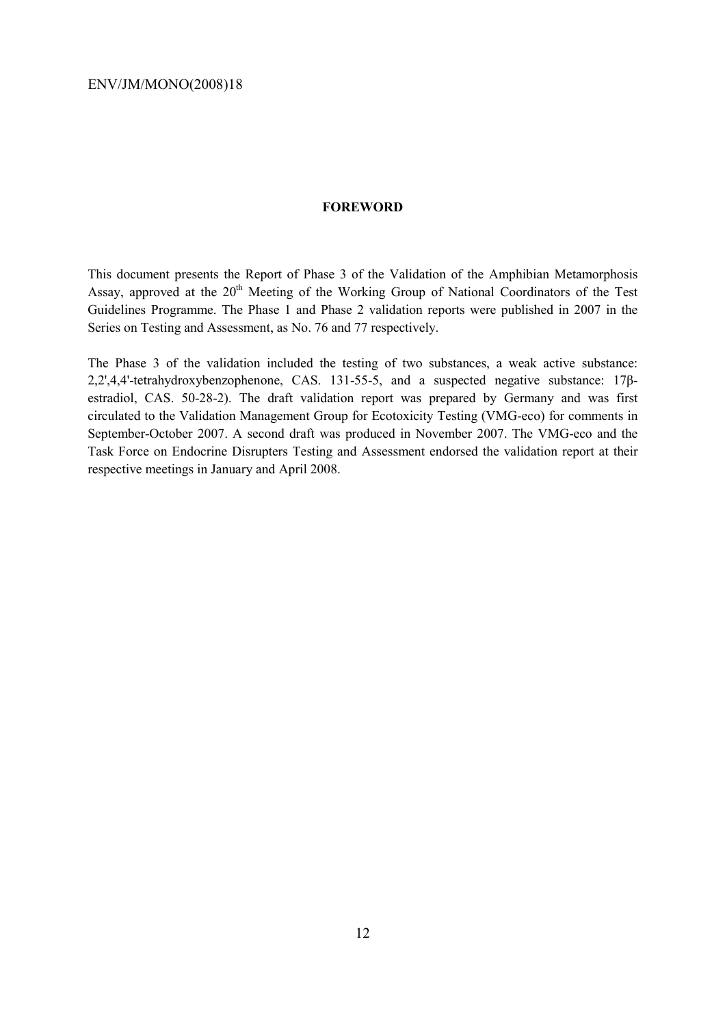#### **FOREWORD**

This document presents the Report of Phase 3 of the Validation of the Amphibian Metamorphosis Assay, approved at the  $20<sup>th</sup>$  Meeting of the Working Group of National Coordinators of the Test Guidelines Programme. The Phase 1 and Phase 2 validation reports were published in 2007 in the Series on Testing and Assessment, as No. 76 and 77 respectively.

The Phase 3 of the validation included the testing of two substances, a weak active substance: 2,2',4,4'-tetrahydroxybenzophenone, CAS. 131-55-5, and a suspected negative substance: 17βestradiol, CAS. 50-28-2). The draft validation report was prepared by Germany and was first circulated to the Validation Management Group for Ecotoxicity Testing (VMG-eco) for comments in September-October 2007. A second draft was produced in November 2007. The VMG-eco and the Task Force on Endocrine Disrupters Testing and Assessment endorsed the validation report at their respective meetings in January and April 2008.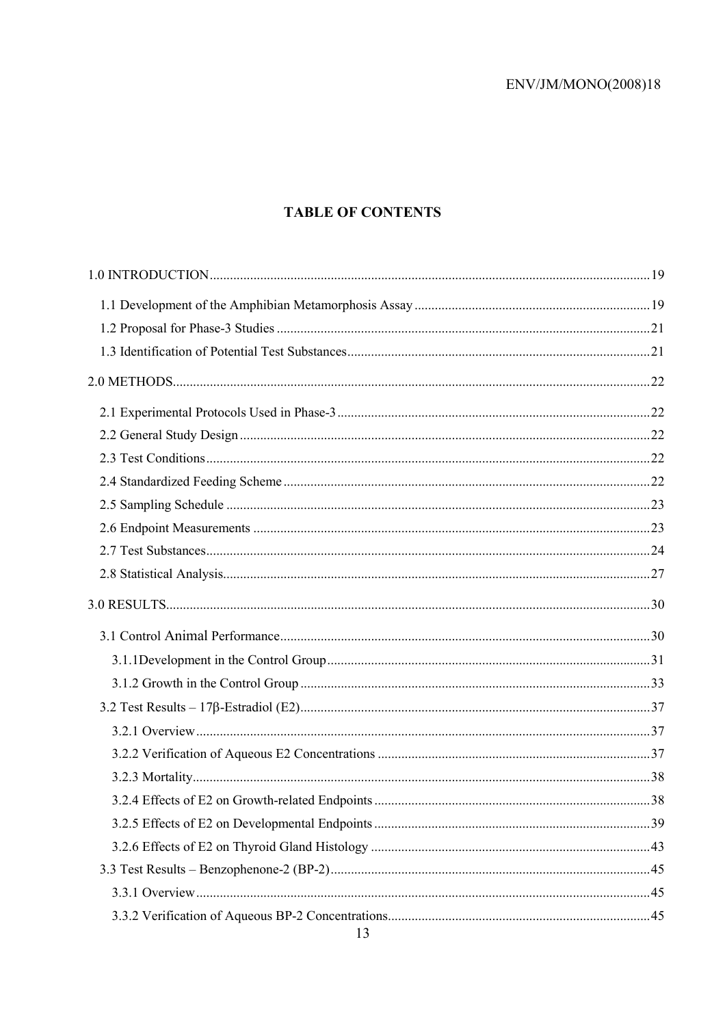# **TABLE OF CONTENTS**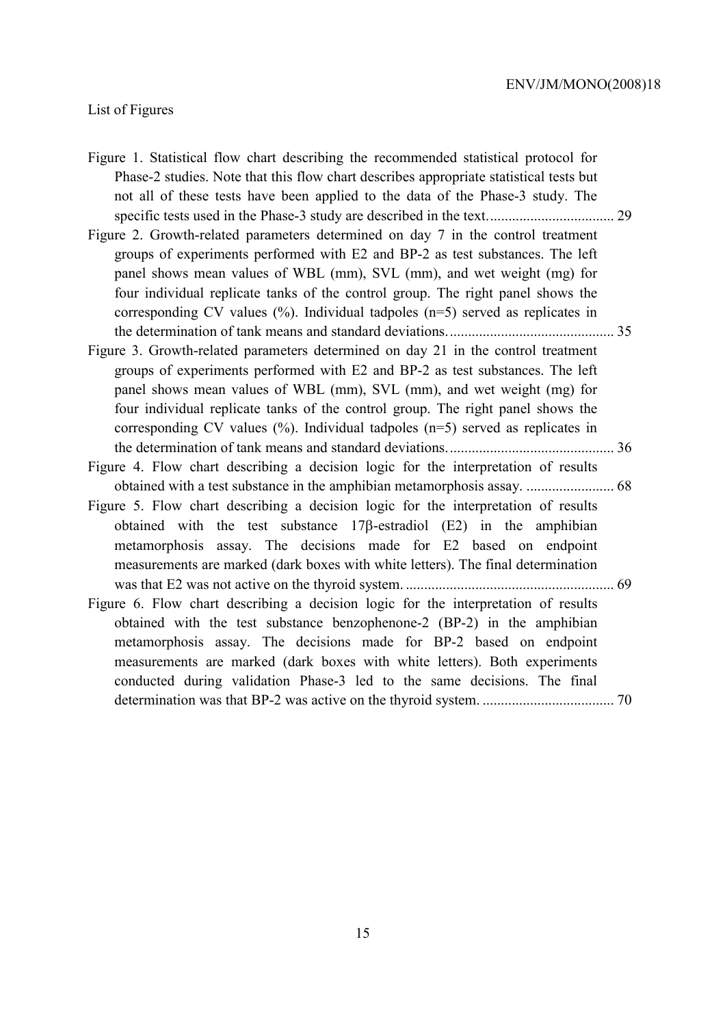# List of Figures

| Figure 1. Statistical flow chart describing the recommended statistical protocol for        |  |
|---------------------------------------------------------------------------------------------|--|
| Phase-2 studies. Note that this flow chart describes appropriate statistical tests but      |  |
| not all of these tests have been applied to the data of the Phase-3 study. The              |  |
|                                                                                             |  |
| Figure 2. Growth-related parameters determined on day 7 in the control treatment            |  |
| groups of experiments performed with E2 and BP-2 as test substances. The left               |  |
| panel shows mean values of WBL (mm), SVL (mm), and wet weight (mg) for                      |  |
| four individual replicate tanks of the control group. The right panel shows the             |  |
| corresponding CV values $\frac{6}{6}$ . Individual tadpoles $(n=5)$ served as replicates in |  |
|                                                                                             |  |
| Figure 3. Growth-related parameters determined on day 21 in the control treatment           |  |
| groups of experiments performed with E2 and BP-2 as test substances. The left               |  |
| panel shows mean values of WBL (mm), SVL (mm), and wet weight (mg) for                      |  |
| four individual replicate tanks of the control group. The right panel shows the             |  |
| corresponding CV values $\frac{6}{6}$ . Individual tadpoles $(n=5)$ served as replicates in |  |
|                                                                                             |  |
| Figure 4. Flow chart describing a decision logic for the interpretation of results          |  |
|                                                                                             |  |
| Figure 5. Flow chart describing a decision logic for the interpretation of results          |  |
| obtained with the test substance $17\beta$ -estradiol (E2) in the amphibian                 |  |
| metamorphosis assay. The decisions made for E2 based on endpoint                            |  |
| measurements are marked (dark boxes with white letters). The final determination            |  |
|                                                                                             |  |
| Figure 6. Flow chart describing a decision logic for the interpretation of results          |  |
| obtained with the test substance benzophenone-2 (BP-2) in the amphibian                     |  |
| metamorphosis assay. The decisions made for BP-2 based on endpoint                          |  |
| measurements are marked (dark boxes with white letters). Both experiments                   |  |
| conducted during validation Phase-3 led to the same decisions. The final                    |  |
|                                                                                             |  |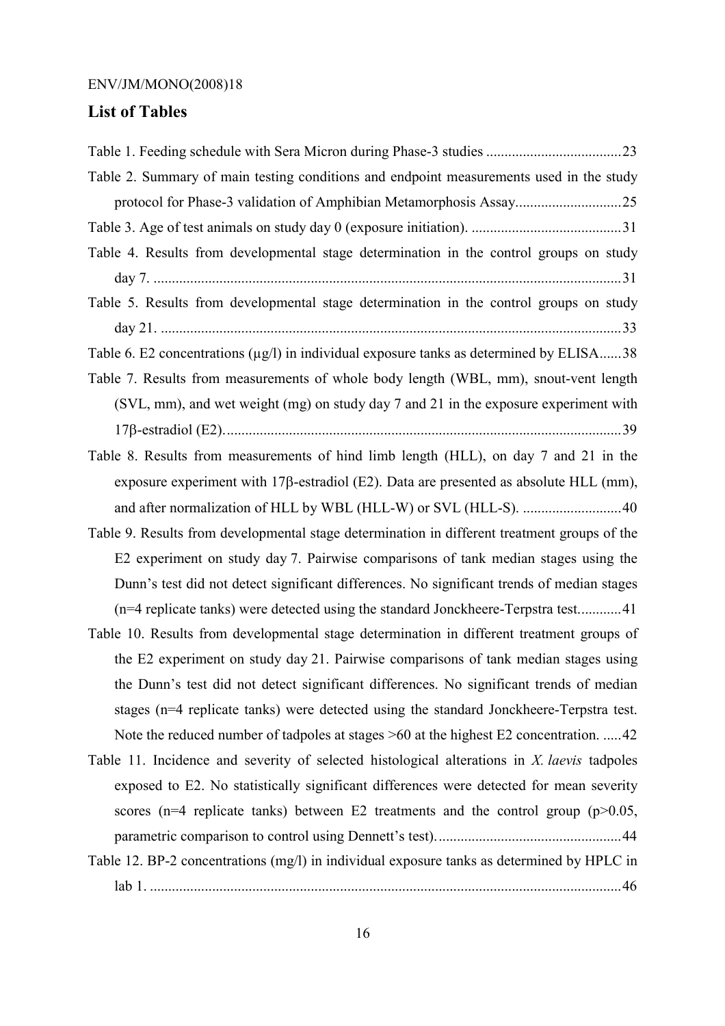# **List of Tables**

| Table 2. Summary of main testing conditions and endpoint measurements used in the study      |
|----------------------------------------------------------------------------------------------|
|                                                                                              |
|                                                                                              |
| Table 4. Results from developmental stage determination in the control groups on study       |
|                                                                                              |
| Table 5. Results from developmental stage determination in the control groups on study       |
|                                                                                              |
| Table 6. E2 concentrations (µg/l) in individual exposure tanks as determined by ELISA38      |
| Table 7. Results from measurements of whole body length (WBL, mm), snout-vent length         |
| (SVL, mm), and wet weight (mg) on study day 7 and 21 in the exposure experiment with         |
|                                                                                              |
| Table 8. Results from measurements of hind limb length (HLL), on day 7 and 21 in the         |
| exposure experiment with $17\beta$ -estradiol (E2). Data are presented as absolute HLL (mm), |
|                                                                                              |
| Table 9. Results from developmental stage determination in different treatment groups of the |
| E2 experiment on study day 7. Pairwise comparisons of tank median stages using the           |
| Dunn's test did not detect significant differences. No significant trends of median stages   |
| (n=4 replicate tanks) were detected using the standard Jonckheere-Terpstra test41            |
| Table 10. Results from developmental stage determination in different treatment groups of    |
| the E2 experiment on study day 21. Pairwise comparisons of tank median stages using          |
| the Dunn's test did not detect significant differences. No significant trends of median      |
| stages (n=4 replicate tanks) were detected using the standard Jonckheere-Terpstra test.      |
| Note the reduced number of tadpoles at stages >60 at the highest E2 concentration. 42        |
| Table 11. Incidence and severity of selected histological alterations in X. laevis tadpoles  |
| exposed to E2. No statistically significant differences were detected for mean severity      |
| scores ( $n=4$ replicate tanks) between E2 treatments and the control group ( $p>0.05$ ,     |
|                                                                                              |
| Table 12. BP-2 concentrations (mg/l) in individual exposure tanks as determined by HPLC in   |
|                                                                                              |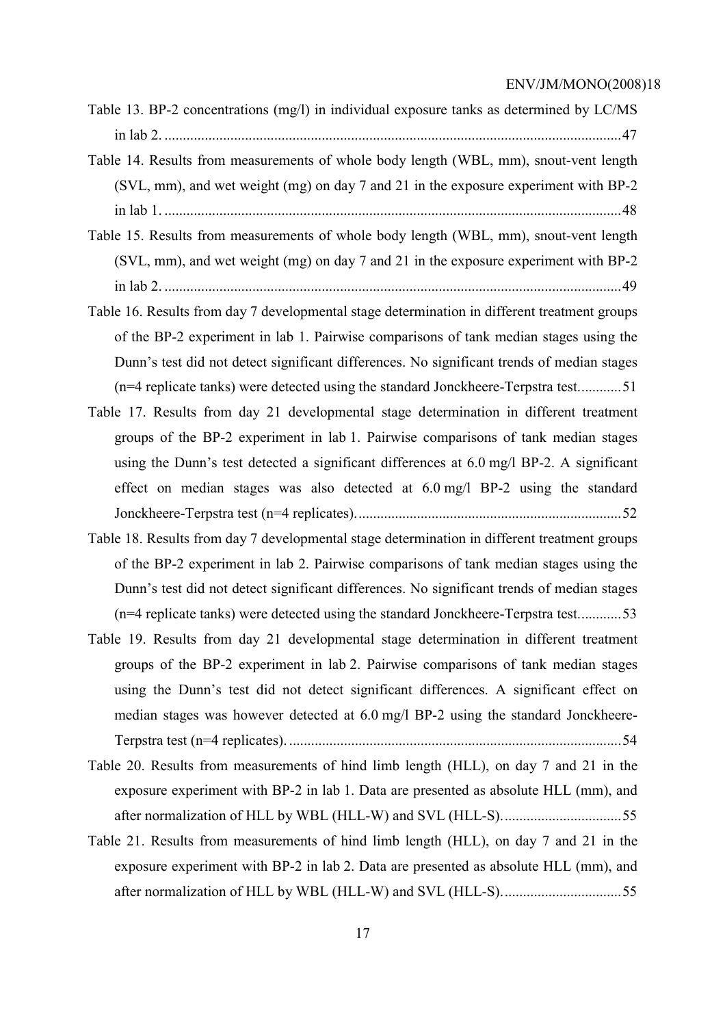Table 13. BP-2 concentrations (mg/l) in individual exposure tanks as determined by LC/MS in lab 2. ............................................................................................................................. 47

Table 14. Results from measurements of whole body length (WBL, mm), snout-vent length (SVL, mm), and wet weight (mg) on day 7 and 21 in the exposure experiment with BP-2 in lab 1. ............................................................................................................................. 48

Table 15. Results from measurements of whole body length (WBL, mm), snout-vent length (SVL, mm), and wet weight (mg) on day 7 and 21 in the exposure experiment with BP-2 in lab 2. ............................................................................................................................. 49

- Table 16. Results from day 7 developmental stage determination in different treatment groups of the BP-2 experiment in lab 1. Pairwise comparisons of tank median stages using the Dunn's test did not detect significant differences. No significant trends of median stages (n=4 replicate tanks) were detected using the standard Jonckheere-Terpstra test. ........... 51
- Table 17. Results from day 21 developmental stage determination in different treatment groups of the BP-2 experiment in lab 1. Pairwise comparisons of tank median stages using the Dunn's test detected a significant differences at 6.0 mg/l BP-2. A significant effect on median stages was also detected at 6.0 mg/l BP-2 using the standard Jonckheere-Terpstra test (n=4 replicates). ........................................................................ 52
- Table 18. Results from day 7 developmental stage determination in different treatment groups of the BP-2 experiment in lab 2. Pairwise comparisons of tank median stages using the Dunn's test did not detect significant differences. No significant trends of median stages (n=4 replicate tanks) were detected using the standard Jonckheere-Terpstra test. ........... 53
- Table 19. Results from day 21 developmental stage determination in different treatment groups of the BP-2 experiment in lab 2. Pairwise comparisons of tank median stages using the Dunn's test did not detect significant differences. A significant effect on median stages was however detected at 6.0 mg/l BP-2 using the standard Jonckheere-Terpstra test (n=4 replicates). ........................................................................................... 54
- Table 20. Results from measurements of hind limb length (HLL), on day 7 and 21 in the exposure experiment with BP-2 in lab 1. Data are presented as absolute HLL (mm), and after normalization of HLL by WBL (HLL-W) and SVL (HLL-S). ................................ 55
- Table 21. Results from measurements of hind limb length (HLL), on day 7 and 21 in the exposure experiment with BP-2 in lab 2. Data are presented as absolute HLL (mm), and after normalization of HLL by WBL (HLL-W) and SVL (HLL-S). ................................ 55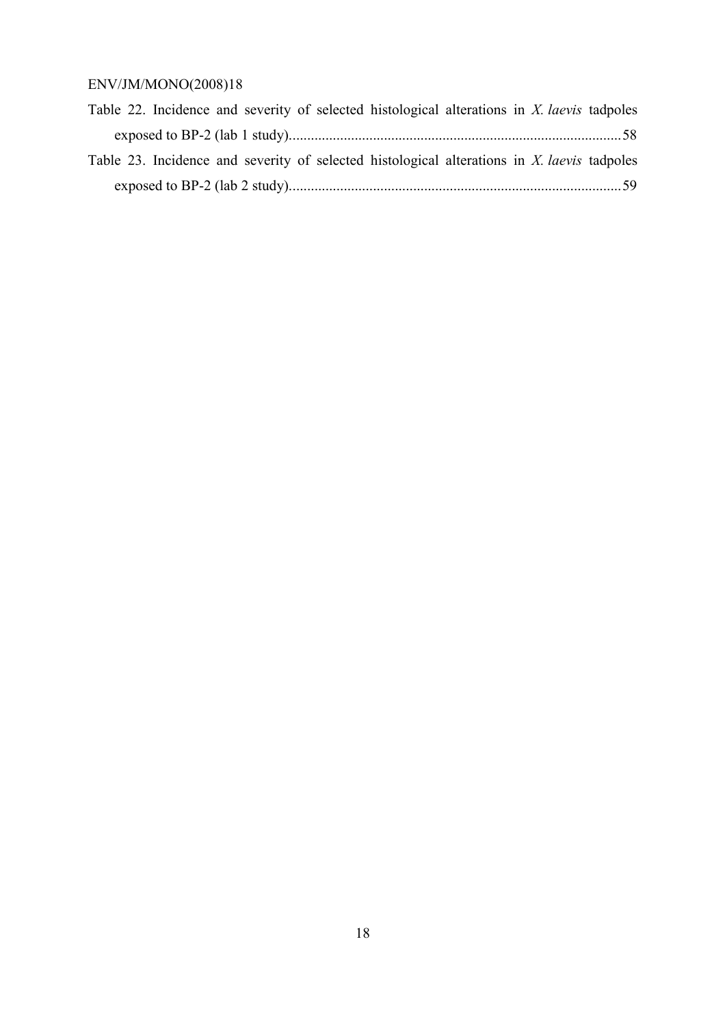| Table 22. Incidence and severity of selected histological alterations in X. laevis tadpoles |  |  |  |  |
|---------------------------------------------------------------------------------------------|--|--|--|--|
|                                                                                             |  |  |  |  |
| Table 23. Incidence and severity of selected histological alterations in X. laevis tadpoles |  |  |  |  |
|                                                                                             |  |  |  |  |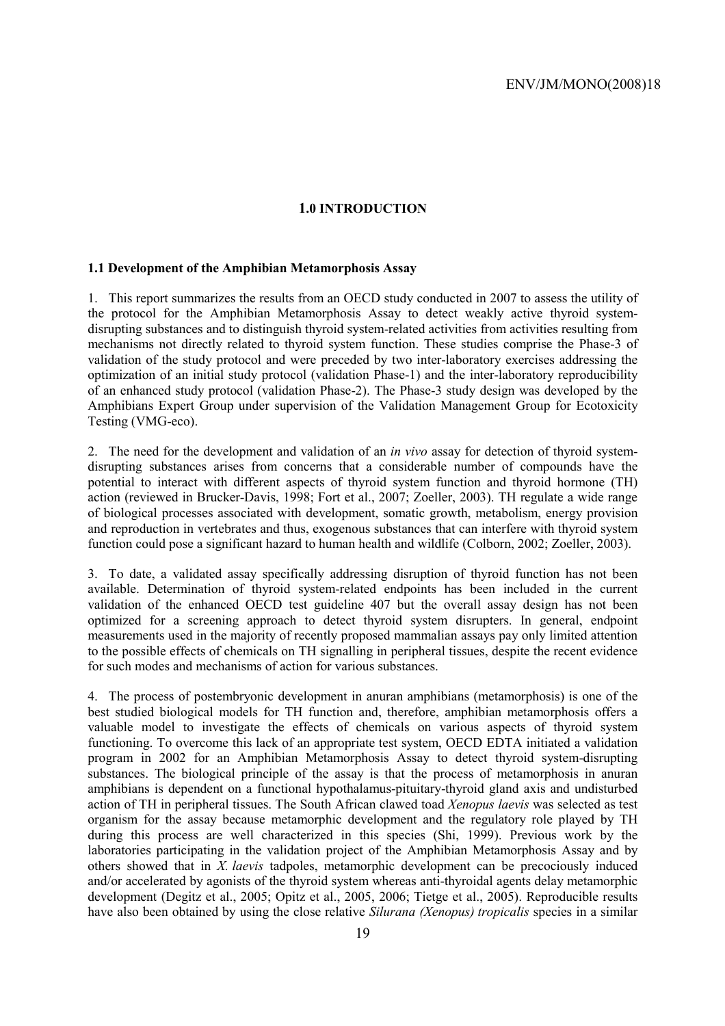#### **1.0 INTRODUCTION**

#### **1.1 Development of the Amphibian Metamorphosis Assay**

1. This report summarizes the results from an OECD study conducted in 2007 to assess the utility of the protocol for the Amphibian Metamorphosis Assay to detect weakly active thyroid systemdisrupting substances and to distinguish thyroid system-related activities from activities resulting from mechanisms not directly related to thyroid system function. These studies comprise the Phase-3 of validation of the study protocol and were preceded by two inter-laboratory exercises addressing the optimization of an initial study protocol (validation Phase-1) and the inter-laboratory reproducibility of an enhanced study protocol (validation Phase-2). The Phase-3 study design was developed by the Amphibians Expert Group under supervision of the Validation Management Group for Ecotoxicity Testing (VMG-eco).

2. The need for the development and validation of an *in vivo* assay for detection of thyroid systemdisrupting substances arises from concerns that a considerable number of compounds have the potential to interact with different aspects of thyroid system function and thyroid hormone (TH) action (reviewed in Brucker-Davis, 1998; Fort et al., 2007; Zoeller, 2003). TH regulate a wide range of biological processes associated with development, somatic growth, metabolism, energy provision and reproduction in vertebrates and thus, exogenous substances that can interfere with thyroid system function could pose a significant hazard to human health and wildlife (Colborn, 2002; Zoeller, 2003).

3. To date, a validated assay specifically addressing disruption of thyroid function has not been available. Determination of thyroid system-related endpoints has been included in the current validation of the enhanced OECD test guideline 407 but the overall assay design has not been optimized for a screening approach to detect thyroid system disrupters. In general, endpoint measurements used in the majority of recently proposed mammalian assays pay only limited attention to the possible effects of chemicals on TH signalling in peripheral tissues, despite the recent evidence for such modes and mechanisms of action for various substances.

4. The process of postembryonic development in anuran amphibians (metamorphosis) is one of the best studied biological models for TH function and, therefore, amphibian metamorphosis offers a valuable model to investigate the effects of chemicals on various aspects of thyroid system functioning. To overcome this lack of an appropriate test system, OECD EDTA initiated a validation program in 2002 for an Amphibian Metamorphosis Assay to detect thyroid system-disrupting substances. The biological principle of the assay is that the process of metamorphosis in anuran amphibians is dependent on a functional hypothalamus-pituitary-thyroid gland axis and undisturbed action of TH in peripheral tissues. The South African clawed toad *Xenopus laevis* was selected as test organism for the assay because metamorphic development and the regulatory role played by TH during this process are well characterized in this species (Shi, 1999). Previous work by the laboratories participating in the validation project of the Amphibian Metamorphosis Assay and by others showed that in *X. laevis* tadpoles, metamorphic development can be precociously induced and/or accelerated by agonists of the thyroid system whereas anti-thyroidal agents delay metamorphic development (Degitz et al., 2005; Opitz et al., 2005, 2006; Tietge et al., 2005). Reproducible results have also been obtained by using the close relative *Silurana (Xenopus) tropicalis* species in a similar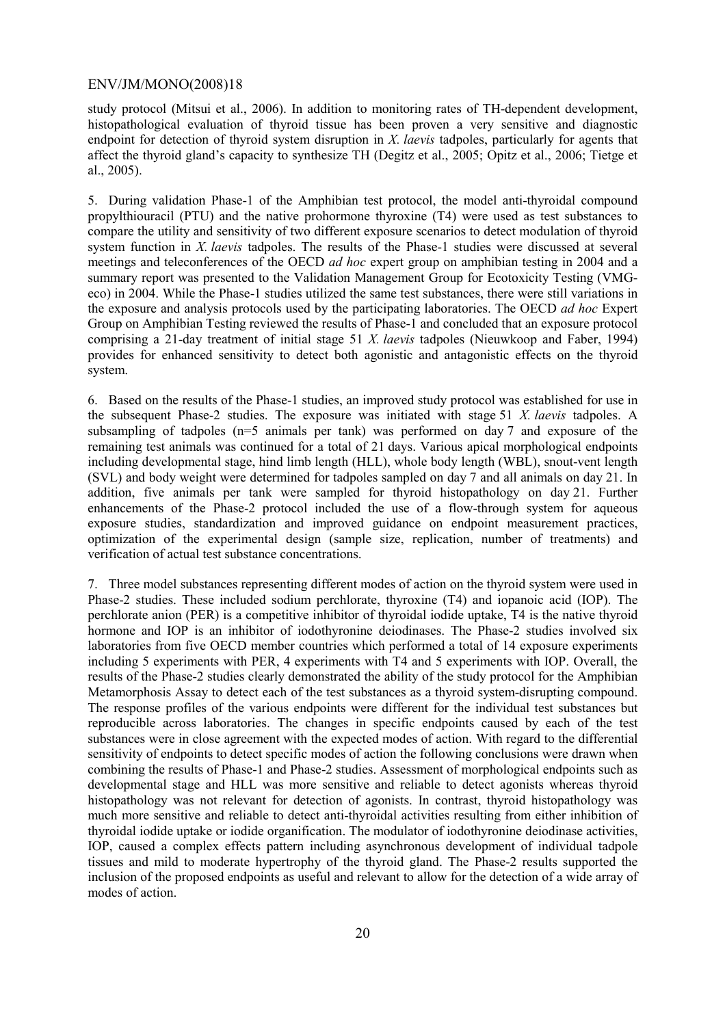study protocol (Mitsui et al., 2006). In addition to monitoring rates of TH-dependent development, histopathological evaluation of thyroid tissue has been proven a very sensitive and diagnostic endpoint for detection of thyroid system disruption in *X. laevis* tadpoles, particularly for agents that affect the thyroid gland's capacity to synthesize TH (Degitz et al., 2005; Opitz et al., 2006; Tietge et al., 2005).

5. During validation Phase-1 of the Amphibian test protocol, the model anti-thyroidal compound propylthiouracil (PTU) and the native prohormone thyroxine (T4) were used as test substances to compare the utility and sensitivity of two different exposure scenarios to detect modulation of thyroid system function in *X. laevis* tadpoles. The results of the Phase-1 studies were discussed at several meetings and teleconferences of the OECD *ad hoc* expert group on amphibian testing in 2004 and a summary report was presented to the Validation Management Group for Ecotoxicity Testing (VMGeco) in 2004. While the Phase-1 studies utilized the same test substances, there were still variations in the exposure and analysis protocols used by the participating laboratories. The OECD *ad hoc* Expert Group on Amphibian Testing reviewed the results of Phase-1 and concluded that an exposure protocol comprising a 21-day treatment of initial stage 51 *X. laevis* tadpoles (Nieuwkoop and Faber, 1994) provides for enhanced sensitivity to detect both agonistic and antagonistic effects on the thyroid system.

6. Based on the results of the Phase-1 studies, an improved study protocol was established for use in the subsequent Phase-2 studies. The exposure was initiated with stage 51 *X. laevis* tadpoles. A subsampling of tadpoles (n=5 animals per tank) was performed on day 7 and exposure of the remaining test animals was continued for a total of 21 days. Various apical morphological endpoints including developmental stage, hind limb length (HLL), whole body length (WBL), snout-vent length (SVL) and body weight were determined for tadpoles sampled on day 7 and all animals on day 21. In addition, five animals per tank were sampled for thyroid histopathology on day 21. Further enhancements of the Phase-2 protocol included the use of a flow-through system for aqueous exposure studies, standardization and improved guidance on endpoint measurement practices, optimization of the experimental design (sample size, replication, number of treatments) and verification of actual test substance concentrations.

7. Three model substances representing different modes of action on the thyroid system were used in Phase-2 studies. These included sodium perchlorate, thyroxine (T4) and iopanoic acid (IOP). The perchlorate anion (PER) is a competitive inhibitor of thyroidal iodide uptake, T4 is the native thyroid hormone and IOP is an inhibitor of iodothyronine deiodinases. The Phase-2 studies involved six laboratories from five OECD member countries which performed a total of 14 exposure experiments including 5 experiments with PER, 4 experiments with T4 and 5 experiments with IOP. Overall, the results of the Phase-2 studies clearly demonstrated the ability of the study protocol for the Amphibian Metamorphosis Assay to detect each of the test substances as a thyroid system-disrupting compound. The response profiles of the various endpoints were different for the individual test substances but reproducible across laboratories. The changes in specific endpoints caused by each of the test substances were in close agreement with the expected modes of action. With regard to the differential sensitivity of endpoints to detect specific modes of action the following conclusions were drawn when combining the results of Phase-1 and Phase-2 studies. Assessment of morphological endpoints such as developmental stage and HLL was more sensitive and reliable to detect agonists whereas thyroid histopathology was not relevant for detection of agonists. In contrast, thyroid histopathology was much more sensitive and reliable to detect anti-thyroidal activities resulting from either inhibition of thyroidal iodide uptake or iodide organification. The modulator of iodothyronine deiodinase activities, IOP, caused a complex effects pattern including asynchronous development of individual tadpole tissues and mild to moderate hypertrophy of the thyroid gland. The Phase-2 results supported the inclusion of the proposed endpoints as useful and relevant to allow for the detection of a wide array of modes of action.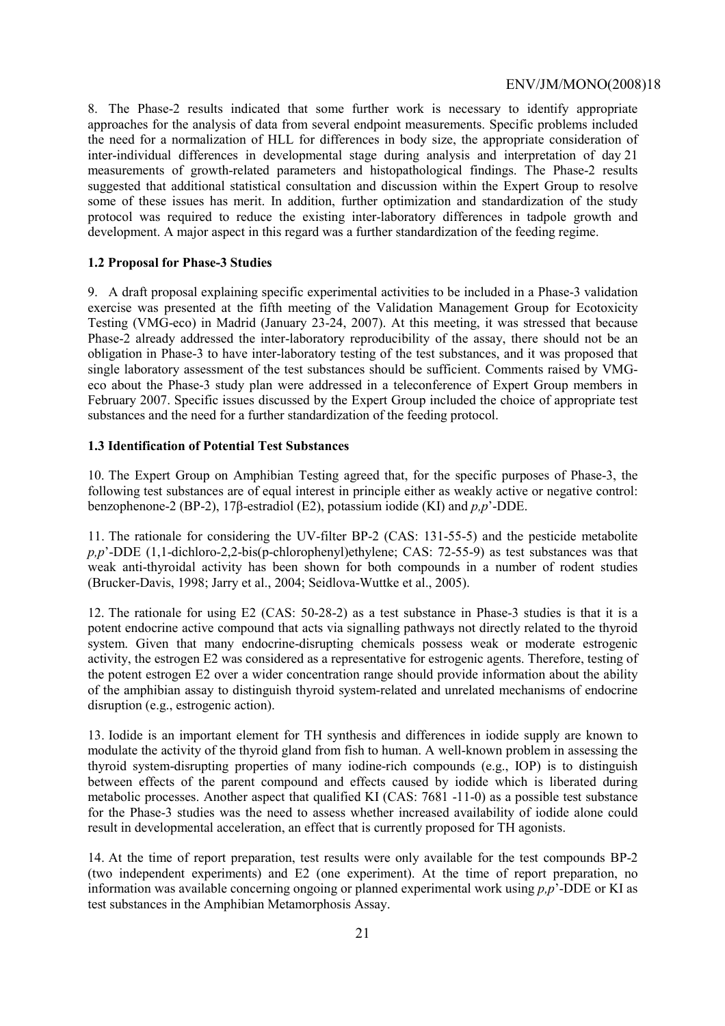8. The Phase-2 results indicated that some further work is necessary to identify appropriate approaches for the analysis of data from several endpoint measurements. Specific problems included the need for a normalization of HLL for differences in body size, the appropriate consideration of inter-individual differences in developmental stage during analysis and interpretation of day 21 measurements of growth-related parameters and histopathological findings. The Phase-2 results suggested that additional statistical consultation and discussion within the Expert Group to resolve some of these issues has merit. In addition, further optimization and standardization of the study protocol was required to reduce the existing inter-laboratory differences in tadpole growth and development. A major aspect in this regard was a further standardization of the feeding regime.

#### **1.2 Proposal for Phase-3 Studies**

9. A draft proposal explaining specific experimental activities to be included in a Phase-3 validation exercise was presented at the fifth meeting of the Validation Management Group for Ecotoxicity Testing (VMG-eco) in Madrid (January 23-24, 2007). At this meeting, it was stressed that because Phase-2 already addressed the inter-laboratory reproducibility of the assay, there should not be an obligation in Phase-3 to have inter-laboratory testing of the test substances, and it was proposed that single laboratory assessment of the test substances should be sufficient. Comments raised by VMGeco about the Phase-3 study plan were addressed in a teleconference of Expert Group members in February 2007. Specific issues discussed by the Expert Group included the choice of appropriate test substances and the need for a further standardization of the feeding protocol.

#### **1.3 Identification of Potential Test Substances**

10. The Expert Group on Amphibian Testing agreed that, for the specific purposes of Phase-3, the following test substances are of equal interest in principle either as weakly active or negative control: benzophenone-2 (BP-2), 17β-estradiol (E2), potassium iodide (KI) and *p,p*'-DDE.

11. The rationale for considering the UV-filter BP-2 (CAS: 131-55-5) and the pesticide metabolite *p,p*'-DDE (1,1-dichloro-2,2-bis(p-chlorophenyl)ethylene; CAS: 72-55-9) as test substances was that weak anti-thyroidal activity has been shown for both compounds in a number of rodent studies (Brucker-Davis, 1998; Jarry et al., 2004; Seidlova-Wuttke et al., 2005).

12. The rationale for using E2 (CAS: 50-28-2) as a test substance in Phase-3 studies is that it is a potent endocrine active compound that acts via signalling pathways not directly related to the thyroid system. Given that many endocrine-disrupting chemicals possess weak or moderate estrogenic activity, the estrogen E2 was considered as a representative for estrogenic agents. Therefore, testing of the potent estrogen E2 over a wider concentration range should provide information about the ability of the amphibian assay to distinguish thyroid system-related and unrelated mechanisms of endocrine disruption (e.g., estrogenic action).

13. Iodide is an important element for TH synthesis and differences in iodide supply are known to modulate the activity of the thyroid gland from fish to human. A well-known problem in assessing the thyroid system-disrupting properties of many iodine-rich compounds (e.g., IOP) is to distinguish between effects of the parent compound and effects caused by iodide which is liberated during metabolic processes. Another aspect that qualified KI (CAS: 7681 -11-0) as a possible test substance for the Phase-3 studies was the need to assess whether increased availability of iodide alone could result in developmental acceleration, an effect that is currently proposed for TH agonists.

14. At the time of report preparation, test results were only available for the test compounds BP-2 (two independent experiments) and E2 (one experiment). At the time of report preparation, no information was available concerning ongoing or planned experimental work using *p,p*'-DDE or KI as test substances in the Amphibian Metamorphosis Assay.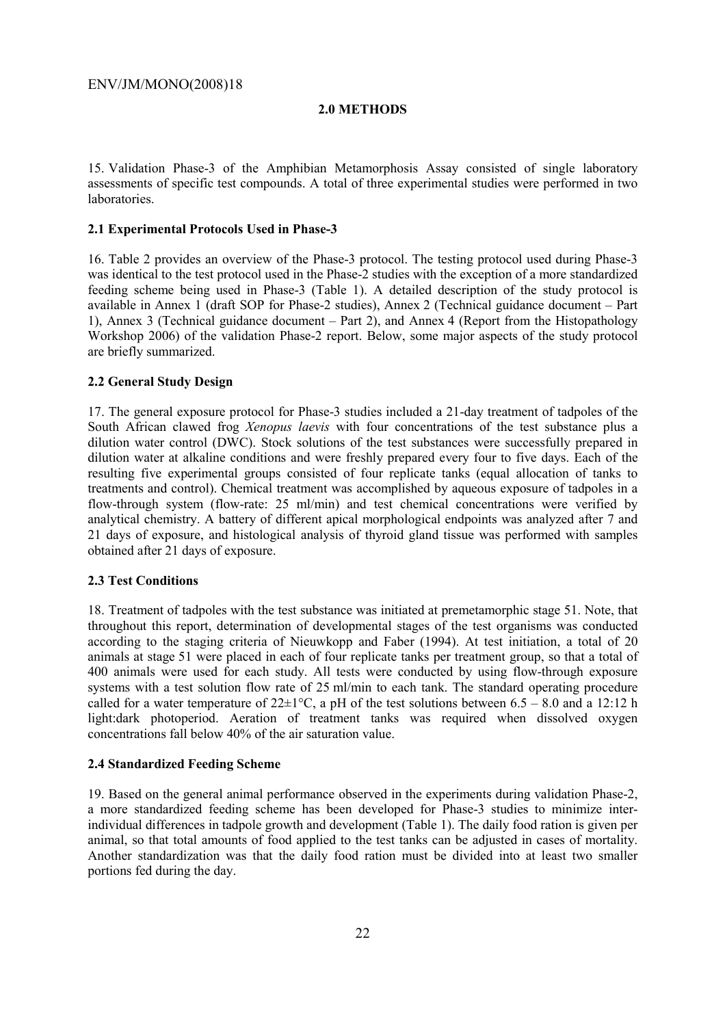#### **2.0 METHODS**

15. Validation Phase-3 of the Amphibian Metamorphosis Assay consisted of single laboratory assessments of specific test compounds. A total of three experimental studies were performed in two **laboratories** 

#### **2.1 Experimental Protocols Used in Phase-3**

16. Table 2 provides an overview of the Phase-3 protocol. The testing protocol used during Phase-3 was identical to the test protocol used in the Phase-2 studies with the exception of a more standardized feeding scheme being used in Phase-3 (Table 1). A detailed description of the study protocol is available in Annex 1 (draft SOP for Phase-2 studies), Annex 2 (Technical guidance document – Part 1), Annex 3 (Technical guidance document – Part 2), and Annex 4 (Report from the Histopathology Workshop 2006) of the validation Phase-2 report. Below, some major aspects of the study protocol are briefly summarized.

#### **2.2 General Study Design**

17. The general exposure protocol for Phase-3 studies included a 21-day treatment of tadpoles of the South African clawed frog *Xenopus laevis* with four concentrations of the test substance plus a dilution water control (DWC). Stock solutions of the test substances were successfully prepared in dilution water at alkaline conditions and were freshly prepared every four to five days. Each of the resulting five experimental groups consisted of four replicate tanks (equal allocation of tanks to treatments and control). Chemical treatment was accomplished by aqueous exposure of tadpoles in a flow-through system (flow-rate: 25 ml/min) and test chemical concentrations were verified by analytical chemistry. A battery of different apical morphological endpoints was analyzed after 7 and 21 days of exposure, and histological analysis of thyroid gland tissue was performed with samples obtained after 21 days of exposure.

#### **2.3 Test Conditions**

18. Treatment of tadpoles with the test substance was initiated at premetamorphic stage 51. Note, that throughout this report, determination of developmental stages of the test organisms was conducted according to the staging criteria of Nieuwkopp and Faber (1994). At test initiation, a total of 20 animals at stage 51 were placed in each of four replicate tanks per treatment group, so that a total of 400 animals were used for each study. All tests were conducted by using flow-through exposure systems with a test solution flow rate of 25 ml/min to each tank. The standard operating procedure called for a water temperature of  $22\pm1\degree C$ , a pH of the test solutions between 6.5 – 8.0 and a 12:12 h light:dark photoperiod. Aeration of treatment tanks was required when dissolved oxygen concentrations fall below 40% of the air saturation value.

#### **2.4 Standardized Feeding Scheme**

19. Based on the general animal performance observed in the experiments during validation Phase-2, a more standardized feeding scheme has been developed for Phase-3 studies to minimize interindividual differences in tadpole growth and development (Table 1). The daily food ration is given per animal, so that total amounts of food applied to the test tanks can be adjusted in cases of mortality. Another standardization was that the daily food ration must be divided into at least two smaller portions fed during the day.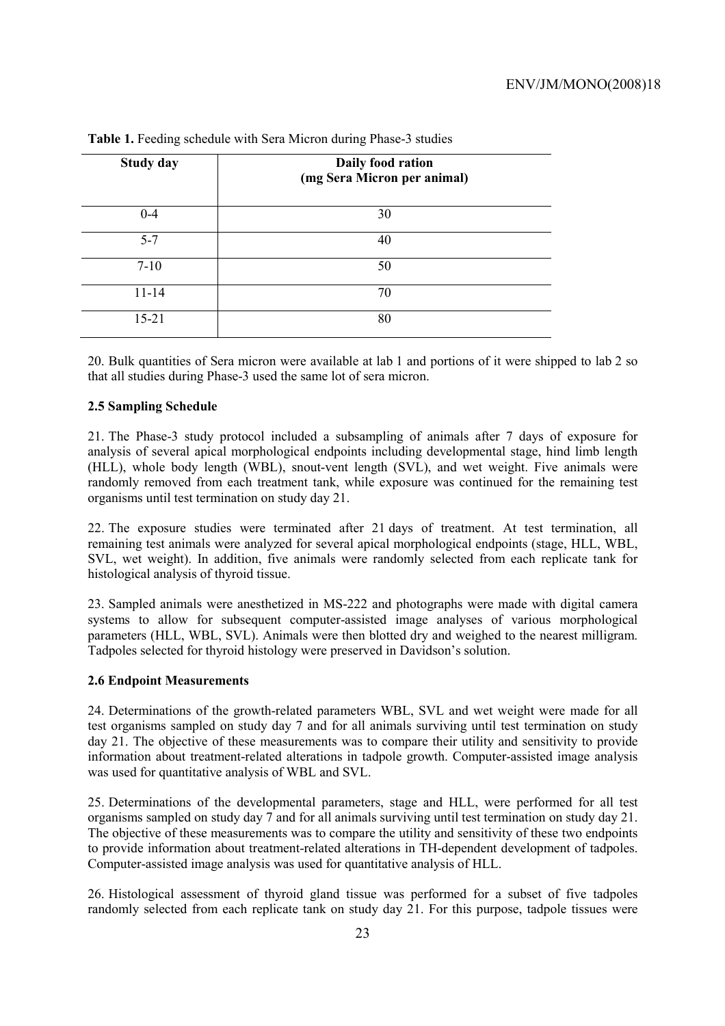| Study day | Daily food ration<br>(mg Sera Micron per animal) |
|-----------|--------------------------------------------------|
| $0 - 4$   | 30                                               |
| $5 - 7$   | 40                                               |
| $7 - 10$  | 50                                               |
| $11 - 14$ | 70                                               |
| $15 - 21$ | 80                                               |

**Table 1.** Feeding schedule with Sera Micron during Phase-3 studies

20. Bulk quantities of Sera micron were available at lab 1 and portions of it were shipped to lab 2 so that all studies during Phase-3 used the same lot of sera micron.

#### **2.5 Sampling Schedule**

21. The Phase-3 study protocol included a subsampling of animals after 7 days of exposure for analysis of several apical morphological endpoints including developmental stage, hind limb length (HLL), whole body length (WBL), snout-vent length (SVL), and wet weight. Five animals were randomly removed from each treatment tank, while exposure was continued for the remaining test organisms until test termination on study day 21.

22. The exposure studies were terminated after 21 days of treatment. At test termination, all remaining test animals were analyzed for several apical morphological endpoints (stage, HLL, WBL, SVL, wet weight). In addition, five animals were randomly selected from each replicate tank for histological analysis of thyroid tissue.

23. Sampled animals were anesthetized in MS-222 and photographs were made with digital camera systems to allow for subsequent computer-assisted image analyses of various morphological parameters (HLL, WBL, SVL). Animals were then blotted dry and weighed to the nearest milligram. Tadpoles selected for thyroid histology were preserved in Davidson's solution.

#### **2.6 Endpoint Measurements**

24. Determinations of the growth-related parameters WBL, SVL and wet weight were made for all test organisms sampled on study day 7 and for all animals surviving until test termination on study day 21. The objective of these measurements was to compare their utility and sensitivity to provide information about treatment-related alterations in tadpole growth. Computer-assisted image analysis was used for quantitative analysis of WBL and SVL.

25. Determinations of the developmental parameters, stage and HLL, were performed for all test organisms sampled on study day 7 and for all animals surviving until test termination on study day 21. The objective of these measurements was to compare the utility and sensitivity of these two endpoints to provide information about treatment-related alterations in TH-dependent development of tadpoles. Computer-assisted image analysis was used for quantitative analysis of HLL.

26. Histological assessment of thyroid gland tissue was performed for a subset of five tadpoles randomly selected from each replicate tank on study day 21. For this purpose, tadpole tissues were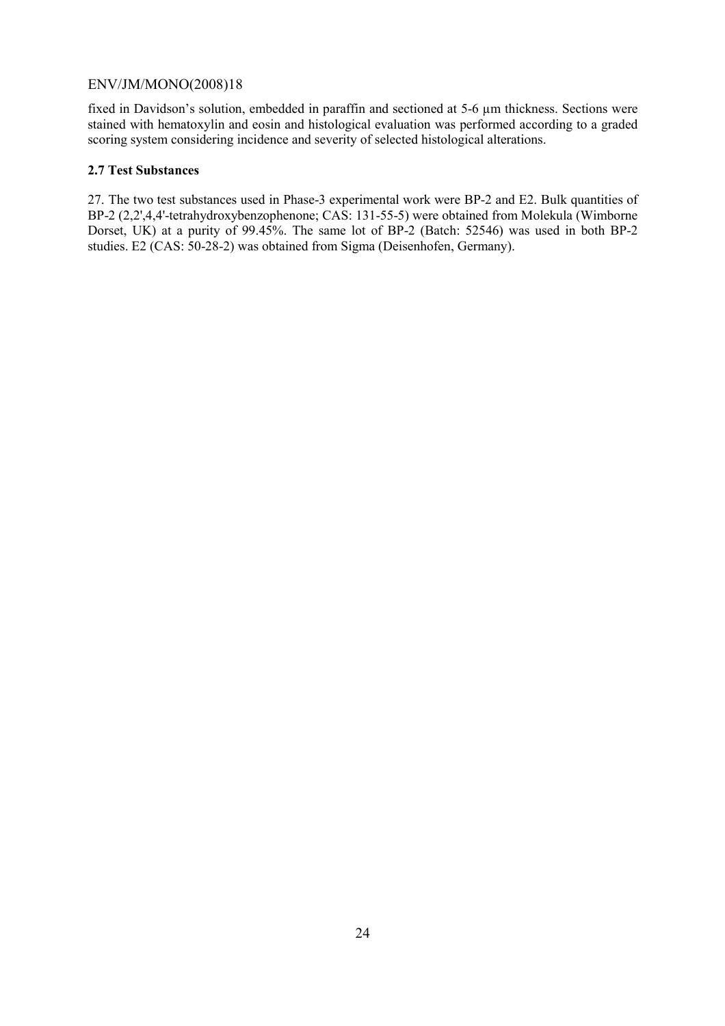fixed in Davidson's solution, embedded in paraffin and sectioned at 5-6 µm thickness. Sections were stained with hematoxylin and eosin and histological evaluation was performed according to a graded scoring system considering incidence and severity of selected histological alterations.

#### **2.7 Test Substances**

27. The two test substances used in Phase-3 experimental work were BP-2 and E2. Bulk quantities of BP-2 (2,2',4,4'-tetrahydroxybenzophenone; CAS: 131-55-5) were obtained from Molekula (Wimborne Dorset, UK) at a purity of 99.45%. The same lot of BP-2 (Batch: 52546) was used in both BP-2 studies. E2 (CAS: 50-28-2) was obtained from Sigma (Deisenhofen, Germany).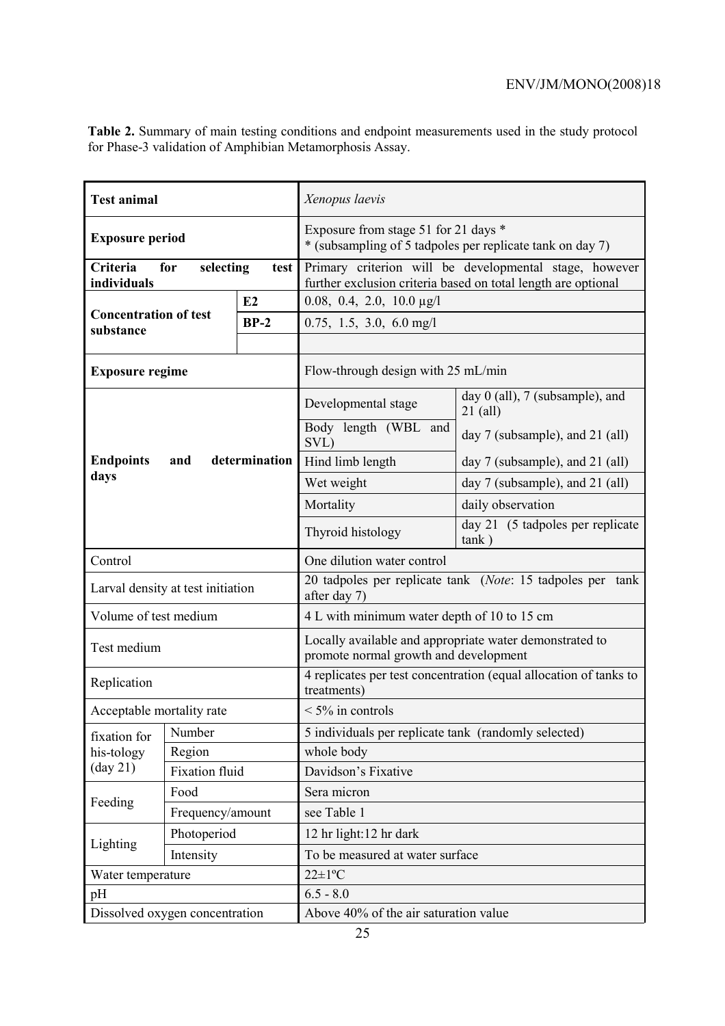**Table 2.** Summary of main testing conditions and endpoint measurements used in the study protocol for Phase-3 validation of Amphibian Metamorphosis Assay.

| <b>Test animal</b>                        |                       |               | Xenopus laevis                                                                                                          |                                                                                                   |  |  |  |  |  |
|-------------------------------------------|-----------------------|---------------|-------------------------------------------------------------------------------------------------------------------------|---------------------------------------------------------------------------------------------------|--|--|--|--|--|
| <b>Exposure period</b>                    |                       |               |                                                                                                                         | Exposure from stage 51 for 21 days *<br>* (subsampling of 5 tadpoles per replicate tank on day 7) |  |  |  |  |  |
| Criteria<br>individuals                   | selecting<br>for      | test          | Primary criterion will be developmental stage, however<br>further exclusion criteria based on total length are optional |                                                                                                   |  |  |  |  |  |
|                                           |                       | E2            | 0.08, 0.4, 2.0, 10.0 $\mu$ g/l                                                                                          |                                                                                                   |  |  |  |  |  |
| <b>Concentration of test</b><br>substance |                       | $BP-2$        | $0.75, 1.5, 3.0, 6.0$ mg/l                                                                                              |                                                                                                   |  |  |  |  |  |
|                                           |                       |               |                                                                                                                         |                                                                                                   |  |  |  |  |  |
| <b>Exposure regime</b>                    |                       |               | Flow-through design with 25 mL/min                                                                                      |                                                                                                   |  |  |  |  |  |
|                                           |                       |               | Developmental stage                                                                                                     | day $0$ (all), $7$ (subsample), and<br>$21$ (all)                                                 |  |  |  |  |  |
|                                           |                       |               | Body length (WBL and<br>SVL)                                                                                            | day 7 (subsample), and 21 (all)                                                                   |  |  |  |  |  |
| <b>Endpoints</b>                          | and                   | determination | Hind limb length                                                                                                        | day 7 (subsample), and 21 (all)                                                                   |  |  |  |  |  |
| days                                      |                       |               | Wet weight                                                                                                              | day 7 (subsample), and 21 (all)                                                                   |  |  |  |  |  |
|                                           |                       |               | Mortality                                                                                                               | daily observation                                                                                 |  |  |  |  |  |
|                                           |                       |               | Thyroid histology                                                                                                       | day 21 (5 tadpoles per replicate<br>tank)                                                         |  |  |  |  |  |
| Control                                   |                       |               | One dilution water control                                                                                              |                                                                                                   |  |  |  |  |  |
| Larval density at test initiation         |                       |               | 20 tadpoles per replicate tank (Note: 15 tadpoles per tank<br>after day 7)                                              |                                                                                                   |  |  |  |  |  |
| Volume of test medium                     |                       |               | 4 L with minimum water depth of 10 to 15 cm                                                                             |                                                                                                   |  |  |  |  |  |
| Test medium                               |                       |               | Locally available and appropriate water demonstrated to<br>promote normal growth and development                        |                                                                                                   |  |  |  |  |  |
| Replication                               |                       |               | 4 replicates per test concentration (equal allocation of tanks to<br>treatments)                                        |                                                                                                   |  |  |  |  |  |
| Acceptable mortality rate                 |                       |               | $\leq 5\%$ in controls                                                                                                  |                                                                                                   |  |  |  |  |  |
| fixation for                              | TNumber               |               | 5 individuals per replicate tank (randomly selected)                                                                    |                                                                                                   |  |  |  |  |  |
| his-tology                                | Region                |               | whole body                                                                                                              |                                                                                                   |  |  |  |  |  |
| $(\text{day } 21)$                        | <b>Fixation fluid</b> |               | Davidson's Fixative                                                                                                     |                                                                                                   |  |  |  |  |  |
| Feeding                                   | Food                  |               | Sera micron                                                                                                             |                                                                                                   |  |  |  |  |  |
|                                           | Frequency/amount      |               | see Table 1                                                                                                             |                                                                                                   |  |  |  |  |  |
| Lighting                                  | Photoperiod           |               | 12 hr light:12 hr dark                                                                                                  |                                                                                                   |  |  |  |  |  |
|                                           | Intensity             |               | To be measured at water surface                                                                                         |                                                                                                   |  |  |  |  |  |
| Water temperature                         |                       |               | $22 \pm 1$ °C                                                                                                           |                                                                                                   |  |  |  |  |  |
| pH                                        |                       |               | $6.5 - 8.0$                                                                                                             |                                                                                                   |  |  |  |  |  |
| Dissolved oxygen concentration            |                       |               | Above 40% of the air saturation value                                                                                   |                                                                                                   |  |  |  |  |  |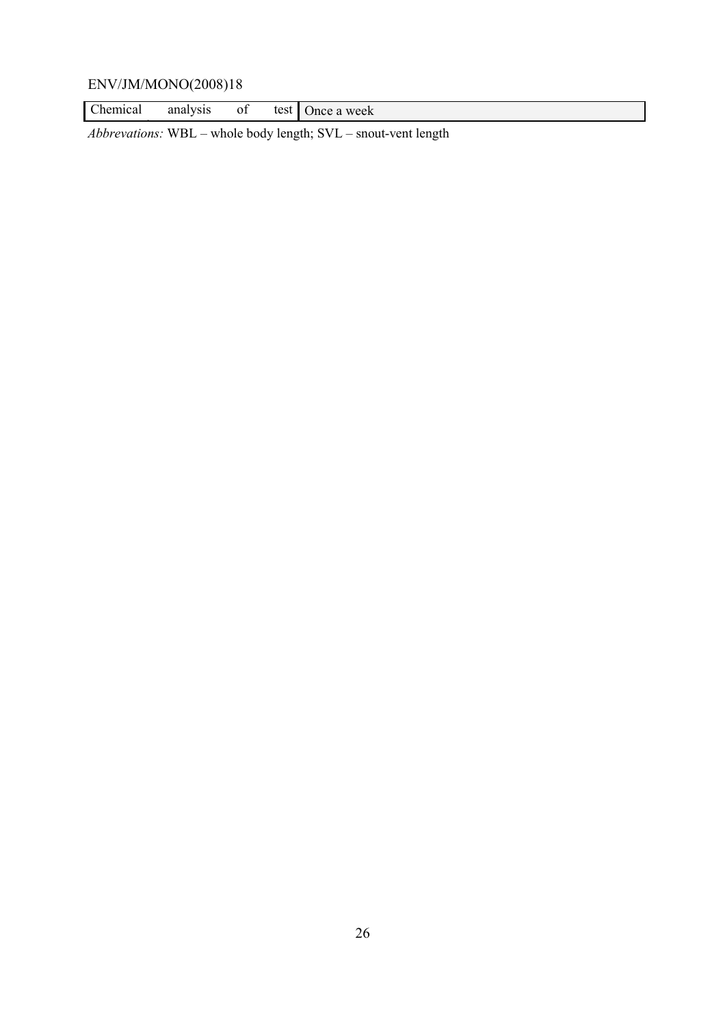|  |  |  |  |  | Chemical analysis of test Once a week |
|--|--|--|--|--|---------------------------------------|
|--|--|--|--|--|---------------------------------------|

*Abbrevations:* WBL – whole body length; SVL – snout-vent length i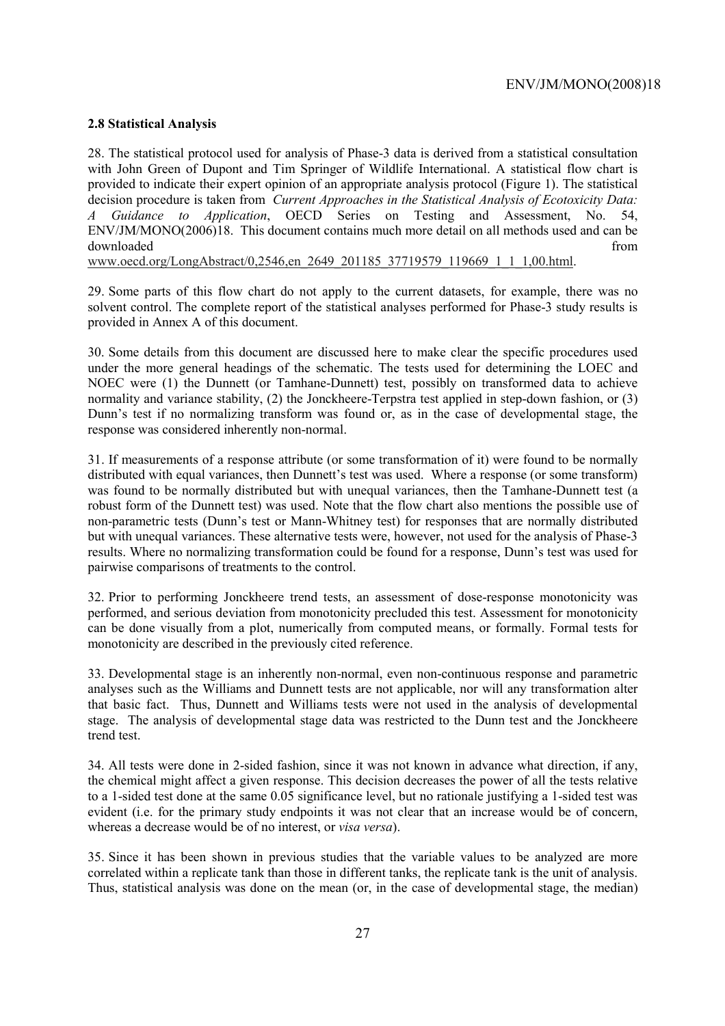#### **2.8 Statistical Analysis**

28. The statistical protocol used for analysis of Phase-3 data is derived from a statistical consultation with John Green of Dupont and Tim Springer of Wildlife International. A statistical flow chart is provided to indicate their expert opinion of an appropriate analysis protocol (Figure 1). The statistical decision procedure is taken from *Current Approaches in the Statistical Analysis of Ecotoxicity Data: A Guidance to Application*, OECD Series on Testing and Assessment, No. 54, ENV/JM/MONO(2006)18. This document contains much more detail on all methods used and can be downloaded from the state of the state of the state of the state of the state of the state of the state of the state of the state of the state of the state of the state of the state of the state of the state of the state o

www.oecd.org/LongAbstract/0,2546,en\_2649\_201185\_37719579\_119669\_1\_1\_1,00.html.

29. Some parts of this flow chart do not apply to the current datasets, for example, there was no solvent control. The complete report of the statistical analyses performed for Phase-3 study results is provided in Annex A of this document.

30. Some details from this document are discussed here to make clear the specific procedures used under the more general headings of the schematic. The tests used for determining the LOEC and NOEC were (1) the Dunnett (or Tamhane-Dunnett) test, possibly on transformed data to achieve normality and variance stability, (2) the Jonckheere-Terpstra test applied in step-down fashion, or (3) Dunn's test if no normalizing transform was found or, as in the case of developmental stage, the response was considered inherently non-normal.

31. If measurements of a response attribute (or some transformation of it) were found to be normally distributed with equal variances, then Dunnett's test was used. Where a response (or some transform) was found to be normally distributed but with unequal variances, then the Tamhane-Dunnett test (a robust form of the Dunnett test) was used. Note that the flow chart also mentions the possible use of non-parametric tests (Dunn's test or Mann-Whitney test) for responses that are normally distributed but with unequal variances. These alternative tests were, however, not used for the analysis of Phase-3 results. Where no normalizing transformation could be found for a response, Dunn's test was used for pairwise comparisons of treatments to the control.

32. Prior to performing Jonckheere trend tests, an assessment of dose-response monotonicity was performed, and serious deviation from monotonicity precluded this test. Assessment for monotonicity can be done visually from a plot, numerically from computed means, or formally. Formal tests for monotonicity are described in the previously cited reference.

33. Developmental stage is an inherently non-normal, even non-continuous response and parametric analyses such as the Williams and Dunnett tests are not applicable, nor will any transformation alter that basic fact. Thus, Dunnett and Williams tests were not used in the analysis of developmental stage. The analysis of developmental stage data was restricted to the Dunn test and the Jonckheere trend test.

34. All tests were done in 2-sided fashion, since it was not known in advance what direction, if any, the chemical might affect a given response. This decision decreases the power of all the tests relative to a 1-sided test done at the same 0.05 significance level, but no rationale justifying a 1-sided test was evident (i.e. for the primary study endpoints it was not clear that an increase would be of concern, whereas a decrease would be of no interest, or *visa versa*).

35. Since it has been shown in previous studies that the variable values to be analyzed are more correlated within a replicate tank than those in different tanks, the replicate tank is the unit of analysis. Thus, statistical analysis was done on the mean (or, in the case of developmental stage, the median)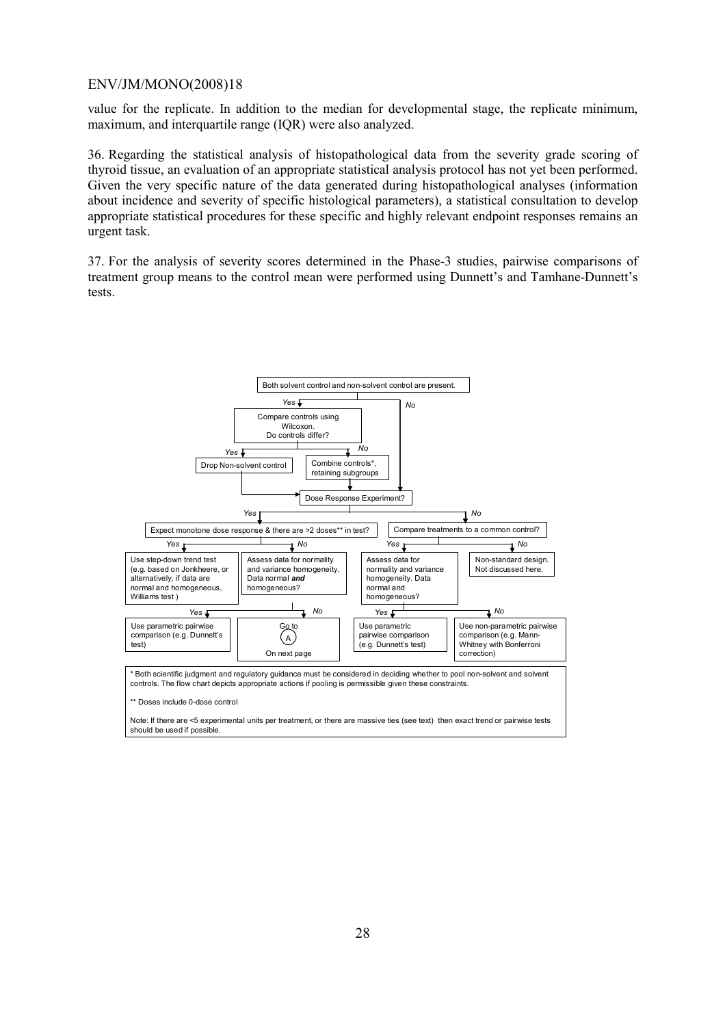value for the replicate. In addition to the median for developmental stage, the replicate minimum, maximum, and interquartile range (IQR) were also analyzed.

36. Regarding the statistical analysis of histopathological data from the severity grade scoring of thyroid tissue, an evaluation of an appropriate statistical analysis protocol has not yet been performed. Given the very specific nature of the data generated during histopathological analyses (information about incidence and severity of specific histological parameters), a statistical consultation to develop appropriate statistical procedures for these specific and highly relevant endpoint responses remains an urgent task.

37. For the analysis of severity scores determined in the Phase-3 studies, pairwise comparisons of treatment group means to the control mean were performed using Dunnett's and Tamhane-Dunnett's tests.

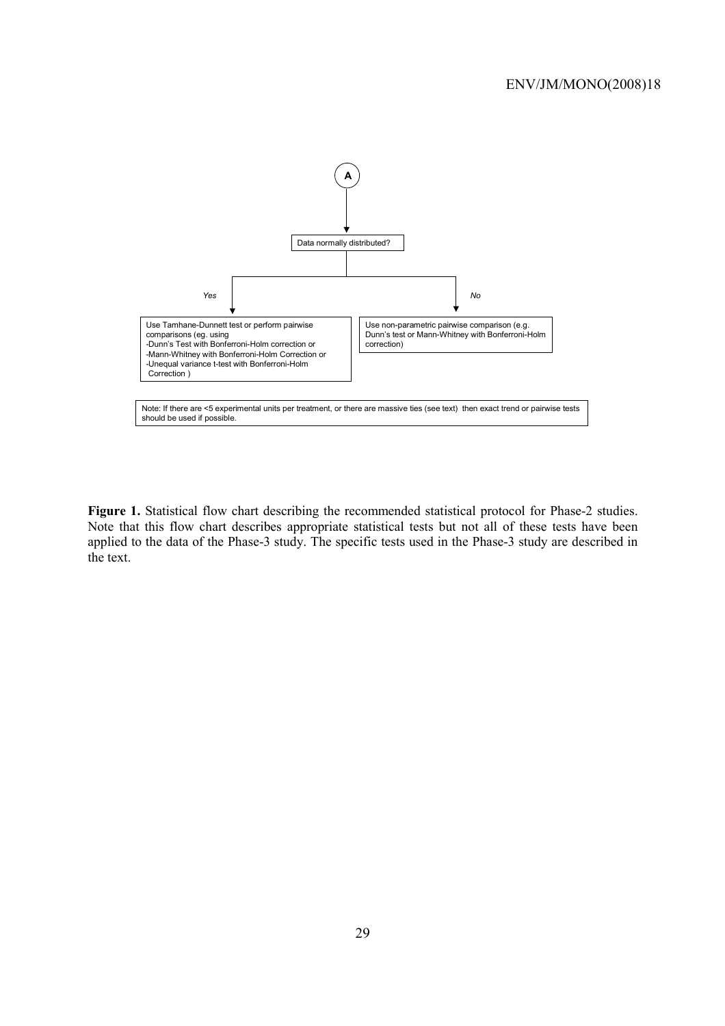

**Figure 1.** Statistical flow chart describing the recommended statistical protocol for Phase-2 studies. Note that this flow chart describes appropriate statistical tests but not all of these tests have been applied to the data of the Phase-3 study. The specific tests used in the Phase-3 study are described in the text.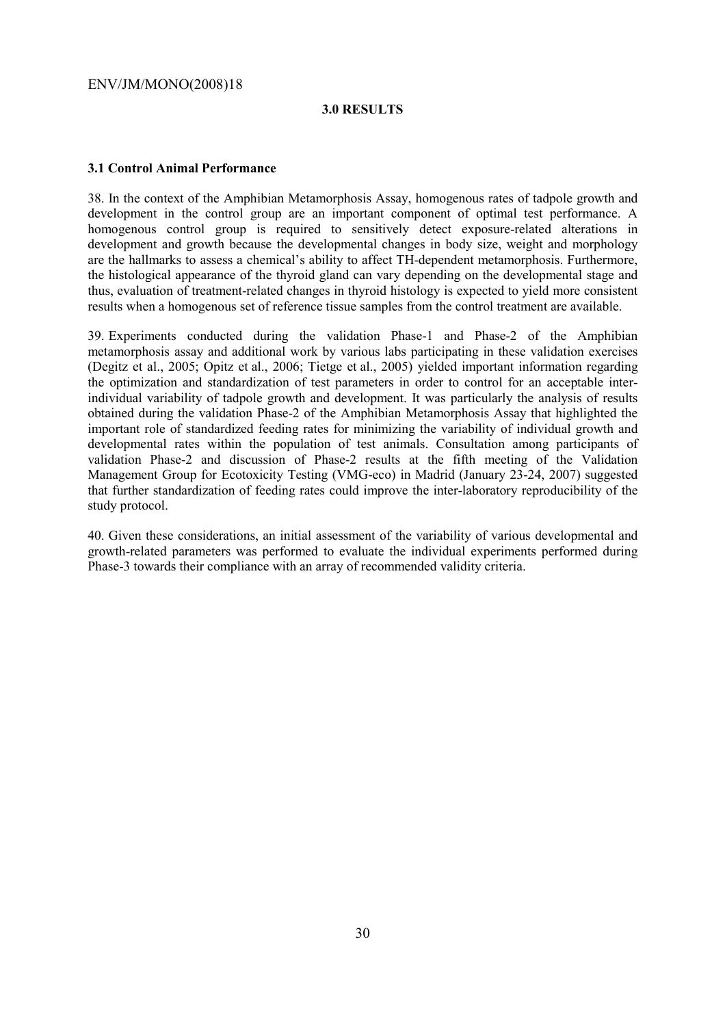#### **3.0 RESULTS**

#### **3.1 Control Animal Performance**

38. In the context of the Amphibian Metamorphosis Assay, homogenous rates of tadpole growth and development in the control group are an important component of optimal test performance. A homogenous control group is required to sensitively detect exposure-related alterations in development and growth because the developmental changes in body size, weight and morphology are the hallmarks to assess a chemical's ability to affect TH-dependent metamorphosis. Furthermore, the histological appearance of the thyroid gland can vary depending on the developmental stage and thus, evaluation of treatment-related changes in thyroid histology is expected to yield more consistent results when a homogenous set of reference tissue samples from the control treatment are available.

39. Experiments conducted during the validation Phase-1 and Phase-2 of the Amphibian metamorphosis assay and additional work by various labs participating in these validation exercises (Degitz et al., 2005; Opitz et al., 2006; Tietge et al., 2005) yielded important information regarding the optimization and standardization of test parameters in order to control for an acceptable interindividual variability of tadpole growth and development. It was particularly the analysis of results obtained during the validation Phase-2 of the Amphibian Metamorphosis Assay that highlighted the important role of standardized feeding rates for minimizing the variability of individual growth and developmental rates within the population of test animals. Consultation among participants of validation Phase-2 and discussion of Phase-2 results at the fifth meeting of the Validation Management Group for Ecotoxicity Testing (VMG-eco) in Madrid (January 23-24, 2007) suggested that further standardization of feeding rates could improve the inter-laboratory reproducibility of the study protocol.

40. Given these considerations, an initial assessment of the variability of various developmental and growth-related parameters was performed to evaluate the individual experiments performed during Phase-3 towards their compliance with an array of recommended validity criteria.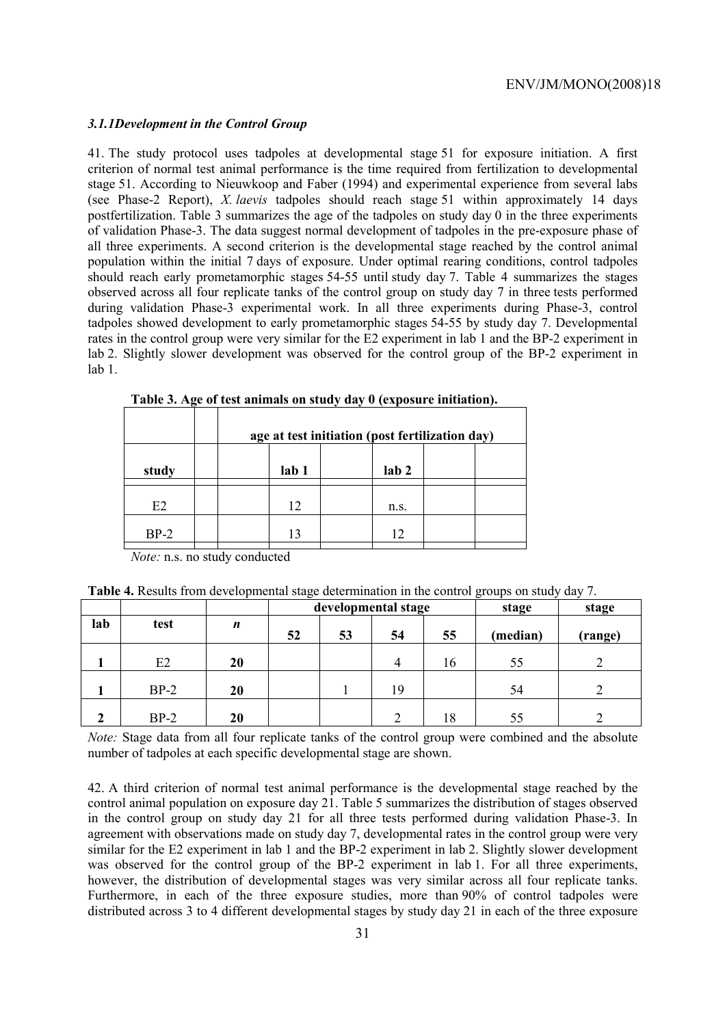#### *3.1.1Development in the Control Group*

41. The study protocol uses tadpoles at developmental stage 51 for exposure initiation. A first criterion of normal test animal performance is the time required from fertilization to developmental stage 51. According to Nieuwkoop and Faber (1994) and experimental experience from several labs (see Phase-2 Report), *X. laevis* tadpoles should reach stage 51 within approximately 14 days postfertilization. Table 3 summarizes the age of the tadpoles on study day 0 in the three experiments of validation Phase-3. The data suggest normal development of tadpoles in the pre-exposure phase of all three experiments. A second criterion is the developmental stage reached by the control animal population within the initial 7 days of exposure. Under optimal rearing conditions, control tadpoles should reach early prometamorphic stages 54-55 until study day 7. Table 4 summarizes the stages observed across all four replicate tanks of the control group on study day 7 in three tests performed during validation Phase-3 experimental work. In all three experiments during Phase-3, control tadpoles showed development to early prometamorphic stages 54-55 by study day 7. Developmental rates in the control group were very similar for the E2 experiment in lab 1 and the BP-2 experiment in lab 2. Slightly slower development was observed for the control group of the BP-2 experiment in  $lab<sub>1</sub>$ 

|       |                  | age at test initiation (post fertilization day) |  |  |  |  |  |  |  |  |  |  |
|-------|------------------|-------------------------------------------------|--|--|--|--|--|--|--|--|--|--|
| lab 1 | lab <sub>2</sub> |                                                 |  |  |  |  |  |  |  |  |  |  |
| 12    | n.s.             |                                                 |  |  |  |  |  |  |  |  |  |  |
| 13    | 12               |                                                 |  |  |  |  |  |  |  |  |  |  |
|       |                  |                                                 |  |  |  |  |  |  |  |  |  |  |

**Table 3. Age of test animals on study day 0 (exposure initiation).** 

*Note:* n.s. no study conducted

| Table 4. Results from developmental stage determination in the control groups on study day 7. |  |  |  |
|-----------------------------------------------------------------------------------------------|--|--|--|
|-----------------------------------------------------------------------------------------------|--|--|--|

|     |        |    |    | developmental stage |    |    | stage    | stage   |
|-----|--------|----|----|---------------------|----|----|----------|---------|
| lab | test   | n  | 52 | 53                  | 54 | 55 | (median) | (range) |
|     | E2     | 20 |    |                     |    | 16 | 55       |         |
|     | $BP-2$ | 20 |    |                     | 19 |    | 54       |         |
|     | $BP-2$ | 20 |    |                     |    | 18 | 55       |         |

*Note:* Stage data from all four replicate tanks of the control group were combined and the absolute number of tadpoles at each specific developmental stage are shown.

42. A third criterion of normal test animal performance is the developmental stage reached by the control animal population on exposure day 21. Table 5 summarizes the distribution of stages observed in the control group on study day 21 for all three tests performed during validation Phase-3. In agreement with observations made on study day 7, developmental rates in the control group were very similar for the E2 experiment in lab 1 and the BP-2 experiment in lab 2. Slightly slower development was observed for the control group of the BP-2 experiment in lab 1. For all three experiments, however, the distribution of developmental stages was very similar across all four replicate tanks. Furthermore, in each of the three exposure studies, more than 90% of control tadpoles were distributed across 3 to 4 different developmental stages by study day 21 in each of the three exposure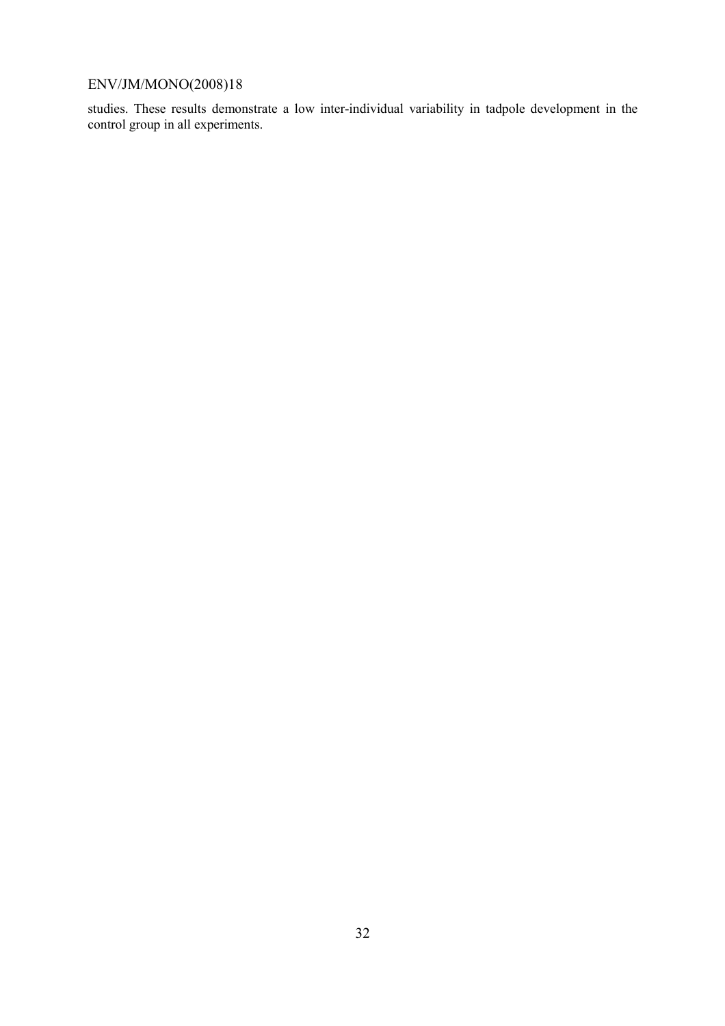studies. These results demonstrate a low inter-individual variability in tadpole development in the control group in all experiments.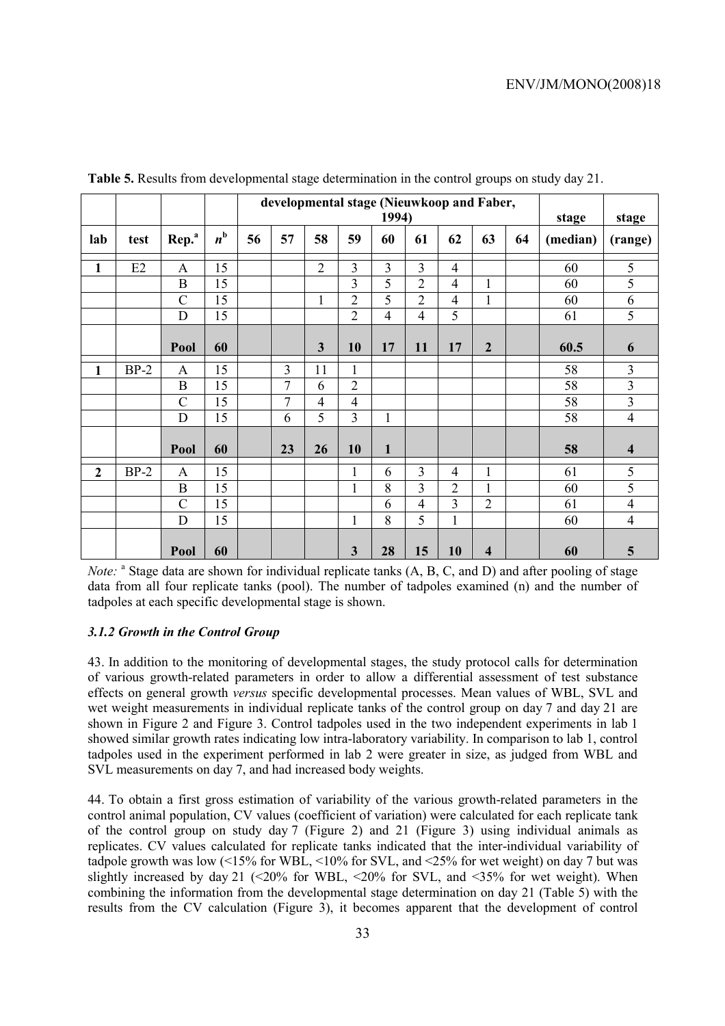|              |        |                   |             | developmental stage (Nieuwkoop and Faber, |                |                |                         |                |                |                |                         |    |          |                         |
|--------------|--------|-------------------|-------------|-------------------------------------------|----------------|----------------|-------------------------|----------------|----------------|----------------|-------------------------|----|----------|-------------------------|
|              |        |                   |             |                                           | 1994)          |                |                         |                |                |                |                         |    |          | stage                   |
| lab          | test   | Rep. <sup>a</sup> | $n^{\rm b}$ | 56                                        | 57             | 58             | 59                      | 60             | 61             | 62             | 63                      | 64 | (median) | (range)                 |
| 1            | E2     | $\mathbf{A}$      | 15          |                                           |                | $\overline{2}$ | 3                       | 3              | 3              | $\overline{4}$ |                         |    | 60       | 5                       |
|              |        | $\boldsymbol{B}$  | 15          |                                           |                |                | $\overline{\mathbf{3}}$ | 5              | $\overline{2}$ | $\overline{4}$ | $\mathbf{1}$            |    | 60       | 5                       |
|              |        | $\mathcal{C}$     | 15          |                                           |                | $\mathbf{1}$   | $\overline{2}$          | 5              | $\overline{2}$ | $\overline{4}$ | $\mathbf{1}$            |    | 60       | 6                       |
|              |        | D                 | 15          |                                           |                |                | $\overline{2}$          | $\overline{4}$ | $\overline{4}$ | 5              |                         |    | 61       | $\overline{5}$          |
|              |        | Pool              | 60          |                                           |                | $\overline{3}$ | 10                      | 17             | 11             | 17             | $\overline{2}$          |    | 60.5     | 6                       |
| 1            | $BP-2$ | $\mathbf{A}$      | 15          |                                           | 3              | 11             | 1                       |                |                |                |                         |    | 58       | 3                       |
|              |        | $\mathbf B$       | 15          |                                           | $\overline{7}$ | 6              | $\overline{2}$          |                |                |                |                         |    | 58       | $\overline{\mathbf{3}}$ |
|              |        | $\mathcal{C}$     | 15          |                                           | 7              | $\overline{4}$ | $\overline{4}$          |                |                |                |                         |    | 58       | 3                       |
|              |        | D                 | 15          |                                           | 6              | 5              | 3                       | $\mathbf{1}$   |                |                |                         |    | 58       | $\overline{4}$          |
|              |        |                   |             |                                           |                |                |                         |                |                |                |                         |    |          |                         |
|              |        | Pool              | 60          |                                           | 23             | 26             | 10                      | $\mathbf{1}$   |                |                |                         |    | 58       | $\overline{\mathbf{4}}$ |
| $\mathbf{2}$ | $BP-2$ | $\mathbf{A}$      | 15          |                                           |                |                | 1                       | 6              | 3              | $\overline{4}$ | $\mathbf{1}$            |    | 61       | 5                       |
|              |        | $\overline{B}$    | 15          |                                           |                |                | 1                       | 8              | $\overline{3}$ | $\overline{2}$ | $\mathbf{1}$            |    | 60       | 5                       |
|              |        | $\mathcal{C}$     | 15          |                                           |                |                |                         | 6              | $\overline{4}$ | 3              | $\overline{2}$          |    | 61       | $\overline{4}$          |
|              |        | D                 | 15          |                                           |                |                | $\mathbf{1}$            | 8              | 5              | $\mathbf{1}$   |                         |    | 60       | $\overline{4}$          |
|              |        |                   |             |                                           |                |                |                         |                |                |                |                         |    |          |                         |
|              |        | Pool              | 60          |                                           |                |                | $\mathbf{3}$            | 28             | 15             | 10             | $\overline{\mathbf{4}}$ |    | 60       | 5                       |

**Table 5.** Results from developmental stage determination in the control groups on study day 21.

*Note*: <sup>a</sup> Stage data are shown for individual replicate tanks (A, B, C, and D) and after pooling of stage data from all four replicate tanks (pool). The number of tadpoles examined (n) and the number of tadpoles at each specific developmental stage is shown.

#### *3.1.2 Growth in the Control Group*

43. In addition to the monitoring of developmental stages, the study protocol calls for determination of various growth-related parameters in order to allow a differential assessment of test substance effects on general growth *versus* specific developmental processes. Mean values of WBL, SVL and wet weight measurements in individual replicate tanks of the control group on day 7 and day 21 are shown in Figure 2 and Figure 3. Control tadpoles used in the two independent experiments in lab 1 showed similar growth rates indicating low intra-laboratory variability. In comparison to lab 1, control tadpoles used in the experiment performed in lab 2 were greater in size, as judged from WBL and SVL measurements on day 7, and had increased body weights.

44. To obtain a first gross estimation of variability of the various growth-related parameters in the control animal population, CV values (coefficient of variation) were calculated for each replicate tank of the control group on study day 7 (Figure 2) and 21 (Figure 3) using individual animals as replicates. CV values calculated for replicate tanks indicated that the inter-individual variability of tadpole growth was low  $(15\%$  for WBL,  $10\%$  for SVL, and  $15\%$  for wet weight) on day 7 but was slightly increased by day 21 (<20% for WBL, <20% for SVL, and <35% for wet weight). When combining the information from the developmental stage determination on day 21 (Table 5) with the results from the CV calculation (Figure 3), it becomes apparent that the development of control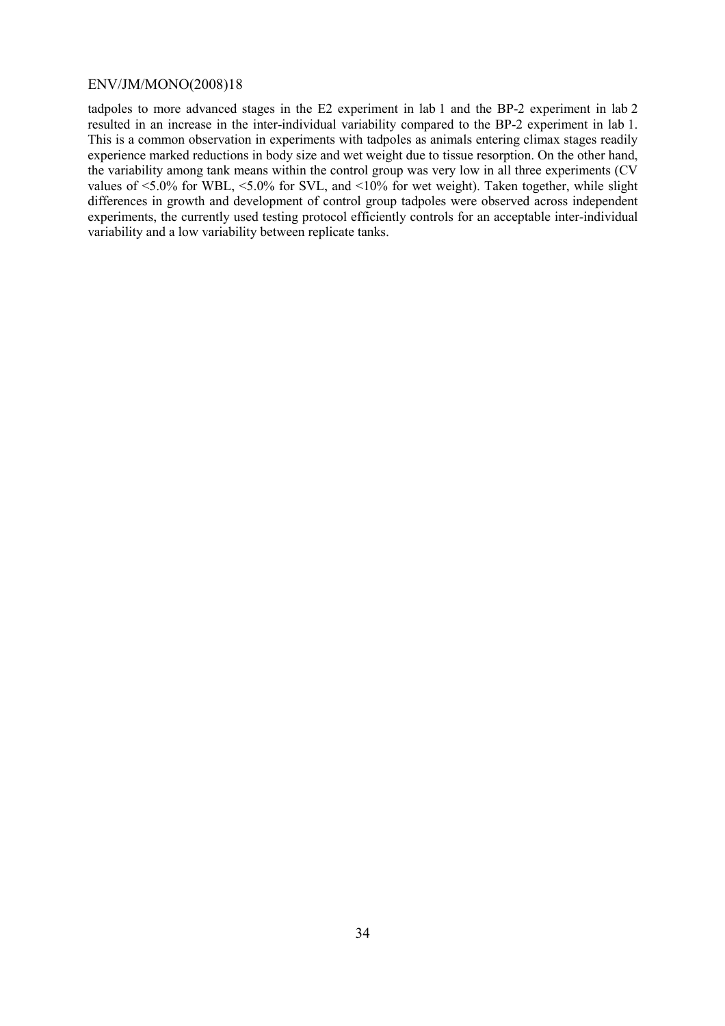tadpoles to more advanced stages in the E2 experiment in lab 1 and the BP-2 experiment in lab 2 resulted in an increase in the inter-individual variability compared to the BP-2 experiment in lab 1. This is a common observation in experiments with tadpoles as animals entering climax stages readily experience marked reductions in body size and wet weight due to tissue resorption. On the other hand, the variability among tank means within the control group was very low in all three experiments (CV values of <5.0% for WBL, <5.0% for SVL, and <10% for wet weight). Taken together, while slight differences in growth and development of control group tadpoles were observed across independent experiments, the currently used testing protocol efficiently controls for an acceptable inter-individual variability and a low variability between replicate tanks.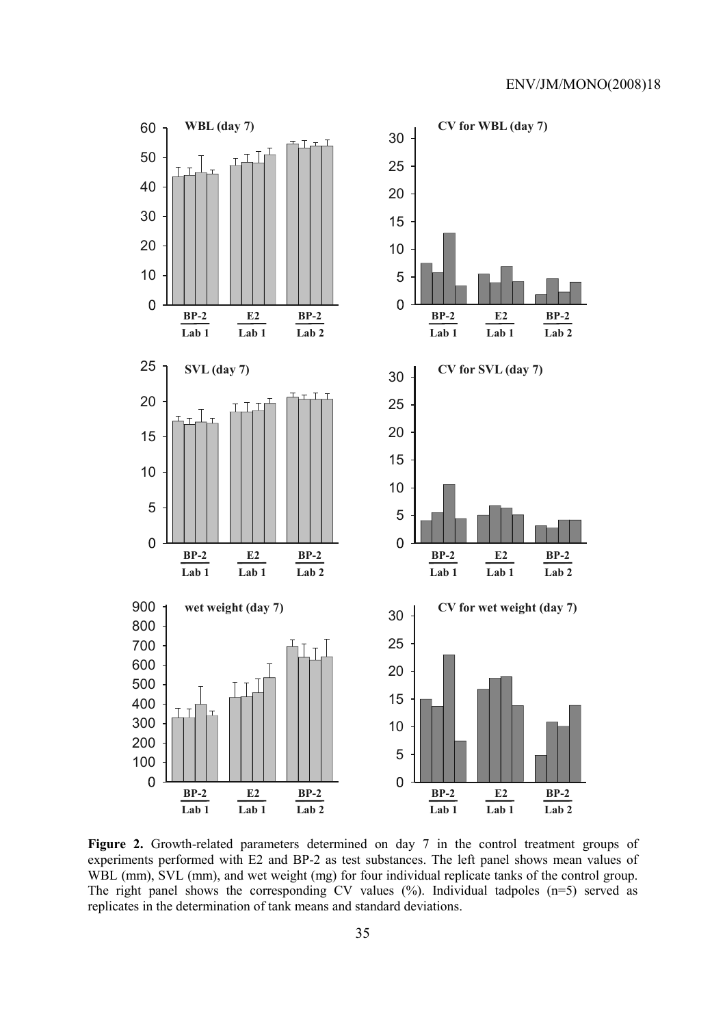

**Figure 2.** Growth-related parameters determined on day 7 in the control treatment groups of experiments performed with E2 and BP-2 as test substances. The left panel shows mean values of WBL (mm), SVL (mm), and wet weight (mg) for four individual replicate tanks of the control group. The right panel shows the corresponding CV values  $(\% )$ . Individual tadpoles  $(n=5)$  served as replicates in the determination of tank means and standard deviations.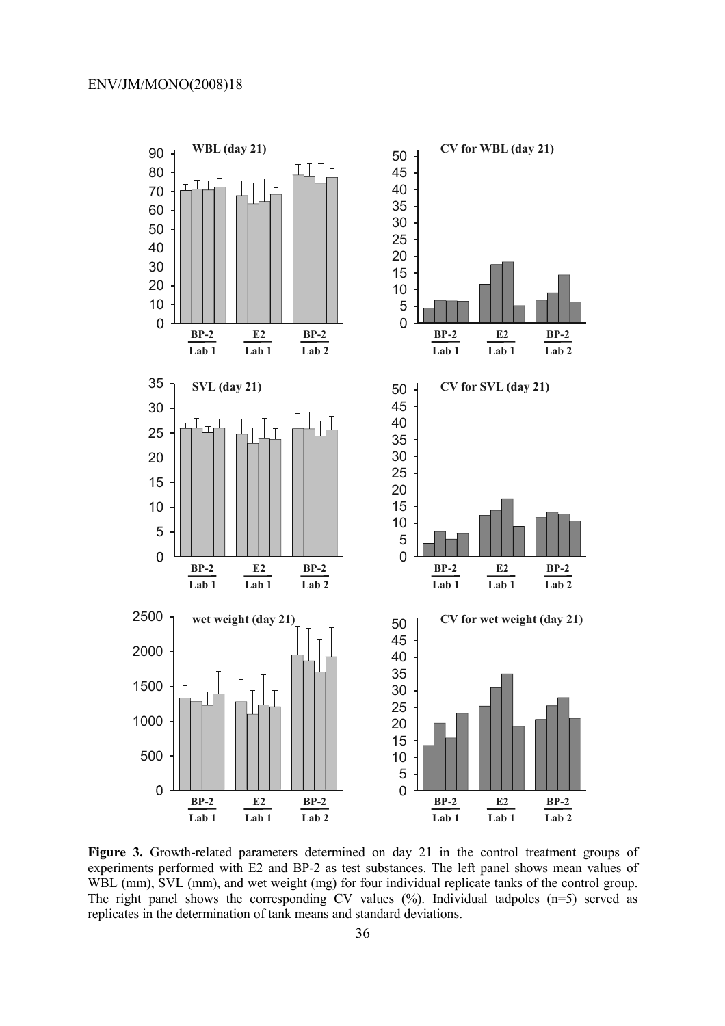

**Figure 3.** Growth-related parameters determined on day 21 in the control treatment groups of experiments performed with E2 and BP-2 as test substances. The left panel shows mean values of WBL (mm), SVL (mm), and wet weight (mg) for four individual replicate tanks of the control group. The right panel shows the corresponding CV values  $(\%)$ . Individual tadpoles  $(n=5)$  served as replicates in the determination of tank means and standard deviations.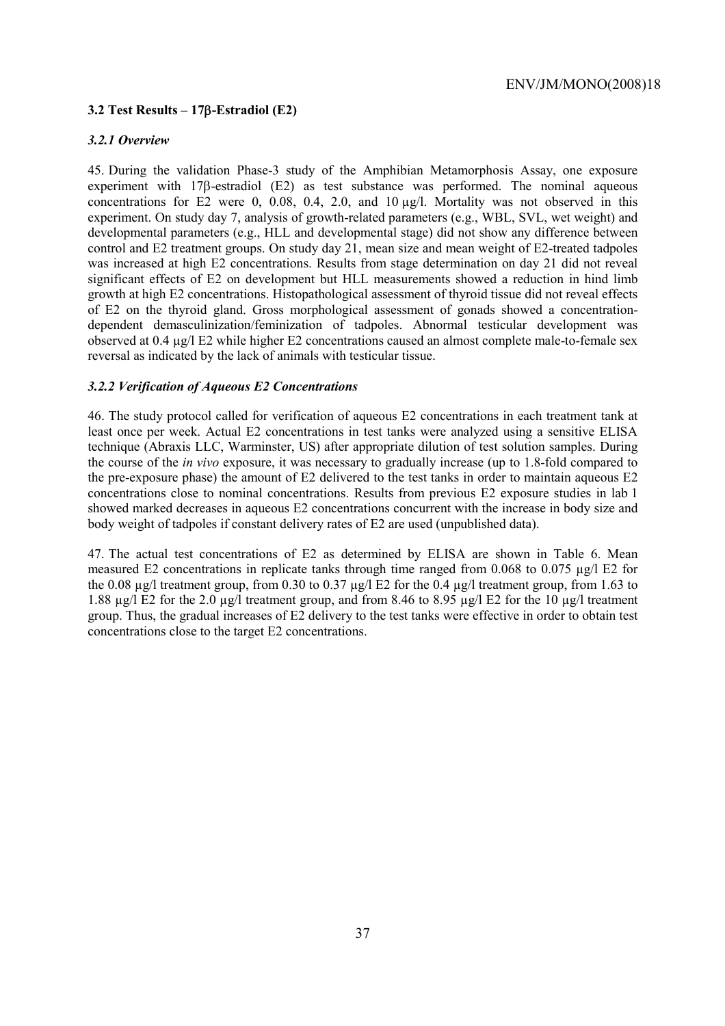## **3.2 Test Results – 17**β**-Estradiol (E2)**

#### *3.2.1 Overview*

45. During the validation Phase-3 study of the Amphibian Metamorphosis Assay, one exposure experiment with 17β-estradiol (E2) as test substance was performed. The nominal aqueous concentrations for E2 were 0, 0.08, 0.4, 2.0, and  $10 \mu g/l$ . Mortality was not observed in this experiment. On study day 7, analysis of growth-related parameters (e.g., WBL, SVL, wet weight) and developmental parameters (e.g., HLL and developmental stage) did not show any difference between control and E2 treatment groups. On study day 21, mean size and mean weight of E2-treated tadpoles was increased at high E2 concentrations. Results from stage determination on day 21 did not reveal significant effects of E2 on development but HLL measurements showed a reduction in hind limb growth at high E2 concentrations. Histopathological assessment of thyroid tissue did not reveal effects of E2 on the thyroid gland. Gross morphological assessment of gonads showed a concentrationdependent demasculinization/feminization of tadpoles. Abnormal testicular development was observed at 0.4 µg/l E2 while higher E2 concentrations caused an almost complete male-to-female sex reversal as indicated by the lack of animals with testicular tissue.

#### *3.2.2 Verification of Aqueous E2 Concentrations*

46. The study protocol called for verification of aqueous E2 concentrations in each treatment tank at least once per week. Actual E2 concentrations in test tanks were analyzed using a sensitive ELISA technique (Abraxis LLC, Warminster, US) after appropriate dilution of test solution samples. During the course of the *in vivo* exposure, it was necessary to gradually increase (up to 1.8-fold compared to the pre-exposure phase) the amount of E2 delivered to the test tanks in order to maintain aqueous E2 concentrations close to nominal concentrations. Results from previous E2 exposure studies in lab 1 showed marked decreases in aqueous E2 concentrations concurrent with the increase in body size and body weight of tadpoles if constant delivery rates of E2 are used (unpublished data).

47. The actual test concentrations of E2 as determined by ELISA are shown in Table 6. Mean measured E2 concentrations in replicate tanks through time ranged from 0.068 to 0.075 µg/l E2 for the 0.08  $\mu$ g/l treatment group, from 0.30 to 0.37  $\mu$ g/l E2 for the 0.4  $\mu$ g/l treatment group, from 1.63 to 1.88 µg/l E2 for the 2.0 µg/l treatment group, and from 8.46 to 8.95 µg/l E2 for the 10 µg/l treatment group. Thus, the gradual increases of E2 delivery to the test tanks were effective in order to obtain test concentrations close to the target E2 concentrations.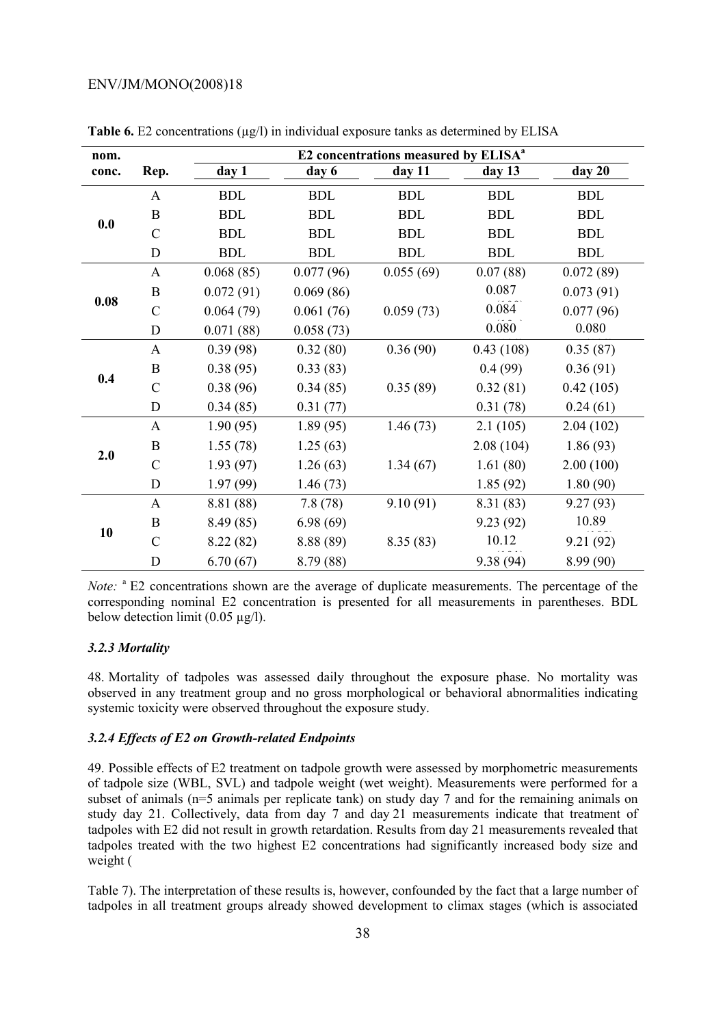| nom.  |                  | E2 concentrations measured by ELISA <sup>a</sup> |            |            |            |            |  |  |  |
|-------|------------------|--------------------------------------------------|------------|------------|------------|------------|--|--|--|
| conc. | Rep.             | day 1                                            | day 6      | day 11     | day 13     | day 20     |  |  |  |
|       | A                | <b>BDL</b>                                       | <b>BDL</b> | <b>BDL</b> | <b>BDL</b> | <b>BDL</b> |  |  |  |
|       | $\boldsymbol{B}$ | <b>BDL</b>                                       | <b>BDL</b> | <b>BDL</b> | <b>BDL</b> | <b>BDL</b> |  |  |  |
| 0.0   | $\mathcal{C}$    | <b>BDL</b>                                       | <b>BDL</b> | <b>BDL</b> | <b>BDL</b> | <b>BDL</b> |  |  |  |
|       | D                | <b>BDL</b>                                       | <b>BDL</b> | <b>BDL</b> | <b>BDL</b> | <b>BDL</b> |  |  |  |
|       | $\mathbf{A}$     | 0.068(85)                                        | 0.077(96)  | 0.055(69)  | 0.07(88)   | 0.072(89)  |  |  |  |
|       | $\bf{B}$         | 0.072(91)                                        | 0.069(86)  |            | 0.087      | 0.073(91)  |  |  |  |
| 0.08  | $\mathcal{C}$    | 0.064(79)                                        | 0.061(76)  | 0.059(73)  | 0.084      | 0.077(96)  |  |  |  |
|       | D                | 0.071(88)                                        | 0.058(73)  |            | 0.080      | 0.080      |  |  |  |
|       | $\mathbf{A}$     | 0.39(98)                                         | 0.32(80)   | 0.36(90)   | 0.43(108)  | 0.35(87)   |  |  |  |
|       | $\bf{B}$         | 0.38(95)                                         | 0.33(83)   |            | 0.4(99)    | 0.36(91)   |  |  |  |
| 0.4   | $\mathcal{C}$    | 0.38(96)                                         | 0.34(85)   | 0.35(89)   | 0.32(81)   | 0.42(105)  |  |  |  |
|       | D                | 0.34(85)                                         | 0.31(77)   |            | 0.31(78)   | 0.24(61)   |  |  |  |
|       | $\mathbf{A}$     | 1.90(95)                                         | 1.89(95)   | 1.46(73)   | 2.1(105)   | 2.04(102)  |  |  |  |
|       | $\bf{B}$         | 1.55(78)                                         | 1.25(63)   |            | 2.08(104)  | 1.86(93)   |  |  |  |
| 2.0   | $\mathcal{C}$    | 1.93(97)                                         | 1.26(63)   | 1.34(67)   | 1.61(80)   | 2.00(100)  |  |  |  |
|       | D                | 1.97(99)                                         | 1.46(73)   |            | 1.85(92)   | 1.80(90)   |  |  |  |
|       | $\mathbf{A}$     | 8.81 (88)                                        | 7.8(78)    | 9.10(91)   | 8.31 (83)  | 9.27(93)   |  |  |  |
|       | B                | 8.49 (85)                                        | 6.98(69)   |            | 9.23(92)   | 10.89      |  |  |  |
| 10    | $\mathcal{C}$    | 8.22(82)                                         | 8.88 (89)  | 8.35(83)   | 10.12      | 9.21 (92)  |  |  |  |
|       | $\mathbf D$      | 6.70(67)                                         | 8.79 (88)  |            | 9.38 (94)  | 8.99 (90)  |  |  |  |

Table 6. E2 concentrations ( $\mu$ g/l) in individual exposure tanks as determined by ELISA

*Note:* <sup>a</sup> E2 concentrations shown are the average of duplicate measurements. The percentage of the corresponding nominal E2 concentration is presented for all measurements in parentheses. BDL below detection limit (0.05  $\mu$ g/l).

## *3.2.3 Mortality*

48. Mortality of tadpoles was assessed daily throughout the exposure phase. No mortality was observed in any treatment group and no gross morphological or behavioral abnormalities indicating systemic toxicity were observed throughout the exposure study.

### *3.2.4 Effects of E2 on Growth-related Endpoints*

49. Possible effects of E2 treatment on tadpole growth were assessed by morphometric measurements of tadpole size (WBL, SVL) and tadpole weight (wet weight). Measurements were performed for a subset of animals (n=5 animals per replicate tank) on study day 7 and for the remaining animals on study day 21. Collectively, data from day 7 and day 21 measurements indicate that treatment of tadpoles with E2 did not result in growth retardation. Results from day 21 measurements revealed that tadpoles treated with the two highest E2 concentrations had significantly increased body size and weight (

Table 7). The interpretation of these results is, however, confounded by the fact that a large number of tadpoles in all treatment groups already showed development to climax stages (which is associated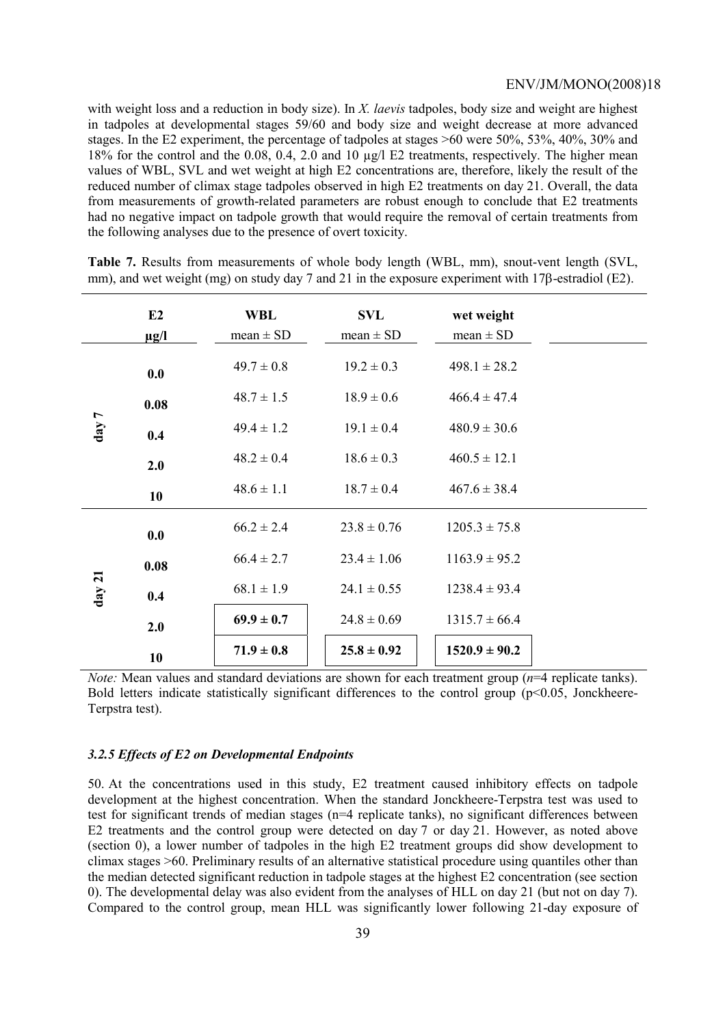with weight loss and a reduction in body size). In *X. laevis* tadpoles, body size and weight are highest in tadpoles at developmental stages 59/60 and body size and weight decrease at more advanced stages. In the E2 experiment, the percentage of tadpoles at stages >60 were 50%, 53%, 40%, 30% and 18% for the control and the 0.08, 0.4, 2.0 and 10 µg/l E2 treatments, respectively. The higher mean values of WBL, SVL and wet weight at high E2 concentrations are, therefore, likely the result of the reduced number of climax stage tadpoles observed in high E2 treatments on day 21. Overall, the data from measurements of growth-related parameters are robust enough to conclude that E2 treatments had no negative impact on tadpole growth that would require the removal of certain treatments from the following analyses due to the presence of overt toxicity.

|          | E2        | <b>WBL</b>     | <b>SVL</b>      | wet weight        |
|----------|-----------|----------------|-----------------|-------------------|
|          | $\mu$ g/l | $mean \pm SD$  | $mean \pm SD$   | $mean \pm SD$     |
|          | 0.0       | $49.7 \pm 0.8$ | $19.2 \pm 0.3$  | $498.1 \pm 28.2$  |
|          | 0.08      | $48.7 \pm 1.5$ | $18.9 \pm 0.6$  | $466.4 \pm 47.4$  |
| day 7    | 0.4       | $49.4 \pm 1.2$ | $19.1 \pm 0.4$  | $480.9 \pm 30.6$  |
|          | 2.0       | $48.2 \pm 0.4$ | $18.6 \pm 0.3$  | $460.5 \pm 12.1$  |
|          | 10        | $48.6 \pm 1.1$ | $18.7 \pm 0.4$  | $467.6 \pm 38.4$  |
|          | 0.0       | $66.2 \pm 2.4$ | $23.8 \pm 0.76$ | $1205.3 \pm 75.8$ |
|          | 0.08      | $66.4 \pm 2.7$ | $23.4 \pm 1.06$ | $1163.9 \pm 95.2$ |
| day $21$ | 0.4       | $68.1 \pm 1.9$ | $24.1 \pm 0.55$ | $1238.4 \pm 93.4$ |
|          | 2.0       | $69.9 \pm 0.7$ | $24.8 \pm 0.69$ | $1315.7 \pm 66.4$ |
|          | 10        | $71.9 \pm 0.8$ | $25.8 \pm 0.92$ | $1520.9 \pm 90.2$ |

**Table 7.** Results from measurements of whole body length (WBL, mm), snout-vent length (SVL, mm), and wet weight (mg) on study day 7 and 21 in the exposure experiment with 17β-estradiol (E2).

*Note:* Mean values and standard deviations are shown for each treatment group (*n*=4 replicate tanks). Bold letters indicate statistically significant differences to the control group  $(p<0.05,$  Jonckheere-Terpstra test).

## *3.2.5 Effects of E2 on Developmental Endpoints*

50. At the concentrations used in this study, E2 treatment caused inhibitory effects on tadpole development at the highest concentration. When the standard Jonckheere-Terpstra test was used to test for significant trends of median stages (n=4 replicate tanks), no significant differences between E2 treatments and the control group were detected on day 7 or day 21. However, as noted above (section 0), a lower number of tadpoles in the high E2 treatment groups did show development to climax stages >60. Preliminary results of an alternative statistical procedure using quantiles other than the median detected significant reduction in tadpole stages at the highest E2 concentration (see section 0). The developmental delay was also evident from the analyses of HLL on day 21 (but not on day 7). Compared to the control group, mean HLL was significantly lower following 21-day exposure of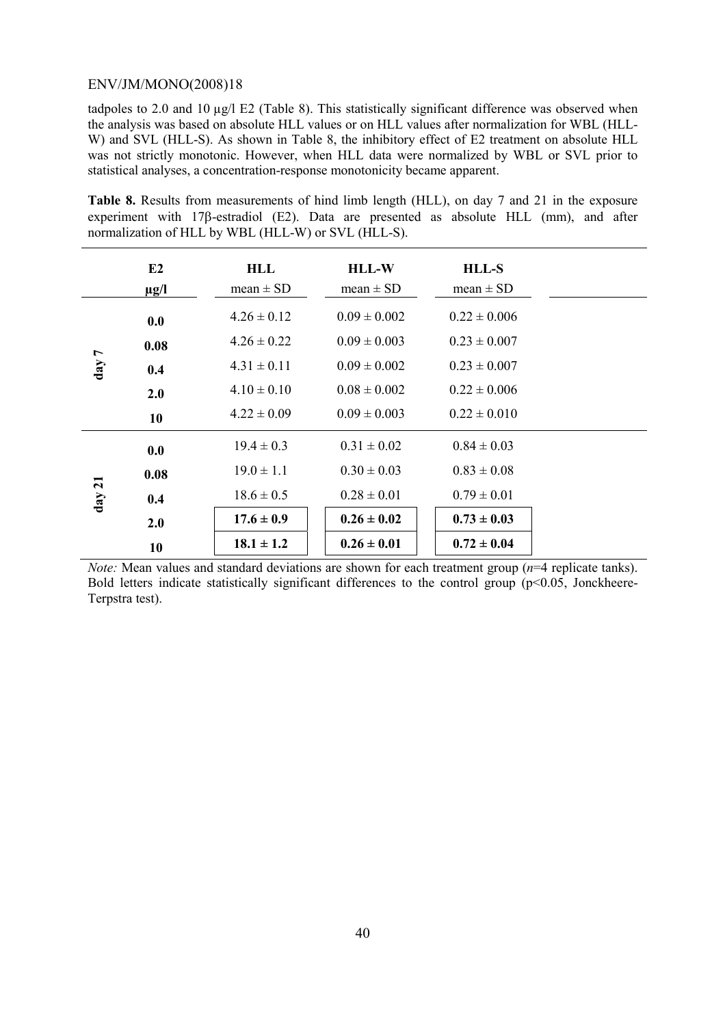tadpoles to 2.0 and 10 µg/l E2 (Table 8). This statistically significant difference was observed when the analysis was based on absolute HLL values or on HLL values after normalization for WBL (HLL-W) and SVL (HLL-S). As shown in Table 8, the inhibitory effect of E2 treatment on absolute HLL was not strictly monotonic. However, when HLL data were normalized by WBL or SVL prior to statistical analyses, a concentration-response monotonicity became apparent.

**Table 8.** Results from measurements of hind limb length (HLL), on day 7 and 21 in the exposure experiment with 17β-estradiol (E2). Data are presented as absolute HLL (mm), and after normalization of HLL by WBL (HLL-W) or SVL (HLL-S).

|          | E2<br>$\mu$ g/l | <b>HLL</b><br>mean $\pm$ SD | <b>HLL-W</b><br>$mean \pm SD$ | <b>HLL-S</b><br>$mean \pm SD$ |
|----------|-----------------|-----------------------------|-------------------------------|-------------------------------|
|          | 0.0             | $4.26 \pm 0.12$             | $0.09 \pm 0.002$              | $0.22 \pm 0.006$              |
|          | 0.08            | $4.26 \pm 0.22$             | $0.09 \pm 0.003$              | $0.23 \pm 0.007$              |
| day 7    | 0.4             | $4.31 \pm 0.11$             | $0.09 \pm 0.002$              | $0.23 \pm 0.007$              |
|          | 2.0             | $4.10 \pm 0.10$             | $0.08 \pm 0.002$              | $0.22 \pm 0.006$              |
|          | 10              | $4.22 \pm 0.09$             | $0.09 \pm 0.003$              | $0.22 \pm 0.010$              |
|          | 0.0             | $19.4 \pm 0.3$              | $0.31 \pm 0.02$               | $0.84 \pm 0.03$               |
|          | 0.08            | $19.0 \pm 1.1$              | $0.30 \pm 0.03$               | $0.83 \pm 0.08$               |
| day $21$ | 0.4             | $18.6 \pm 0.5$              | $0.28 \pm 0.01$               | $0.79 \pm 0.01$               |
|          | <b>2.0</b>      | $17.6 \pm 0.9$              | $0.26 \pm 0.02$               | $0.73 \pm 0.03$               |
|          | 10              | $18.1 \pm 1.2$              | $0.26 \pm 0.01$               | $0.72 \pm 0.04$               |

*Note:* Mean values and standard deviations are shown for each treatment group (*n*=4 replicate tanks). Bold letters indicate statistically significant differences to the control group  $(p<0.05,$  Jonckheere-Terpstra test).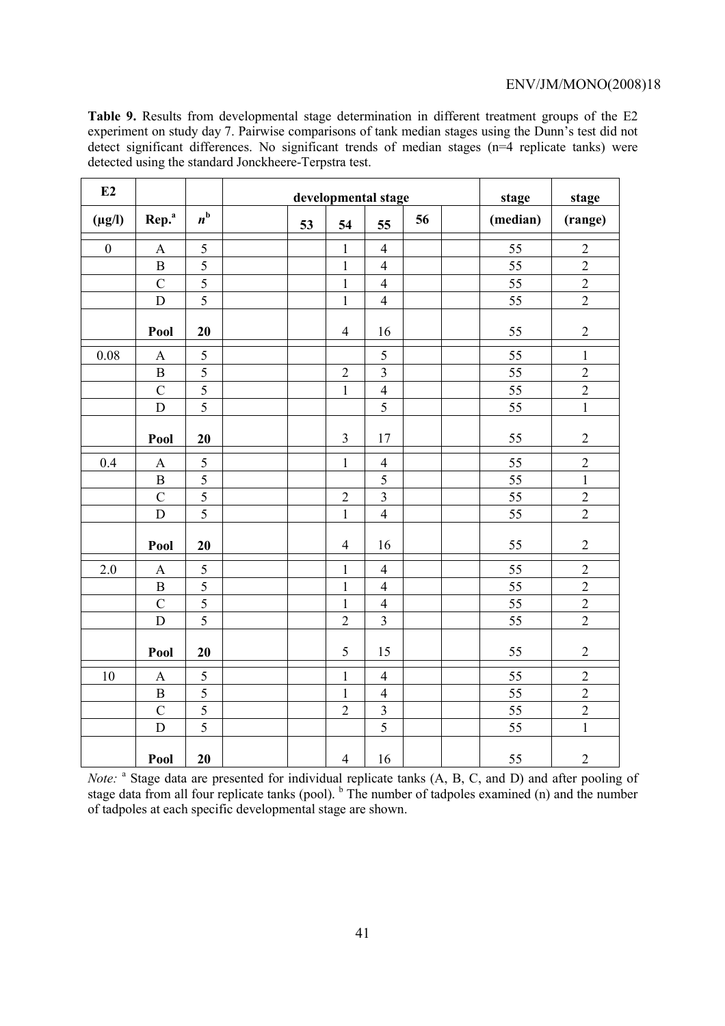**Table 9.** Results from developmental stage determination in different treatment groups of the E2 experiment on study day 7. Pairwise comparisons of tank median stages using the Dunn's test did not detect significant differences. No significant trends of median stages (n=4 replicate tanks) were detected using the standard Jonckheere-Terpstra test.

| E2               |                           |                | developmental stage |    |                |                         | stage | stage |          |                |
|------------------|---------------------------|----------------|---------------------|----|----------------|-------------------------|-------|-------|----------|----------------|
| $(\mu g/l)$      | Rep. <sup>a</sup>         | $n^{\rm b}$    |                     | 53 | 54             | 55                      | 56    |       | (median) | (range)        |
| $\boldsymbol{0}$ | $\boldsymbol{\mathsf{A}}$ | 5              |                     |    | $\mathbf{1}$   | $\overline{4}$          |       |       | 55       | $\sqrt{2}$     |
|                  | $\, {\bf B}$              | 5              |                     |    | $\mathbf{1}$   | $\overline{4}$          |       |       | 55       | $\overline{2}$ |
|                  | $\overline{C}$            | 5              |                     |    | $\mathbf{1}$   | $\overline{4}$          |       |       | 55       | $\overline{c}$ |
|                  | ${\bf D}$                 | 5              |                     |    | $\mathbf{1}$   | $\overline{4}$          |       |       | 55       | $\overline{2}$ |
|                  | Pool                      | 20             |                     |    | $\overline{4}$ | 16                      |       |       | 55       | $\sqrt{2}$     |
| 0.08             | $\mathbf{A}$              | 5              |                     |    |                | 5                       |       |       | 55       | $\mathbf{1}$   |
|                  | $\, {\bf B}$              | 5              |                     |    | $\sqrt{2}$     | $\overline{\mathbf{3}}$ |       |       | 55       | $\overline{2}$ |
|                  | $\overline{C}$            | $\overline{5}$ |                     |    | $\mathbf{1}$   | $\overline{4}$          |       |       | 55       | $\overline{2}$ |
|                  | ${\bf D}$                 | 5              |                     |    |                | 5                       |       |       | 55       | $\mathbf{1}$   |
|                  | Pool                      | 20             |                     |    | $\mathfrak{Z}$ | 17                      |       |       | 55       | $\overline{c}$ |
| 0.4              | A                         | 5              |                     |    | $\mathbf{1}$   | $\overline{4}$          |       |       | 55       | $\overline{c}$ |
|                  | $\, {\bf B}$              | $\overline{5}$ |                     |    |                | 5                       |       |       | 55       | $\mathbf 1$    |
|                  | $\mathcal{C}$             | 5              |                     |    | $\sqrt{2}$     | $\overline{\mathbf{3}}$ |       |       | 55       | $\overline{c}$ |
|                  | $\mathbf D$               | 5              |                     |    | $\mathbf{1}$   | $\overline{4}$          |       |       | 55       | $\overline{2}$ |
|                  | Pool                      | 20             |                     |    | $\overline{4}$ | 16                      |       |       | 55       | $\overline{2}$ |
| 2.0              | A                         | 5              |                     |    | $\mathbf{1}$   | $\overline{4}$          |       |       | 55       | $\overline{2}$ |
|                  | $\overline{B}$            | 5              |                     |    | $\mathbf 1$    | $\overline{4}$          |       |       | 55       | $\overline{2}$ |
|                  | $\mathcal{C}$             | 5              |                     |    | $\mathbf{1}$   | $\overline{4}$          |       |       | 55       | $\overline{c}$ |
|                  | $\overline{D}$            | $\overline{5}$ |                     |    | $\overline{2}$ | $\overline{3}$          |       |       | 55       | $\overline{2}$ |
|                  | Pool                      | 20             |                     |    | 5              | 15                      |       |       | 55       | $\overline{2}$ |
| 10               | A                         | 5              |                     |    | $\mathbf{1}$   | $\overline{4}$          |       |       | 55       | $\sqrt{2}$     |
|                  | $\overline{B}$            | 5              |                     |    | $\mathbf{1}$   | $\overline{4}$          |       |       | 55       | $\overline{2}$ |
|                  | $\mathcal{C}$             | 5              |                     |    | $\overline{2}$ | $\overline{3}$          |       |       | 55       | $\overline{2}$ |
|                  | $\mathbf D$               | $\overline{5}$ |                     |    |                | $\overline{5}$          |       |       | 55       | $\overline{1}$ |
|                  | Pool                      | 20             |                     |    | $\overline{4}$ | 16                      |       |       | 55       | $\overline{2}$ |

Note: <sup>a</sup> Stage data are presented for individual replicate tanks (A, B, C, and D) and after pooling of stage data from all four replicate tanks (pool).  $\overline{b}$  The number of tadpoles examined (n) and the number of tadpoles at each specific developmental stage are shown.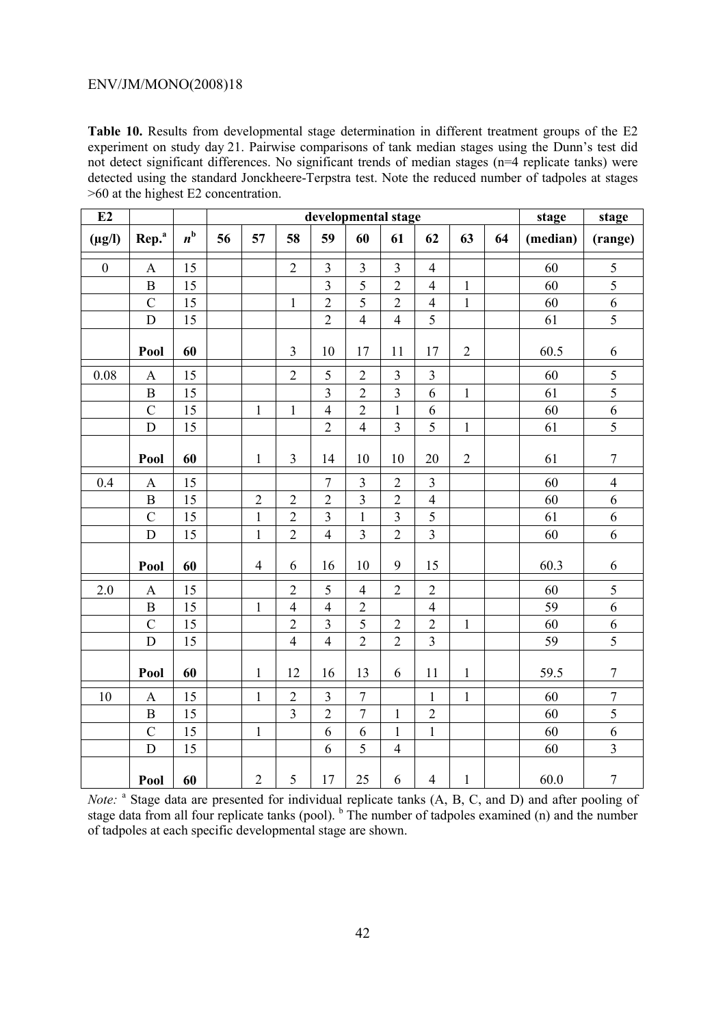**Table 10.** Results from developmental stage determination in different treatment groups of the E2 experiment on study day 21. Pairwise comparisons of tank median stages using the Dunn's test did not detect significant differences. No significant trends of median stages (n=4 replicate tanks) were detected using the standard Jonckheere-Terpstra test. Note the reduced number of tadpoles at stages >60 at the highest E2 concentration.

| E2               |                   |             |    | developmental stage |                         |                |                         |                         |                | stage          | stage |          |                  |
|------------------|-------------------|-------------|----|---------------------|-------------------------|----------------|-------------------------|-------------------------|----------------|----------------|-------|----------|------------------|
| $(\mu g/l)$      | Rep. <sup>a</sup> | $n^{\rm b}$ | 56 | 57                  | 58                      | 59             | 60                      | 61                      | 62             | 63             | 64    | (median) | (range)          |
| $\boldsymbol{0}$ | A                 | 15          |    |                     | $\sqrt{2}$              | $\overline{3}$ | $\overline{\mathbf{3}}$ | $\overline{3}$          | $\overline{4}$ |                |       | 60       | $\sqrt{5}$       |
|                  | $\, {\bf B}$      | 15          |    |                     |                         | $\overline{3}$ | $\overline{5}$          | $\overline{c}$          | $\overline{4}$ | $\mathbf{1}$   |       | 60       | $\overline{5}$   |
|                  | $\mathcal{C}$     | 15          |    |                     | $\mathbf 1$             | $\overline{2}$ | 5                       | $\sqrt{2}$              | $\overline{4}$ | $\mathbf{1}$   |       | 60       | $\sqrt{6}$       |
|                  | D                 | 15          |    |                     |                         | $\overline{2}$ | $\overline{4}$          | $\overline{4}$          | 5              |                |       | 61       | $\overline{5}$   |
|                  | Pool              | 60          |    |                     | $\mathfrak{Z}$          | 10             | 17                      | 11                      | 17             | $\sqrt{2}$     |       | 60.5     | 6                |
| 0.08             | $\mathbf{A}$      | 15          |    |                     | $\overline{2}$          | 5              | $\overline{2}$          | $\overline{3}$          | $\overline{3}$ |                |       | 60       | 5                |
|                  | $\overline{B}$    | 15          |    |                     |                         | $\overline{3}$ | $\overline{2}$          | $\overline{3}$          | 6              | $\mathbf{1}$   |       | 61       | $\overline{5}$   |
|                  | $\mathcal{C}$     | 15          |    | $\mathbf 1$         | $\mathbf{1}$            | $\overline{4}$ | $\overline{2}$          | $\mathbf{1}$            | 6              |                |       | 60       | 6                |
|                  | $\mathbf D$       | 15          |    |                     |                         | $\overline{2}$ | $\overline{4}$          | $\overline{3}$          | 5              | $\mathbf{1}$   |       | 61       | 5                |
|                  | Pool              | 60          |    | $\mathbf{1}$        | $\mathfrak{Z}$          | 14             | 10                      | 10                      | 20             | $\overline{2}$ |       | 61       | $\overline{7}$   |
| 0.4              | $\mathbf{A}$      | 15          |    |                     |                         | $\overline{7}$ | $\overline{3}$          | $\sqrt{2}$              | $\overline{3}$ |                |       | 60       | $\overline{4}$   |
|                  | $\, {\bf B}$      | 15          |    | $\sqrt{2}$          | $\overline{2}$          | $\overline{2}$ | $\overline{\mathbf{3}}$ | $\overline{2}$          | $\overline{4}$ |                |       | 60       | 6                |
|                  | $\mathcal{C}$     | 15          |    | $\mathbf{1}$        | $\overline{2}$          | $\overline{3}$ | $\mathbf{1}$            | $\overline{\mathbf{3}}$ | 5              |                |       | 61       | 6                |
|                  | D                 | 15          |    | $\mathbf{1}$        | $\overline{2}$          | $\overline{4}$ | $\overline{\mathbf{3}}$ | $\overline{2}$          | $\overline{3}$ |                |       | 60       | 6                |
|                  | Pool              | 60          |    | $\overline{4}$      | 6                       | 16             | 10                      | 9                       | 15             |                |       | 60.3     | 6                |
| 2.0              | A                 | 15          |    |                     | $\overline{2}$          | 5              | $\overline{4}$          | $\overline{2}$          | $\overline{2}$ |                |       | 60       | 5                |
|                  | $\bf{B}$          | 15          |    | $\mathbf{1}$        | $\overline{4}$          | $\overline{4}$ | $\overline{2}$          |                         | $\overline{4}$ |                |       | 59       | $\sqrt{6}$       |
|                  | $\overline{C}$    | 15          |    |                     | $\overline{2}$          | $\overline{3}$ | 5                       | $\sqrt{2}$              | $\overline{2}$ | $\mathbf{1}$   |       | 60       | $\sqrt{6}$       |
|                  | $\mathbf D$       | 15          |    |                     | $\overline{4}$          | $\overline{4}$ | $\overline{2}$          | $\overline{2}$          | $\overline{3}$ |                |       | 59       | $\overline{5}$   |
|                  | Pool              | 60          |    | $\mathbf{1}$        | 12                      | 16             | 13                      | 6                       | 11             | $\mathbf 1$    |       | 59.5     | $\tau$           |
| $10\,$           | $\mathbf{A}$      | 15          |    | $\mathbf{1}$        | $\overline{2}$          | $\overline{3}$ | $\overline{7}$          |                         | $\mathbf{1}$   | $\mathbf{1}$   |       | 60       | $\overline{7}$   |
|                  | $\bf{B}$          | 15          |    |                     | $\overline{\mathbf{3}}$ | $\overline{2}$ | $\overline{7}$          | $\mathbf{1}$            | $\overline{2}$ |                |       | 60       | 5                |
|                  | $\mathcal{C}$     | 15          |    | $\mathbf{1}$        |                         | 6              | 6                       | $\mathbf{1}$            | $\mathbf{1}$   |                |       | 60       | 6                |
|                  | D                 | 15          |    |                     |                         | 6              | 5                       | $\overline{4}$          |                |                |       | 60       | $\overline{3}$   |
|                  | Pool              | 60          |    | $\overline{2}$      | 5                       | 17             | 25                      | 6                       | $\overline{4}$ | $\mathbf{1}$   |       | 60.0     | $\boldsymbol{7}$ |

Note: <sup>a</sup> Stage data are presented for individual replicate tanks (A, B, C, and D) and after pooling of stage data from all four replicate tanks (pool).  $\overline{b}$  The number of tadpoles examined (n) and the number of tadpoles at each specific developmental stage are shown.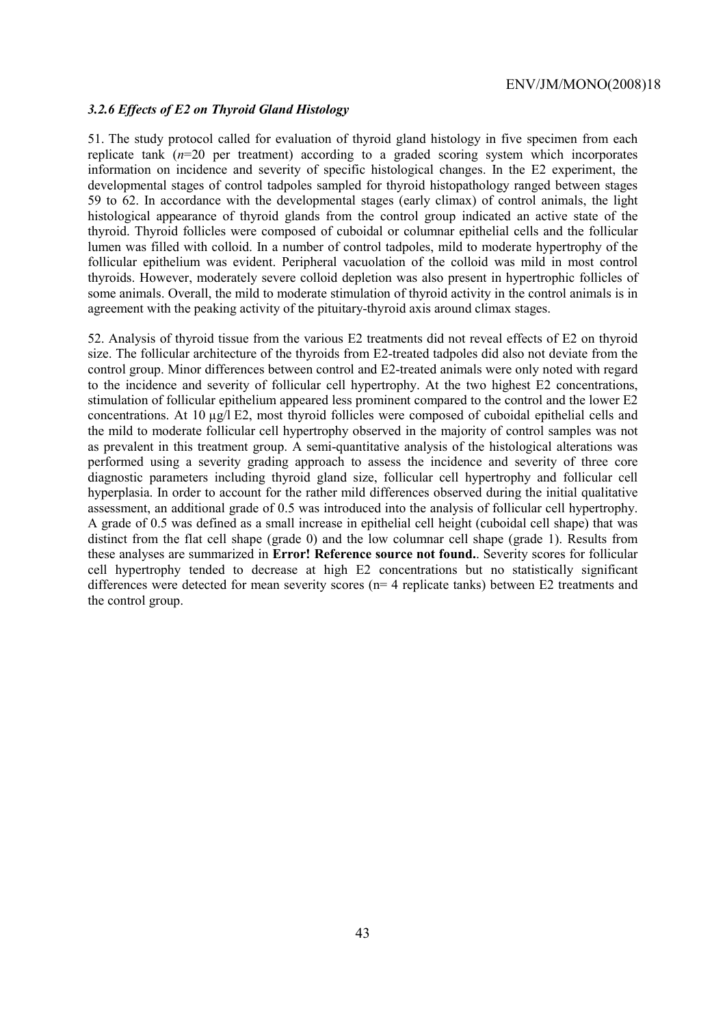### *3.2.6 Effects of E2 on Thyroid Gland Histology*

51. The study protocol called for evaluation of thyroid gland histology in five specimen from each replicate tank  $(n=20$  per treatment) according to a graded scoring system which incorporates information on incidence and severity of specific histological changes. In the E2 experiment, the developmental stages of control tadpoles sampled for thyroid histopathology ranged between stages 59 to 62. In accordance with the developmental stages (early climax) of control animals, the light histological appearance of thyroid glands from the control group indicated an active state of the thyroid. Thyroid follicles were composed of cuboidal or columnar epithelial cells and the follicular lumen was filled with colloid. In a number of control tadpoles, mild to moderate hypertrophy of the follicular epithelium was evident. Peripheral vacuolation of the colloid was mild in most control thyroids. However, moderately severe colloid depletion was also present in hypertrophic follicles of some animals. Overall, the mild to moderate stimulation of thyroid activity in the control animals is in agreement with the peaking activity of the pituitary-thyroid axis around climax stages.

52. Analysis of thyroid tissue from the various E2 treatments did not reveal effects of E2 on thyroid size. The follicular architecture of the thyroids from E2-treated tadpoles did also not deviate from the control group. Minor differences between control and E2-treated animals were only noted with regard to the incidence and severity of follicular cell hypertrophy. At the two highest E2 concentrations, stimulation of follicular epithelium appeared less prominent compared to the control and the lower E2 concentrations. At 10 µg/l E2, most thyroid follicles were composed of cuboidal epithelial cells and the mild to moderate follicular cell hypertrophy observed in the majority of control samples was not as prevalent in this treatment group. A semi-quantitative analysis of the histological alterations was performed using a severity grading approach to assess the incidence and severity of three core diagnostic parameters including thyroid gland size, follicular cell hypertrophy and follicular cell hyperplasia. In order to account for the rather mild differences observed during the initial qualitative assessment, an additional grade of 0.5 was introduced into the analysis of follicular cell hypertrophy. A grade of 0.5 was defined as a small increase in epithelial cell height (cuboidal cell shape) that was distinct from the flat cell shape (grade 0) and the low columnar cell shape (grade 1). Results from these analyses are summarized in **Error! Reference source not found.**. Severity scores for follicular cell hypertrophy tended to decrease at high E2 concentrations but no statistically significant differences were detected for mean severity scores (n= 4 replicate tanks) between E2 treatments and the control group.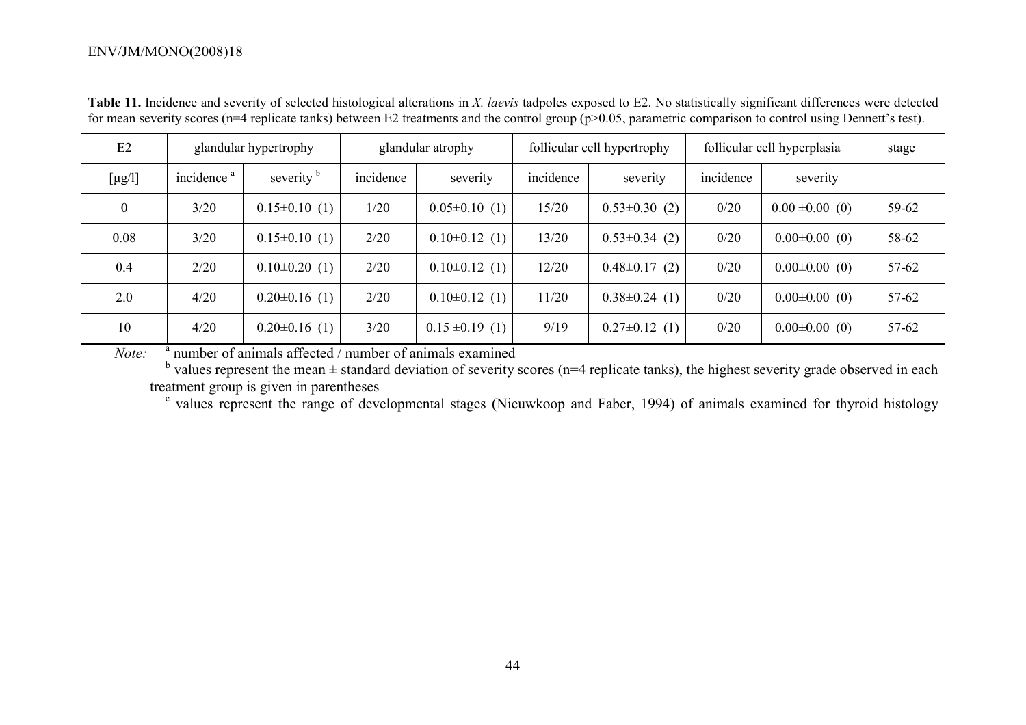| E2          | glandular hypertrophy  |                       |           | glandular atrophy   |           | follicular cell hypertrophy |           | follicular cell hyperplasia | stage     |  |
|-------------|------------------------|-----------------------|-----------|---------------------|-----------|-----------------------------|-----------|-----------------------------|-----------|--|
| $[\mu g/l]$ | incidence <sup>a</sup> | severity <sup>b</sup> | incidence | severity            | incidence | severity                    | incidence | severity                    |           |  |
| $\theta$    | 3/20                   | $0.15\pm0.10$ (1)     | 1/20      | $0.05 \pm 0.10$ (1) | 15/20     | $0.53\pm0.30$ (2)           | 0/20      | $0.00 \pm 0.00$ (0)         | 59-62     |  |
| 0.08        | 3/20                   | $0.15 \pm 0.10$ (1)   | 2/20      | $0.10\pm0.12$ (1)   | 13/20     | $0.53\pm0.34$ (2)           | 0/20      | $0.00\pm0.00$ (0)           | 58-62     |  |
| 0.4         | 2/20                   | $0.10\pm0.20$ (1)     | 2/20      | $0.10\pm0.12$ (1)   | 12/20     | $0.48 \pm 0.17$ (2)         | 0/20      | $0.00\pm0.00$ (0)           | 57-62     |  |
| 2.0         | 4/20                   | $0.20 \pm 0.16$ (1)   | 2/20      | $0.10\pm0.12$ (1)   | 11/20     | $0.38\pm0.24$ (1)           | 0/20      | $0.00\pm0.00$ (0)           | 57-62     |  |
| 10          | 4/20                   | $0.20 \pm 0.16$ (1)   | 3/20      | $0.15 \pm 0.19$ (1) | 9/19      | $0.27 \pm 0.12$ (1)         | 0/20      | $0.00\pm0.00$ (0)           | $57 - 62$ |  |

| Table 11. Incidence and severity of selected histological alterations in X. laevis tadpoles exposed to E2. No statistically significant differences were detected  |
|--------------------------------------------------------------------------------------------------------------------------------------------------------------------|
| for mean severity scores ( $n=4$ replicate tanks) between E2 treatments and the control group ( $p>0.05$ , parametric comparison to control using Dennett's test). |

*Note:* $\therefore$  <sup>a</sup> number of animals affected / number of animals examined

 $b$  values represent the mean  $\pm$  standard deviation of severity scores (n=4 replicate tanks), the highest severity grade observed in each treatment group is given in parentheses

<sup>c</sup> values represent the range of developmental stages (Nieuwkoop and Faber, 1994) of animals examined for thyroid histology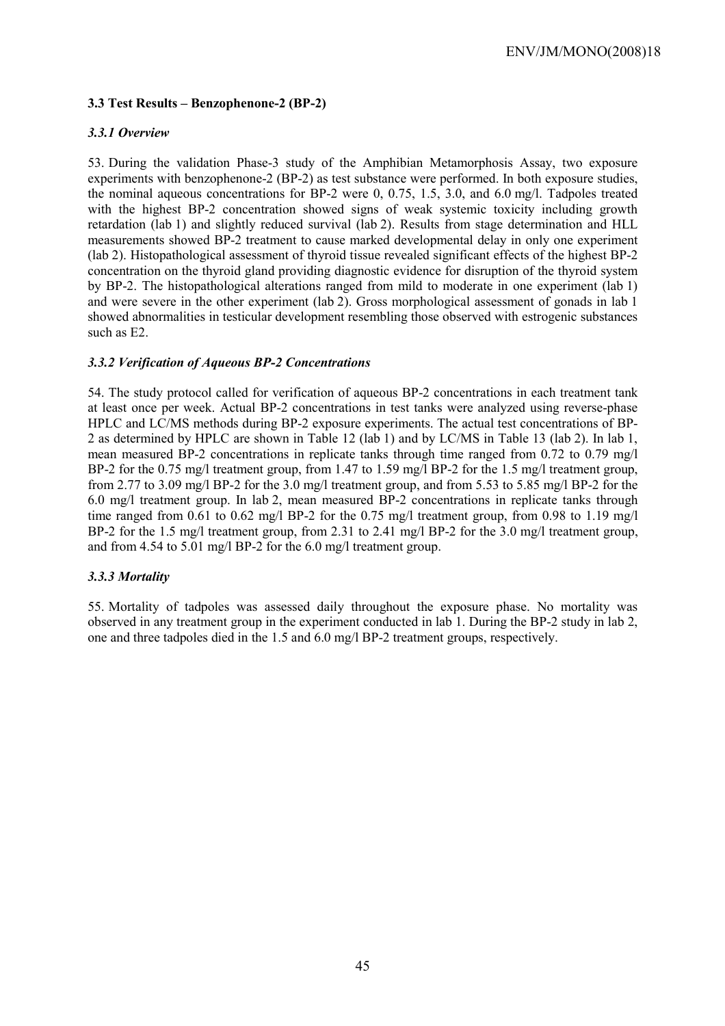## **3.3 Test Results – Benzophenone-2 (BP-2)**

## *3.3.1 Overview*

53. During the validation Phase-3 study of the Amphibian Metamorphosis Assay, two exposure experiments with benzophenone-2 (BP-2) as test substance were performed. In both exposure studies, the nominal aqueous concentrations for BP-2 were 0, 0.75, 1.5, 3.0, and 6.0 mg/l. Tadpoles treated with the highest BP-2 concentration showed signs of weak systemic toxicity including growth retardation (lab 1) and slightly reduced survival (lab 2). Results from stage determination and HLL measurements showed BP-2 treatment to cause marked developmental delay in only one experiment (lab 2). Histopathological assessment of thyroid tissue revealed significant effects of the highest BP-2 concentration on the thyroid gland providing diagnostic evidence for disruption of the thyroid system by BP-2. The histopathological alterations ranged from mild to moderate in one experiment (lab 1) and were severe in the other experiment (lab 2). Gross morphological assessment of gonads in lab 1 showed abnormalities in testicular development resembling those observed with estrogenic substances such as E2.

## *3.3.2 Verification of Aqueous BP-2 Concentrations*

54. The study protocol called for verification of aqueous BP-2 concentrations in each treatment tank at least once per week. Actual BP-2 concentrations in test tanks were analyzed using reverse-phase HPLC and LC/MS methods during BP-2 exposure experiments. The actual test concentrations of BP-2 as determined by HPLC are shown in Table 12 (lab 1) and by LC/MS in Table 13 (lab 2). In lab 1, mean measured BP-2 concentrations in replicate tanks through time ranged from 0.72 to 0.79 mg/l BP-2 for the 0.75 mg/l treatment group, from 1.47 to 1.59 mg/l BP-2 for the 1.5 mg/l treatment group, from 2.77 to 3.09 mg/l BP-2 for the 3.0 mg/l treatment group, and from 5.53 to 5.85 mg/l BP-2 for the 6.0 mg/l treatment group. In lab 2, mean measured BP-2 concentrations in replicate tanks through time ranged from 0.61 to 0.62 mg/l BP-2 for the 0.75 mg/l treatment group, from 0.98 to 1.19 mg/l BP-2 for the 1.5 mg/l treatment group, from 2.31 to 2.41 mg/l BP-2 for the 3.0 mg/l treatment group, and from 4.54 to 5.01 mg/l BP-2 for the 6.0 mg/l treatment group.

## *3.3.3 Mortality*

55. Mortality of tadpoles was assessed daily throughout the exposure phase. No mortality was observed in any treatment group in the experiment conducted in lab 1. During the BP-2 study in lab 2, one and three tadpoles died in the 1.5 and 6.0 mg/l BP-2 treatment groups, respectively.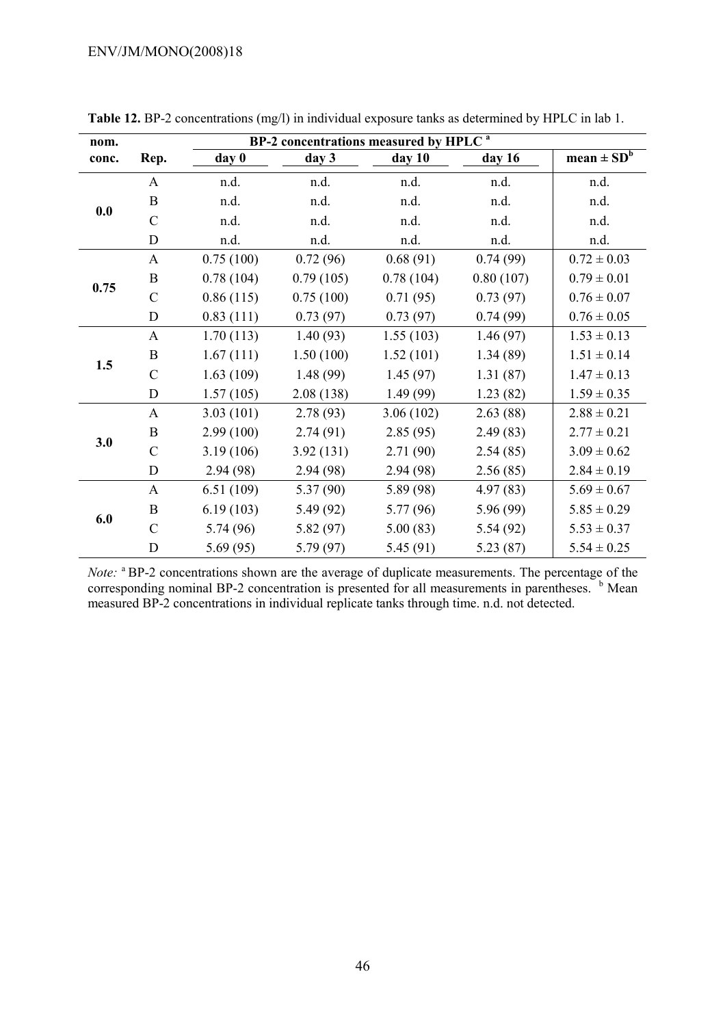| nom.  |               |           |           | BP-2 concentrations measured by HPLC <sup>a</sup> |           |                 |  |  |  |
|-------|---------------|-----------|-----------|---------------------------------------------------|-----------|-----------------|--|--|--|
| conc. | Rep.          | day 0     | day 3     | day 10                                            | day 16    | mean $\pm SD^b$ |  |  |  |
|       | A             | n.d.      | n.d.      | n.d.                                              | n.d.      | n.d.            |  |  |  |
| 0.0   | $\mathbf{B}$  | n.d.      | n.d.      | n.d.                                              | n.d.      | n.d.            |  |  |  |
|       | $\mathcal{C}$ | n.d.      | n.d.      | n.d.                                              | n.d.      | n.d.            |  |  |  |
|       | D             | n.d.      | n.d.      | n.d.                                              | n.d.      | n.d.            |  |  |  |
|       | $\mathbf{A}$  | 0.75(100) | 0.72(96)  | 0.68(91)                                          | 0.74(99)  | $0.72 \pm 0.03$ |  |  |  |
|       | $\bf{B}$      | 0.78(104) | 0.79(105) | 0.78(104)                                         | 0.80(107) | $0.79 \pm 0.01$ |  |  |  |
| 0.75  | $\mathcal{C}$ | 0.86(115) | 0.75(100) | 0.71(95)                                          | 0.73(97)  | $0.76 \pm 0.07$ |  |  |  |
|       | D             | 0.83(111) | 0.73(97)  | 0.73(97)                                          | 0.74(99)  | $0.76 \pm 0.05$ |  |  |  |
|       | $\mathbf{A}$  | 1.70(113) | 1.40(93)  | 1.55(103)                                         | 1.46(97)  | $1.53 \pm 0.13$ |  |  |  |
| 1.5   | $\mathbf B$   | 1.67(111) | 1.50(100) | 1.52(101)                                         | 1.34(89)  | $1.51 \pm 0.14$ |  |  |  |
|       | $\mathcal{C}$ | 1.63(109) | 1.48(99)  | 1.45(97)                                          | 1.31(87)  | $1.47 \pm 0.13$ |  |  |  |
|       | D             | 1.57(105) | 2.08(138) | 1.49(99)                                          | 1.23(82)  | $1.59 \pm 0.35$ |  |  |  |
|       | $\mathbf{A}$  | 3.03(101) | 2.78(93)  | 3.06(102)                                         | 2.63(88)  | $2.88 \pm 0.21$ |  |  |  |
|       | $\bf{B}$      | 2.99(100) | 2.74(91)  | 2.85(95)                                          | 2.49(83)  | $2.77 \pm 0.21$ |  |  |  |
| 3.0   | $\mathcal{C}$ | 3.19(106) | 3.92(131) | 2.71(90)                                          | 2.54(85)  | $3.09 \pm 0.62$ |  |  |  |
|       | $\mathbf D$   | 2.94(98)  | 2.94(98)  | 2.94(98)                                          | 2.56(85)  | $2.84 \pm 0.19$ |  |  |  |
|       | $\mathbf{A}$  | 6.51(109) | 5.37(90)  | 5.89 (98)                                         | 4.97(83)  | $5.69 \pm 0.67$ |  |  |  |
|       | $\bf{B}$      | 6.19(103) | 5.49(92)  | 5.77 (96)                                         | 5.96 (99) | $5.85 \pm 0.29$ |  |  |  |
| 6.0   | $\mathcal{C}$ | 5.74(96)  | 5.82(97)  | 5.00(83)                                          | 5.54(92)  | $5.53 \pm 0.37$ |  |  |  |
|       | ${\bf D}$     | 5.69(95)  | 5.79 (97) | 5.45(91)                                          | 5.23(87)  | $5.54 \pm 0.25$ |  |  |  |

**Table 12.** BP-2 concentrations (mg/l) in individual exposure tanks as determined by HPLC in lab 1.

*Note:* <sup>a</sup> BP-2 concentrations shown are the average of duplicate measurements. The percentage of the corresponding nominal BP-2 concentration is presented for all measurements in parentheses.  $\overline{b}$  Mean measured BP-2 concentrations in individual replicate tanks through time. n.d. not detected.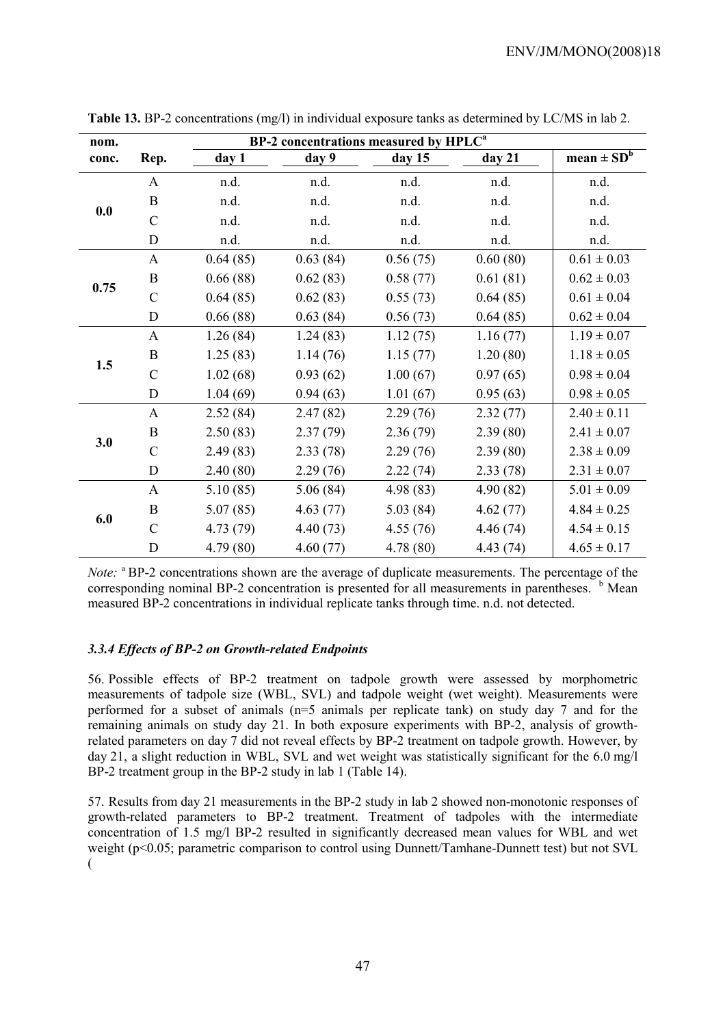| nom.  |               | BP-2 concentrations measured by HPLC <sup>a</sup> |                 |           |          |                            |  |  |  |
|-------|---------------|---------------------------------------------------|-----------------|-----------|----------|----------------------------|--|--|--|
| conc. | Rep.          | day <sub>1</sub>                                  | $\frac{day}{ }$ | day 15    | day 21   | mean $\pm$ SD <sup>b</sup> |  |  |  |
|       | A             | n.d.                                              | n.d.            | n.d.      | n.d.     | n.d.                       |  |  |  |
|       | $\mathbf B$   | n.d.                                              | n.d.            | n.d.      | n.d.     | n.d.                       |  |  |  |
| 0.0   | $\mathcal{C}$ | n.d.                                              | n.d.            | n.d.      | n.d.     | n.d.                       |  |  |  |
|       | D             | n.d.                                              | n.d.            | n.d.      | n.d.     | n.d.                       |  |  |  |
|       | $\mathbf{A}$  | 0.64(85)                                          | 0.63(84)        | 0.56(75)  | 0.60(80) | $0.61 \pm 0.03$            |  |  |  |
|       | $\mathbf{B}$  | 0.66(88)                                          | 0.62(83)        | 0.58(77)  | 0.61(81) | $0.62 \pm 0.03$            |  |  |  |
| 0.75  | $\mathcal{C}$ | 0.64(85)                                          | 0.62(83)        | 0.55(73)  | 0.64(85) | $0.61 \pm 0.04$            |  |  |  |
|       | D             | 0.66(88)                                          | 0.63(84)        | 0.56(73)  | 0.64(85) | $0.62 \pm 0.04$            |  |  |  |
|       | $\mathbf{A}$  | 1.26(84)                                          | 1.24(83)        | 1.12(75)  | 1.16(77) | $1.19 \pm 0.07$            |  |  |  |
|       | $\bf{B}$      | 1.25(83)                                          | 1.14(76)        | 1.15(77)  | 1.20(80) | $1.18 \pm 0.05$            |  |  |  |
| 1.5   | $\mathcal{C}$ | 1.02(68)                                          | 0.93(62)        | 1.00(67)  | 0.97(65) | $0.98 \pm 0.04$            |  |  |  |
|       | D             | 1.04(69)                                          | 0.94(63)        | 1.01(67)  | 0.95(63) | $0.98 \pm 0.05$            |  |  |  |
|       | $\mathbf{A}$  | 2.52(84)                                          | 2.47(82)        | 2.29(76)  | 2.32(77) | $2.40 \pm 0.11$            |  |  |  |
|       | B             | 2.50(83)                                          | 2.37(79)        | 2.36(79)  | 2.39(80) | $2.41 \pm 0.07$            |  |  |  |
| 3.0   | $\mathcal{C}$ | 2.49(83)                                          | 2.33(78)        | 2.29(76)  | 2.39(80) | $2.38 \pm 0.09$            |  |  |  |
|       | D             | 2.40(80)                                          | 2.29(76)        | 2.22(74)  | 2.33(78) | $2.31 \pm 0.07$            |  |  |  |
|       | $\mathbf{A}$  | 5.10(85)                                          | 5.06(84)        | 4.98 (83) | 4.90(82) | $5.01 \pm 0.09$            |  |  |  |
|       | B             | 5.07(85)                                          | 4.63(77)        | 5.03(84)  | 4.62(77) | $4.84 \pm 0.25$            |  |  |  |
| 6.0   | $\mathcal{C}$ | 4.73 (79)                                         | 4.40(73)        | 4.55(76)  | 4.46(74) | $4.54 \pm 0.15$            |  |  |  |
|       | D             | 4.79(80)                                          | 4.60(77)        | 4.78 (80) | 4.43(74) | $4.65 \pm 0.17$            |  |  |  |

|  |  |  | Table 13. BP-2 concentrations (mg/l) in individual exposure tanks as determined by LC/MS in lab 2. |
|--|--|--|----------------------------------------------------------------------------------------------------|
|--|--|--|----------------------------------------------------------------------------------------------------|

*Note:* <sup>a</sup> BP-2 concentrations shown are the average of duplicate measurements. The percentage of the corresponding nominal BP-2 concentration is presented for all measurements in parentheses.  $\overline{b}$  Mean measured BP-2 concentrations in individual replicate tanks through time. n.d. not detected.

## *3.3.4 Effects of BP-2 on Growth-related Endpoints*

56. Possible effects of BP-2 treatment on tadpole growth were assessed by morphometric measurements of tadpole size (WBL, SVL) and tadpole weight (wet weight). Measurements were performed for a subset of animals (n=5 animals per replicate tank) on study day 7 and for the remaining animals on study day 21. In both exposure experiments with BP-2, analysis of growthrelated parameters on day 7 did not reveal effects by BP-2 treatment on tadpole growth. However, by day 21, a slight reduction in WBL, SVL and wet weight was statistically significant for the 6.0 mg/l BP-2 treatment group in the BP-2 study in lab 1 (Table 14).

57. Results from day 21 measurements in the BP-2 study in lab 2 showed non-monotonic responses of growth-related parameters to BP-2 treatment. Treatment of tadpoles with the intermediate concentration of 1.5 mg/l BP-2 resulted in significantly decreased mean values for WBL and wet weight (p<0.05; parametric comparison to control using Dunnett/Tamhane-Dunnett test) but not SVL (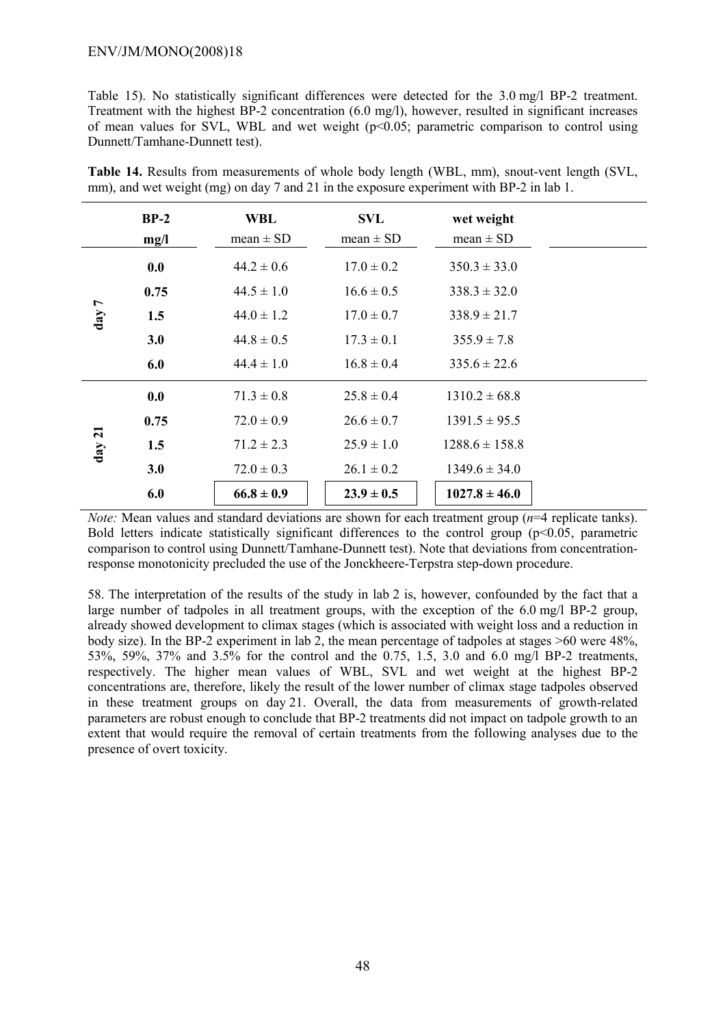Table 15). No statistically significant differences were detected for the 3.0 mg/l BP-2 treatment. Treatment with the highest BP-2 concentration (6.0 mg/l), however, resulted in significant increases of mean values for SVL, WBL and wet weight  $(p<0.05$ ; parametric comparison to control using Dunnett/Tamhane-Dunnett test).

|         | $BP-2$<br>mg/l | WBL<br>mean $\pm$ SD | SVL<br>mean $\pm$ SD | wet weight<br>$mean \pm SD$ |
|---------|----------------|----------------------|----------------------|-----------------------------|
|         | 0.0            | $44.2 \pm 0.6$       | $17.0 \pm 0.2$       | $350.3 \pm 33.0$            |
|         | 0.75           | $44.5 \pm 1.0$       | $16.6 \pm 0.5$       | $338.3 \pm 32.0$            |
| day $7$ | 1.5            | $44.0 \pm 1.2$       | $17.0 \pm 0.7$       | $338.9 \pm 21.7$            |
|         | 3.0            | $44.8 \pm 0.5$       | $17.3 \pm 0.1$       | $355.9 \pm 7.8$             |
|         | 6.0            | $44.4 \pm 1.0$       | $16.8 \pm 0.4$       | $335.6 \pm 22.6$            |
|         | 0.0            | $71.3 \pm 0.8$       | $25.8 \pm 0.4$       | $1310.2 \pm 68.8$           |
|         | 0.75           | $72.0 \pm 0.9$       | $26.6 \pm 0.7$       | $1391.5 \pm 95.5$           |
| day 21  | 1.5            | $71.2 \pm 2.3$       | $25.9 \pm 1.0$       | $1288.6 \pm 158.8$          |
|         | 3.0            | $72.0 \pm 0.3$       | $26.1 \pm 0.2$       | $1349.6 \pm 34.0$           |
|         | 6.0            | $66.8 \pm 0.9$       | $23.9 \pm 0.5$       | $1027.8 \pm 46.0$           |

**Table 14.** Results from measurements of whole body length (WBL, mm), snout-vent length (SVL, mm), and wet weight (mg) on day 7 and 21 in the exposure experiment with BP-2 in lab 1.

*Note:* Mean values and standard deviations are shown for each treatment group (*n*=4 replicate tanks). Bold letters indicate statistically significant differences to the control group (p<0.05, parametric comparison to control using Dunnett/Tamhane-Dunnett test). Note that deviations from concentrationresponse monotonicity precluded the use of the Jonckheere-Terpstra step-down procedure.

58. The interpretation of the results of the study in lab 2 is, however, confounded by the fact that a large number of tadpoles in all treatment groups, with the exception of the 6.0 mg/l BP-2 group, already showed development to climax stages (which is associated with weight loss and a reduction in body size). In the BP-2 experiment in lab 2, the mean percentage of tadpoles at stages >60 were 48%, 53%, 59%, 37% and 3.5% for the control and the 0.75, 1.5, 3.0 and 6.0 mg/l BP-2 treatments, respectively. The higher mean values of WBL, SVL and wet weight at the highest BP-2 concentrations are, therefore, likely the result of the lower number of climax stage tadpoles observed in these treatment groups on day 21. Overall, the data from measurements of growth-related parameters are robust enough to conclude that BP-2 treatments did not impact on tadpole growth to an extent that would require the removal of certain treatments from the following analyses due to the presence of overt toxicity.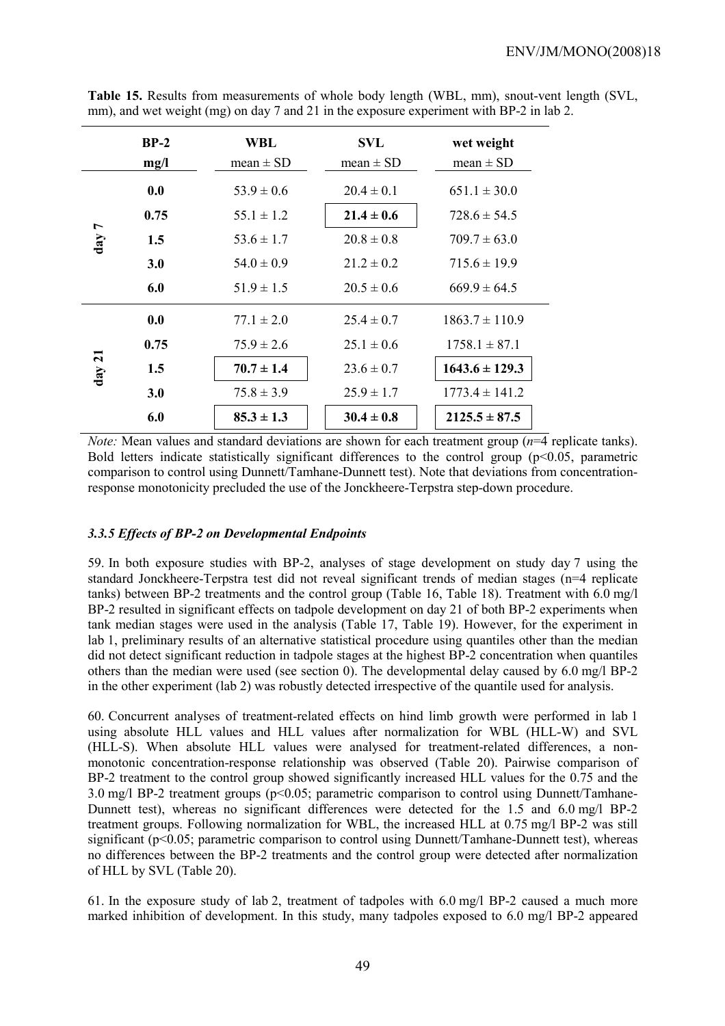|        | $BP-2$<br>mg/l | WBL.<br>$mean \pm SD$ | <b>SVL</b><br>$mean \pm SD$ | wet weight<br>$mean \pm SD$ |
|--------|----------------|-----------------------|-----------------------------|-----------------------------|
|        | 0.0            | $53.9 \pm 0.6$        | $20.4 \pm 0.1$              | $651.1 \pm 30.0$            |
|        | 0.75           | $55.1 \pm 1.2$        | $21.4 \pm 0.6$              | $728.6 \pm 54.5$            |
| day 7  | 1.5            | $53.6 \pm 1.7$        | $20.8 \pm 0.8$              | $709.7 \pm 63.0$            |
|        | <b>3.0</b>     | $54.0 \pm 0.9$        | $21.2 \pm 0.2$              | $715.6 \pm 19.9$            |
|        | 6.0            | $51.9 \pm 1.5$        | $20.5 \pm 0.6$              | $669.9 \pm 64.5$            |
|        | 0.0            | $77.1 \pm 2.0$        | $25.4 \pm 0.7$              | $1863.7 \pm 110.9$          |
|        | 0.75           | $75.9 \pm 2.6$        | $25.1 \pm 0.6$              | $1758.1 \pm 87.1$           |
| day 21 | 1.5            | $70.7 \pm 1.4$        | $23.6 \pm 0.7$              | $1643.6 \pm 129.3$          |
|        | 3.0            | $75.8 \pm 3.9$        | $25.9 \pm 1.7$              | $1773.4 \pm 141.2$          |
|        | 6.0            | $85.3 \pm 1.3$        | $30.4 \pm 0.8$              | $2125.5 \pm 87.5$           |

**Table 15.** Results from measurements of whole body length (WBL, mm), snout-vent length (SVL, mm), and wet weight (mg) on day 7 and 21 in the exposure experiment with BP-2 in lab 2.

*Note:* Mean values and standard deviations are shown for each treatment group (*n*=4 replicate tanks). Bold letters indicate statistically significant differences to the control group  $(p<0.05$ , parametric comparison to control using Dunnett/Tamhane-Dunnett test). Note that deviations from concentrationresponse monotonicity precluded the use of the Jonckheere-Terpstra step-down procedure.

## *3.3.5 Effects of BP-2 on Developmental Endpoints*

59. In both exposure studies with BP-2, analyses of stage development on study day 7 using the standard Jonckheere-Terpstra test did not reveal significant trends of median stages (n=4 replicate tanks) between BP-2 treatments and the control group (Table 16, Table 18). Treatment with 6.0 mg/l BP-2 resulted in significant effects on tadpole development on day 21 of both BP-2 experiments when tank median stages were used in the analysis (Table 17, Table 19). However, for the experiment in lab 1, preliminary results of an alternative statistical procedure using quantiles other than the median did not detect significant reduction in tadpole stages at the highest BP-2 concentration when quantiles others than the median were used (see section 0). The developmental delay caused by 6.0 mg/l BP-2 in the other experiment (lab 2) was robustly detected irrespective of the quantile used for analysis.

60. Concurrent analyses of treatment-related effects on hind limb growth were performed in lab 1 using absolute HLL values and HLL values after normalization for WBL (HLL-W) and SVL (HLL-S). When absolute HLL values were analysed for treatment-related differences, a nonmonotonic concentration-response relationship was observed (Table 20). Pairwise comparison of BP-2 treatment to the control group showed significantly increased HLL values for the 0.75 and the 3.0 mg/l BP-2 treatment groups (p<0.05; parametric comparison to control using Dunnett/Tamhane-Dunnett test), whereas no significant differences were detected for the 1.5 and 6.0 mg/l BP-2 treatment groups. Following normalization for WBL, the increased HLL at 0.75 mg/l BP-2 was still significant (p<0.05; parametric comparison to control using Dunnett/Tamhane-Dunnett test), whereas no differences between the BP-2 treatments and the control group were detected after normalization of HLL by SVL (Table 20).

61. In the exposure study of lab 2, treatment of tadpoles with 6.0 mg/l BP-2 caused a much more marked inhibition of development. In this study, many tadpoles exposed to 6.0 mg/l BP-2 appeared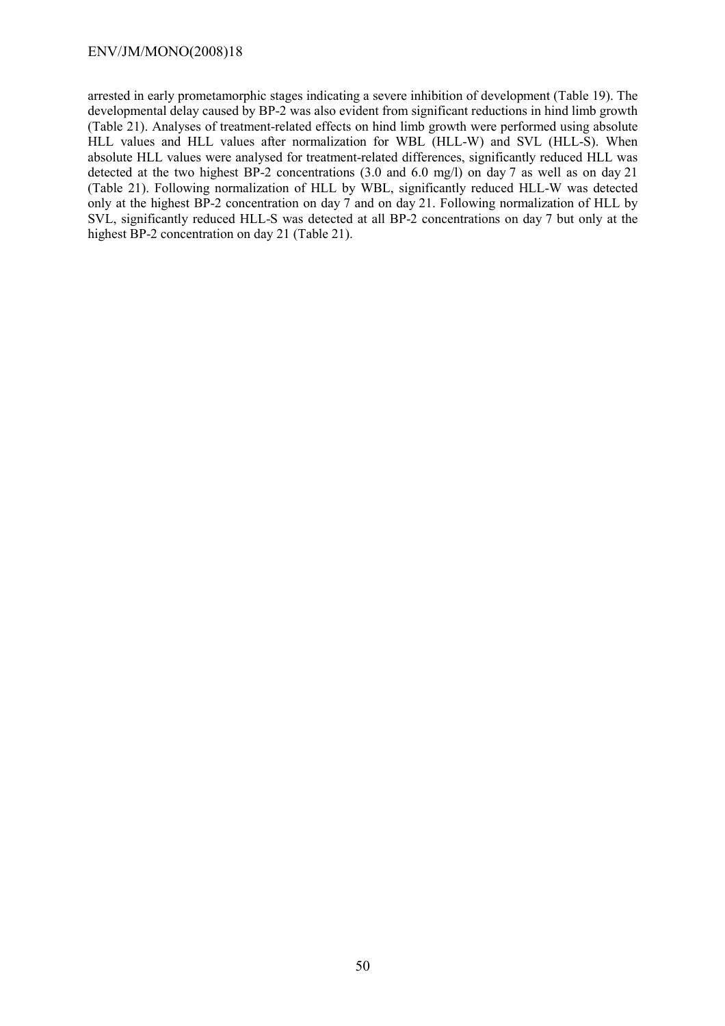arrested in early prometamorphic stages indicating a severe inhibition of development (Table 19). The developmental delay caused by BP-2 was also evident from significant reductions in hind limb growth (Table 21). Analyses of treatment-related effects on hind limb growth were performed using absolute HLL values and HLL values after normalization for WBL (HLL-W) and SVL (HLL-S). When absolute HLL values were analysed for treatment-related differences, significantly reduced HLL was detected at the two highest BP-2 concentrations (3.0 and 6.0 mg/l) on day 7 as well as on day 21 (Table 21). Following normalization of HLL by WBL, significantly reduced HLL-W was detected only at the highest BP-2 concentration on day 7 and on day 21. Following normalization of HLL by SVL, significantly reduced HLL-S was detected at all BP-2 concentrations on day 7 but only at the highest BP-2 concentration on day 21 (Table 21).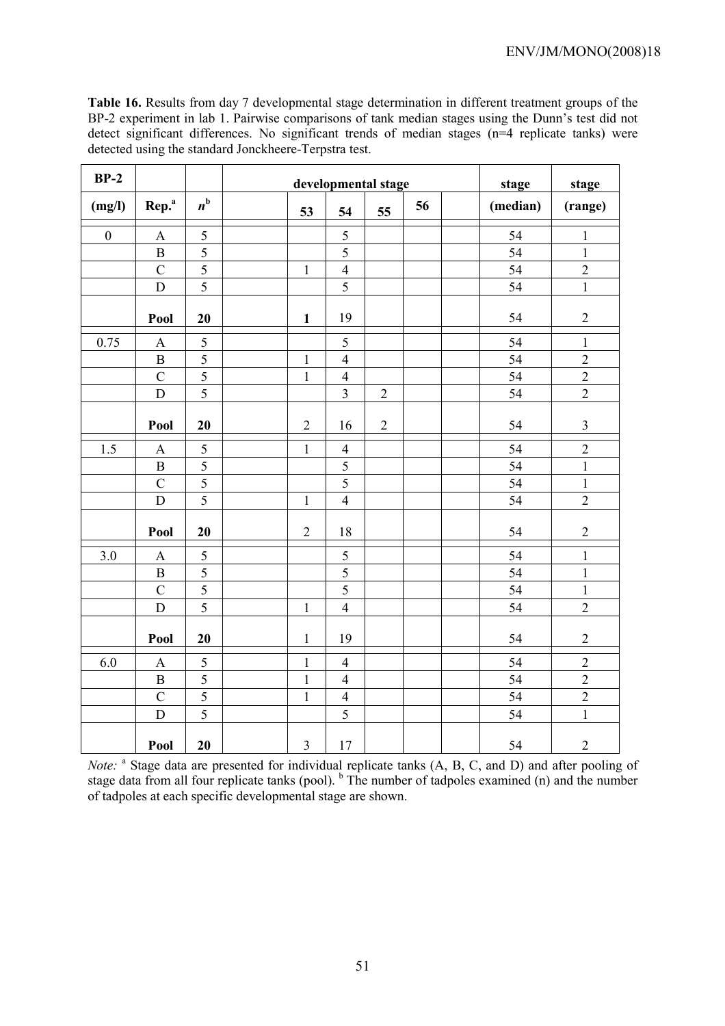**Table 16.** Results from day 7 developmental stage determination in different treatment groups of the BP-2 experiment in lab 1. Pairwise comparisons of tank median stages using the Dunn's test did not detect significant differences. No significant trends of median stages (n=4 replicate tanks) were detected using the standard Jonckheere-Terpstra test.

| $BP-2$           |                           |                | developmental stage |                |                |                |    |  | stage    | stage          |
|------------------|---------------------------|----------------|---------------------|----------------|----------------|----------------|----|--|----------|----------------|
| (mg/l)           | Rep. <sup>a</sup>         | $n^{\rm b}$    |                     | 53             | 54             | 55             | 56 |  | (median) | (range)        |
| $\boldsymbol{0}$ | $\mathbf{A}$              | 5              |                     |                | 5              |                |    |  | 54       | $\mathbf{1}$   |
|                  | $\, {\bf B}$              | $\overline{5}$ |                     |                | $\overline{5}$ |                |    |  | 54       | $\mathbf{1}$   |
|                  | $\overline{C}$            | $\overline{5}$ |                     | $\mathbf{1}$   | $\overline{4}$ |                |    |  | 54       | $\overline{2}$ |
|                  | $\mathbf D$               | 5              |                     |                | 5              |                |    |  | 54       | $\mathbf 1$    |
|                  | Pool                      | 20             |                     | $\mathbf{1}$   | 19             |                |    |  | 54       | $\sqrt{2}$     |
| 0.75             | $\mathbf{A}$              | 5              |                     |                | 5              |                |    |  | 54       | $\mathbf{1}$   |
|                  | $\, {\bf B}$              | $\overline{5}$ |                     | $\mathbf{1}$   | $\overline{4}$ |                |    |  | 54       | $\overline{2}$ |
|                  | $\mathbf C$               | 5              |                     | $\mathbf{1}$   | $\overline{4}$ |                |    |  | 54       | $\overline{2}$ |
|                  | $\overline{D}$            | 5              |                     |                | $\overline{3}$ | $\overline{c}$ |    |  | 54       | $\overline{2}$ |
|                  | Pool                      | 20             |                     | $\overline{2}$ | 16             | $\overline{2}$ |    |  | 54       | $\mathfrak{Z}$ |
| $1.5\,$          | $\boldsymbol{\mathsf{A}}$ | 5              |                     | $\mathbf{1}$   | $\overline{4}$ |                |    |  | 54       | $\sqrt{2}$     |
|                  | $\, {\bf B}$              | $\overline{5}$ |                     |                | 5              |                |    |  | 54       | $\mathbf{1}$   |
|                  | $\mathcal{C}$             | $\overline{5}$ |                     |                | $\overline{5}$ |                |    |  | 54       | $\mathbf 1$    |
|                  | ${\rm D}$                 | 5              |                     | $\mathbf 1$    | $\overline{4}$ |                |    |  | 54       | $\overline{2}$ |
|                  | Pool                      | 20             |                     | $\mathbf{2}$   | 18             |                |    |  | 54       | $\overline{c}$ |
| 3.0              | $\boldsymbol{\mathsf{A}}$ | 5              |                     |                | 5              |                |    |  | 54       | $\,1$          |
|                  | $\, {\bf B}$              | 5              |                     |                | 5              |                |    |  | 54       | $\,1$          |
|                  | $\overline{C}$            | $\overline{5}$ |                     |                | $\overline{5}$ |                |    |  | 54       | $\mathbf{1}$   |
|                  | ${\bf D}$                 | 5              |                     | $\mathbf 1$    | $\overline{4}$ |                |    |  | 54       | $\overline{2}$ |
|                  | Pool                      | 20             |                     | $\mathbf{1}$   | 19             |                |    |  | 54       | $\sqrt{2}$     |
| 6.0              | $\mathbf{A}$              | 5              |                     | $\mathbf{1}$   | $\overline{4}$ |                |    |  | 54       | $\sqrt{2}$     |
|                  | $\, {\bf B}$              | 5              |                     | $\mathbf 1$    | $\overline{4}$ |                |    |  | 54       | $\sqrt{2}$     |
|                  | $\mathcal{C}$             | 5              |                     | $\mathbf 1$    | $\overline{4}$ |                |    |  | 54       | $\overline{c}$ |
|                  | $\overline{D}$            | 5              |                     |                | 5              |                |    |  | 54       | $\mathbf{1}$   |
|                  | Pool                      | 20             |                     | $\overline{3}$ | 17             |                |    |  | 54       | $\sqrt{2}$     |

Note: <sup>a</sup> Stage data are presented for individual replicate tanks (A, B, C, and D) and after pooling of stage data from all four replicate tanks (pool).  $<sup>b</sup>$  The number of tadpoles examined (n) and the number</sup> of tadpoles at each specific developmental stage are shown.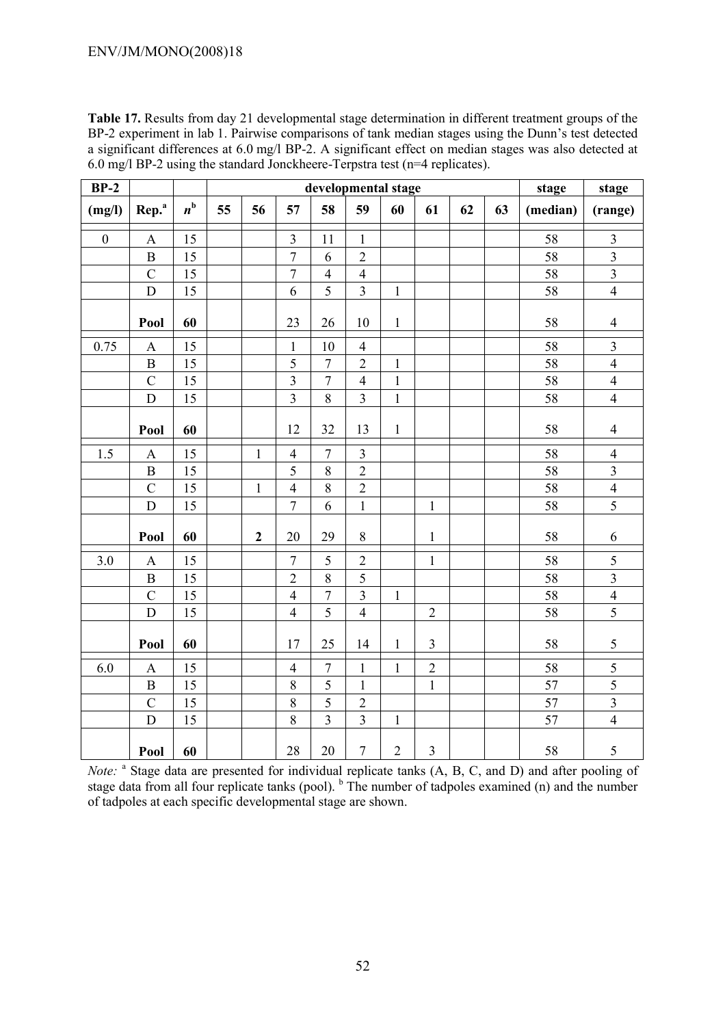| $BP-2$           |                           |             |    |                  |                         | developmental stage |                |                |                |    |    | stage    | stage          |
|------------------|---------------------------|-------------|----|------------------|-------------------------|---------------------|----------------|----------------|----------------|----|----|----------|----------------|
| (mg/l)           | Rep. <sup>a</sup>         | $n^{\rm b}$ | 55 | 56               | 57                      | 58                  | 59             | 60             | 61             | 62 | 63 | (median) | (range)        |
| $\boldsymbol{0}$ | A                         | 15          |    |                  | $\overline{3}$          | 11                  | $\mathbf{1}$   |                |                |    |    | 58       | $\overline{3}$ |
|                  | $\mathbf B$               | 15          |    |                  | $\overline{7}$          | 6                   | $\overline{2}$ |                |                |    |    | 58       | $\mathfrak{Z}$ |
|                  | $\overline{C}$            | 15          |    |                  | $\overline{7}$          | $\overline{4}$      | $\overline{4}$ |                |                |    |    | 58       | $\overline{3}$ |
|                  | $\overline{D}$            | 15          |    |                  | 6                       | 5                   | $\overline{3}$ | $\mathbf{1}$   |                |    |    | 58       | $\overline{4}$ |
|                  | Pool                      | 60          |    |                  | 23                      | 26                  | 10             | $\mathbf{1}$   |                |    |    | 58       | $\overline{4}$ |
| 0.75             | $\boldsymbol{\mathsf{A}}$ | 15          |    |                  | $\mathbf{1}$            | 10                  | $\overline{4}$ |                |                |    |    | 58       | $\mathfrak{Z}$ |
|                  | $\, {\bf B}$              | 15          |    |                  | 5                       | $\boldsymbol{7}$    | $\overline{2}$ | $\mathbf{1}$   |                |    |    | 58       | $\overline{4}$ |
|                  | $\overline{C}$            | 15          |    |                  | $\overline{\mathbf{3}}$ | $\tau$              | $\overline{4}$ | $\mathbf{1}$   |                |    |    | 58       | $\overline{4}$ |
|                  | D                         | 15          |    |                  | $\overline{3}$          | 8                   | $\overline{3}$ | $\mathbf{1}$   |                |    |    | 58       | $\overline{4}$ |
|                  | Pool                      | 60          |    |                  | 12                      | 32                  | 13             | $\mathbf{1}$   |                |    |    | 58       | $\overline{4}$ |
| 1.5              | A                         | 15          |    | $\mathbf{1}$     | $\overline{4}$          | $\overline{7}$      | $\overline{3}$ |                |                |    |    | 58       | $\overline{4}$ |
|                  | $\, {\bf B}$              | 15          |    |                  | 5                       | $8\,$               | $\overline{2}$ |                |                |    |    | 58       | $\overline{3}$ |
|                  | $\overline{C}$            | 15          |    | $\mathbf{1}$     | $\overline{4}$          | $\,8\,$             | $\overline{2}$ |                |                |    |    | 58       | $\overline{4}$ |
|                  | $\overline{D}$            | 15          |    |                  | $\boldsymbol{7}$        | 6                   | $\mathbf{1}$   |                | $\mathbf{1}$   |    |    | 58       | 5              |
|                  | Pool                      | 60          |    | $\boldsymbol{2}$ | 20                      | 29                  | $\,8\,$        |                | $\mathbf{1}$   |    |    | 58       | 6              |
| 3.0              | $\boldsymbol{\mathsf{A}}$ | 15          |    |                  | $\boldsymbol{7}$        | 5                   | $\overline{2}$ |                | $\mathbf{1}$   |    |    | 58       | $\sqrt{5}$     |
|                  | $\, {\bf B}$              | 15          |    |                  | $\overline{2}$          | 8                   | 5              |                |                |    |    | 58       | $\overline{3}$ |
|                  | $\overline{C}$            | 15          |    |                  | $\overline{4}$          | $\tau$              | $\overline{3}$ | $\mathbf{1}$   |                |    |    | 58       | $\overline{4}$ |
|                  | D                         | 15          |    |                  | $\overline{4}$          | 5                   | $\overline{4}$ |                | $\overline{2}$ |    |    | 58       | $\overline{5}$ |
|                  | Pool                      | 60          |    |                  | 17                      | 25                  | 14             | $\mathbf{1}$   | $\mathfrak{Z}$ |    |    | 58       | 5              |
| 6.0              | A                         | 15          |    |                  | $\overline{4}$          | $\boldsymbol{7}$    | $\mathbf{1}$   | $\mathbf{1}$   | $\overline{2}$ |    |    | 58       | $\overline{5}$ |
|                  | $\bf{B}$                  | 15          |    |                  | $\,$ $\,$               | 5                   | $\mathbf{1}$   |                | $\mathbf{1}$   |    |    | 57       | 5              |
|                  | $\mathcal{C}$             | 15          |    |                  | 8                       | 5                   | $\overline{2}$ |                |                |    |    | 57       | $\overline{3}$ |
|                  | $\overline{D}$            | 15          |    |                  | 8                       | $\overline{3}$      | $\overline{3}$ | $\mathbf{1}$   |                |    |    | 57       | $\overline{4}$ |
|                  | Pool                      | 60          |    |                  | 28                      | 20                  | $\tau$         | $\overline{2}$ | $\mathfrak{Z}$ |    |    | 58       | 5              |

**Table 17.** Results from day 21 developmental stage determination in different treatment groups of the BP-2 experiment in lab 1. Pairwise comparisons of tank median stages using the Dunn's test detected a significant differences at 6.0 mg/l BP-2. A significant effect on median stages was also detected at 6.0 mg/l BP-2 using the standard Jonckheere-Terpstra test (n=4 replicates).

Note: <sup>a</sup> Stage data are presented for individual replicate tanks (A, B, C, and D) and after pooling of stage data from all four replicate tanks (pool).  $\overline{b}$  The number of tadpoles examined (n) and the number of tadpoles at each specific developmental stage are shown.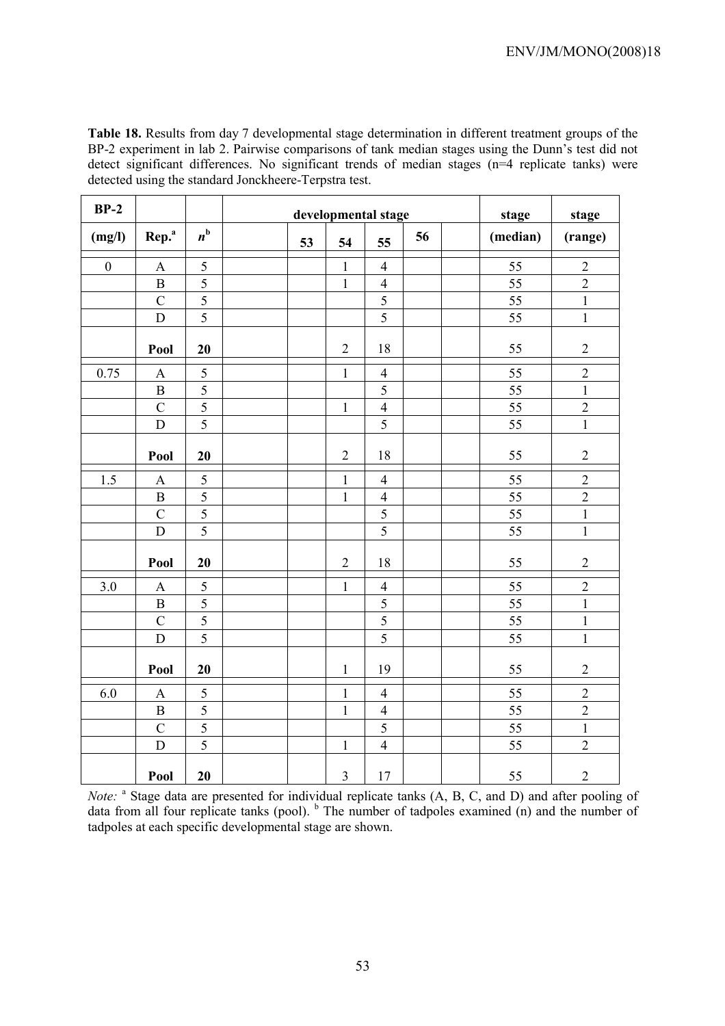**Table 18.** Results from day 7 developmental stage determination in different treatment groups of the BP-2 experiment in lab 2. Pairwise comparisons of tank median stages using the Dunn's test did not detect significant differences. No significant trends of median stages (n=4 replicate tanks) were detected using the standard Jonckheere-Terpstra test.

| $BP-2$           |                           |                | developmental stage |    |                |                |    | stage | stage           |                |
|------------------|---------------------------|----------------|---------------------|----|----------------|----------------|----|-------|-----------------|----------------|
| (mg/l)           | Rep. <sup>a</sup>         | $n^{\rm b}$    |                     | 53 | 54             | 55             | 56 |       | (median)        | (range)        |
| $\boldsymbol{0}$ | A                         | 5              |                     |    | $\mathbf{1}$   | $\overline{4}$ |    |       | 55              | $\sqrt{2}$     |
|                  | $\, {\bf B}$              | 5              |                     |    | $\mathbf{1}$   | $\overline{4}$ |    |       | 55              | $\overline{2}$ |
|                  | $\overline{C}$            | $\overline{5}$ |                     |    |                | $\overline{5}$ |    |       | $\overline{55}$ | $\mathbf{1}$   |
|                  | $\overline{D}$            | $\overline{5}$ |                     |    |                | $\overline{5}$ |    |       | 55              | $\mathbf{1}$   |
|                  | Pool                      | 20             |                     |    | $\sqrt{2}$     | 18             |    |       | 55              | $\sqrt{2}$     |
| 0.75             | $\boldsymbol{\mathsf{A}}$ | 5              |                     |    | $\mathbf{1}$   | $\overline{4}$ |    |       | 55              | $\overline{2}$ |
|                  | $\, {\bf B}$              | $\overline{5}$ |                     |    |                | 5              |    |       | 55              | $\mathbf{1}$   |
|                  | $\overline{C}$            | $\overline{5}$ |                     |    | $\mathbf 1$    | $\overline{4}$ |    |       | 55              | $\overline{2}$ |
|                  | $\overline{D}$            | $\overline{5}$ |                     |    |                | 5              |    |       | 55              | $\overline{1}$ |
|                  | Pool                      | 20             |                     |    | $\overline{2}$ | 18             |    |       | 55              | $\sqrt{2}$     |
| 1.5              | $\mathbf{A}$              | 5              |                     |    | $\mathbf 1$    | $\overline{4}$ |    |       | 55              | $\sqrt{2}$     |
|                  | $\, {\bf B}$              | $\overline{5}$ |                     |    | $\mathbf 1$    | $\overline{4}$ |    |       | 55              | $\sqrt{2}$     |
|                  | $\overline{C}$            | $\overline{5}$ |                     |    |                | 5              |    |       | 55              | $\,1\,$        |
|                  | $\overline{D}$            | $\overline{5}$ |                     |    |                | 5              |    |       | 55              | $\mathbf{1}$   |
|                  | Pool                      | 20             |                     |    | $\sqrt{2}$     | 18             |    |       | 55              | $\sqrt{2}$     |
| 3.0              | $\mathbf{A}$              | 5              |                     |    | $\mathbf 1$    | $\overline{4}$ |    |       | 55              | $\sqrt{2}$     |
|                  | $\, {\bf B}$              | $\overline{5}$ |                     |    |                | 5              |    |       | 55              | $\mathbf 1$    |
|                  | $\overline{C}$            | $\overline{5}$ |                     |    |                | $\overline{5}$ |    |       | 55              | $\mathbf{1}$   |
|                  | $\overline{D}$            | $\overline{5}$ |                     |    |                | $\overline{5}$ |    |       | 55              | $\mathbf 1$    |
|                  | Pool                      | 20             |                     |    | $\mathbf{1}$   | 19             |    |       | 55              | $\sqrt{2}$     |
| 6.0              | $\boldsymbol{\mathsf{A}}$ | 5              |                     |    | $\mathbf 1$    | $\overline{4}$ |    |       | 55              | $\overline{2}$ |
|                  | $\, {\bf B}$              | $\overline{5}$ |                     |    | $\mathbf 1$    | $\overline{4}$ |    |       | 55              | $\sqrt{2}$     |
|                  | $\mathcal{C}$             | $\overline{5}$ |                     |    |                | 5              |    |       | 55              | $\,1$          |
|                  | $\overline{D}$            | $\overline{5}$ |                     |    | $\mathbf{1}$   | $\overline{4}$ |    |       | 55              | $\overline{2}$ |
|                  | Pool                      | 20             |                     |    | $\mathfrak{Z}$ | 17             |    |       | 55              | $\sqrt{2}$     |

Note: <sup>a</sup> Stage data are presented for individual replicate tanks (A, B, C, and D) and after pooling of data from all four replicate tanks (pool).  $<sup>b</sup>$  The number of tadpoles examined (n) and the number of</sup> tadpoles at each specific developmental stage are shown.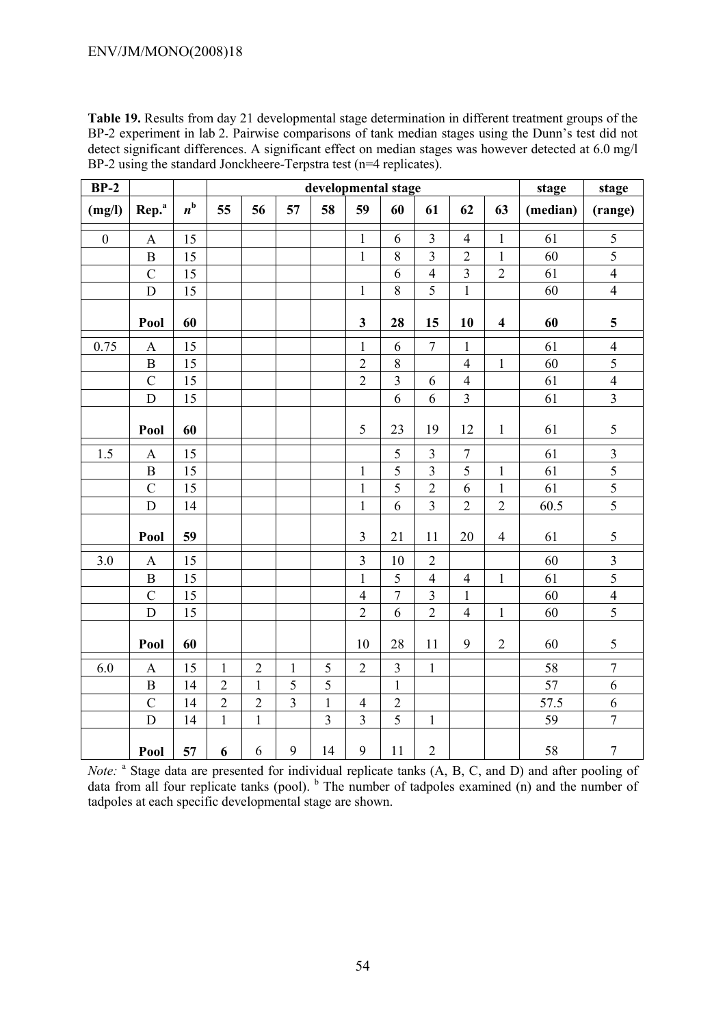| $BP-2$           |                   |             |                |                |                |                         |                         | developmental stage |                |                         |                         | stage    | stage                   |
|------------------|-------------------|-------------|----------------|----------------|----------------|-------------------------|-------------------------|---------------------|----------------|-------------------------|-------------------------|----------|-------------------------|
| (mg/l)           | Rep. <sup>a</sup> | $n^{\rm b}$ | 55             | 56             | 57             | 58                      | 59                      | 60                  | 61             | 62                      | 63                      | (median) | (range)                 |
| $\boldsymbol{0}$ | $\mathbf{A}$      | 15          |                |                |                |                         | $\mathbf{1}$            | 6                   | $\overline{3}$ | $\overline{4}$          | $\mathbf 1$             | 61       | $\sqrt{5}$              |
|                  | $\, {\bf B}$      | 15          |                |                |                |                         | $\mathbf{1}$            | $8\,$               | $\overline{3}$ | $\overline{2}$          | $\mathbf{1}$            | 60       | $\overline{5}$          |
|                  | $\mathcal{C}$     | 15          |                |                |                |                         |                         | 6                   | $\overline{4}$ | $\overline{\mathbf{3}}$ | $\overline{2}$          | 61       | $\overline{4}$          |
|                  | $\overline{D}$    | 15          |                |                |                |                         | $\mathbf{1}$            | $\overline{8}$      | $\overline{5}$ | $\overline{1}$          |                         | 60       | $\overline{4}$          |
|                  | Pool              | 60          |                |                |                |                         | $\mathbf{3}$            | 28                  | 15             | 10                      | $\overline{\mathbf{4}}$ | 60       | $\overline{\mathbf{5}}$ |
| 0.75             | $\mathbf{A}$      | 15          |                |                |                |                         | $\mathbf{1}$            | 6                   | $\overline{7}$ | $\mathbf{1}$            |                         | 61       | $\overline{4}$          |
|                  | $\bf{B}$          | 15          |                |                |                |                         | $\overline{2}$          | $\,8\,$             |                | $\overline{4}$          | $\mathbf{1}$            | 60       | 5                       |
|                  | $\mathcal{C}$     | 15          |                |                |                |                         | $\overline{2}$          | $\overline{3}$      | 6              | $\overline{4}$          |                         | 61       | $\overline{4}$          |
|                  | D                 | 15          |                |                |                |                         |                         | 6                   | 6              | $\overline{3}$          |                         | 61       | $\overline{3}$          |
|                  | Pool              | 60          |                |                |                |                         | 5                       | 23                  | 19             | 12                      | $\mathbf{1}$            | 61       | 5                       |
| 1.5              | $\mathbf{A}$      | 15          |                |                |                |                         |                         | 5                   | $\overline{3}$ | $\overline{7}$          |                         | 61       | $\overline{3}$          |
|                  | $\, {\bf B}$      | 15          |                |                |                |                         | $\mathbf{1}$            | 5                   | $\overline{3}$ | $\overline{5}$          | $\mathbf{1}$            | 61       | $\overline{5}$          |
|                  | $\mathcal{C}$     | 15          |                |                |                |                         | $\mathbf{1}$            | $\mathfrak s$       | $\overline{2}$ | 6                       | $\mathbf{1}$            | 61       | 5                       |
|                  | D                 | 14          |                |                |                |                         | $\mathbf{1}$            | 6                   | $\overline{3}$ | $\overline{2}$          | $\overline{2}$          | 60.5     | $\overline{5}$          |
|                  | Pool              | 59          |                |                |                |                         | 3                       | 21                  | 11             | 20                      | $\overline{4}$          | 61       | $\sqrt{5}$              |
| 3.0              | $\mathbf{A}$      | 15          |                |                |                |                         | $\overline{\mathbf{3}}$ | 10                  | $\overline{2}$ |                         |                         | 60       | $\mathfrak{Z}$          |
|                  | $\bf{B}$          | 15          |                |                |                |                         | $\mathbf{1}$            | 5                   | $\overline{4}$ | $\overline{4}$          | $\mathbf{1}$            | 61       | 5                       |
|                  | $\mathcal{C}$     | 15          |                |                |                |                         | $\overline{4}$          | $\boldsymbol{7}$    | $\overline{3}$ | $\mathbf{1}$            |                         | 60       | $\overline{4}$          |
|                  | D                 | 15          |                |                |                |                         | $\overline{2}$          | 6                   | $\overline{2}$ | $\overline{4}$          | $\mathbf{1}$            | 60       | 5                       |
|                  | Pool              | 60          |                |                |                |                         | 10                      | 28                  | 11             | 9                       | $\overline{2}$          | 60       | 5                       |
| 6.0              | A                 | 15          | $\mathbf{1}$   | $\sqrt{2}$     | $\mathbf{1}$   | 5                       | $\overline{2}$          | $\mathfrak{Z}$      | $\mathbf{1}$   |                         |                         | 58       | $\tau$                  |
|                  | $\bf{B}$          | 14          | $\sqrt{2}$     | $\mathbf{1}$   | 5              | 5                       |                         | $\mathbf{1}$        |                |                         |                         | 57       | 6                       |
|                  | $\overline{C}$    | 14          | $\overline{2}$ | $\overline{2}$ | $\overline{3}$ | $\mathbf{1}$            | $\overline{4}$          | $\sqrt{2}$          |                |                         |                         | 57.5     | 6                       |
|                  | D                 | 14          | $\mathbf{1}$   | $\mathbf{1}$   |                | $\overline{\mathbf{3}}$ | $\overline{3}$          | 5                   | $\mathbf{1}$   |                         |                         | 59       | $\boldsymbol{7}$        |
|                  | Pool              | 57          | 6              | 6              | 9              | 14                      | 9                       | 11                  | $\overline{2}$ |                         |                         | 58       | $\overline{7}$          |

**Table 19.** Results from day 21 developmental stage determination in different treatment groups of the BP-2 experiment in lab 2. Pairwise comparisons of tank median stages using the Dunn's test did not detect significant differences. A significant effect on median stages was however detected at 6.0 mg/l BP-2 using the standard Jonckheere-Terpstra test (n=4 replicates).

Note: <sup>a</sup> Stage data are presented for individual replicate tanks (A, B, C, and D) and after pooling of data from all four replicate tanks (pool).  $<sup>b</sup>$  The number of tadpoles examined (n) and the number of</sup> tadpoles at each specific developmental stage are shown.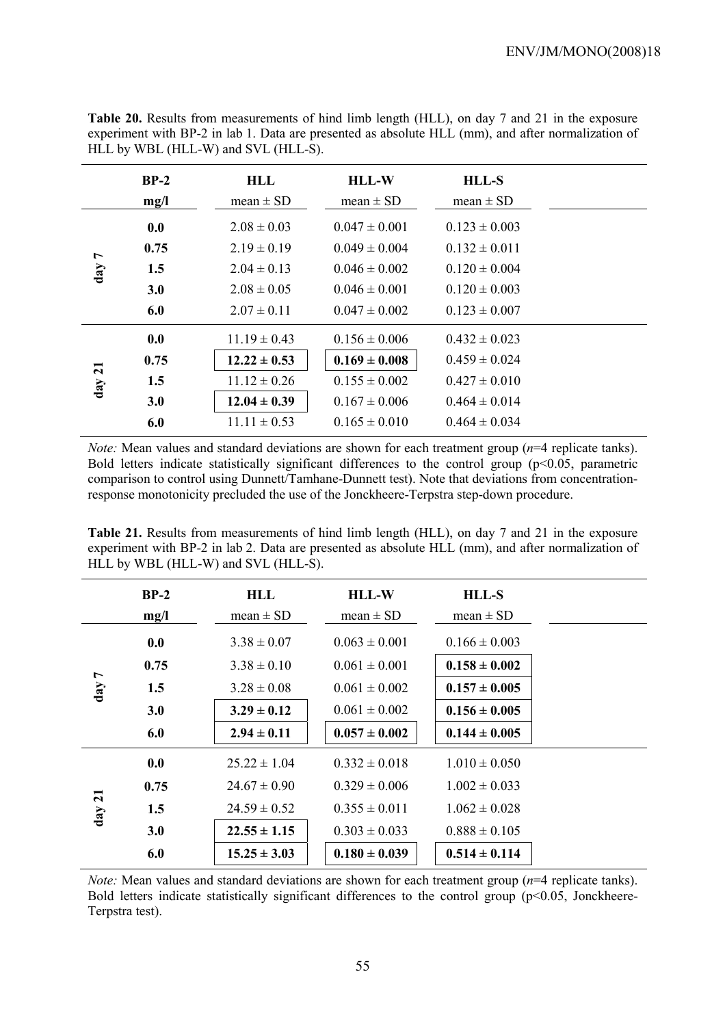|          | $BP-2$<br>mg/l | <b>HLL</b><br>mean $\pm$ SD | <b>HLL-W</b><br>mean $\pm$ SD | <b>HLL-S</b><br>$mean \pm SD$ |
|----------|----------------|-----------------------------|-------------------------------|-------------------------------|
|          | 0.0            | $2.08 \pm 0.03$             | $0.047 \pm 0.001$             | $0.123 \pm 0.003$             |
|          | 0.75           | $2.19 \pm 0.19$             | $0.049 \pm 0.004$             | $0.132 \pm 0.011$             |
| day 7    | 1.5            | $2.04 \pm 0.13$             | $0.046 \pm 0.002$             | $0.120 \pm 0.004$             |
|          | 3.0            | $2.08 \pm 0.05$             | $0.046 \pm 0.001$             | $0.120 \pm 0.003$             |
|          | 6.0            | $2.07 \pm 0.11$             | $0.047 \pm 0.002$             | $0.123 \pm 0.007$             |
|          | 0.0            | $11.19 \pm 0.43$            | $0.156 \pm 0.006$             | $0.432 \pm 0.023$             |
|          | 0.75           | $12.22 \pm 0.53$            | $0.169 \pm 0.008$             | $0.459 \pm 0.024$             |
| day $21$ | 1.5            | $11.12 \pm 0.26$            | $0.155 \pm 0.002$             | $0.427 \pm 0.010$             |
|          | 3.0            | $12.04 \pm 0.39$            | $0.167 \pm 0.006$             | $0.464 \pm 0.014$             |
|          | 6.0            | $11.11 \pm 0.53$            | $0.165 \pm 0.010$             | $0.464 \pm 0.034$             |

**Table 20.** Results from measurements of hind limb length (HLL), on day 7 and 21 in the exposure experiment with BP-2 in lab 1. Data are presented as absolute HLL (mm), and after normalization of HLL by WBL (HLL-W) and SVL (HLL-S).

*Note:* Mean values and standard deviations are shown for each treatment group (*n*=4 replicate tanks). Bold letters indicate statistically significant differences to the control group  $(p<0.05$ , parametric comparison to control using Dunnett/Tamhane-Dunnett test). Note that deviations from concentrationresponse monotonicity precluded the use of the Jonckheere-Terpstra step-down procedure.

**Table 21.** Results from measurements of hind limb length (HLL), on day 7 and 21 in the exposure experiment with BP-2 in lab 2. Data are presented as absolute HLL (mm), and after normalization of HLL by WBL (HLL-W) and SVL (HLL-S).

|          | $BP-2$<br>mg/l | HLL<br>$mean \pm SD$ | <b>HLL-W</b><br>$mean \pm SD$ | <b>HLL-S</b><br>$mean \pm SD$ |
|----------|----------------|----------------------|-------------------------------|-------------------------------|
|          | 0.0            | $3.38 \pm 0.07$      | $0.063 \pm 0.001$             | $0.166 \pm 0.003$             |
|          | 0.75           | $3.38 \pm 0.10$      | $0.061 \pm 0.001$             | $0.158 \pm 0.002$             |
| day 7    | 1.5            | $3.28 \pm 0.08$      | $0.061 \pm 0.002$             | $0.157 \pm 0.005$             |
|          | 3.0            | $3.29 \pm 0.12$      | $0.061 \pm 0.002$             | $0.156 \pm 0.005$             |
|          | 6.0            | $2.94 \pm 0.11$      | $0.057 \pm 0.002$             | $0.144 \pm 0.005$             |
|          | 0.0            | $25.22 \pm 1.04$     | $0.332 \pm 0.018$             | $1.010 \pm 0.050$             |
|          | 0.75           | $24.67 \pm 0.90$     | $0.329 \pm 0.006$             | $1.002 \pm 0.033$             |
| day $21$ | 1.5            | $24.59 \pm 0.52$     | $0.355 \pm 0.011$             | $1.062 \pm 0.028$             |
|          | 3.0            | $22.55 \pm 1.15$     | $0.303 \pm 0.033$             | $0.888 \pm 0.105$             |
|          | 6.0            | $15.25 \pm 3.03$     | $0.180 \pm 0.039$             | $0.514 \pm 0.114$             |

*Note:* Mean values and standard deviations are shown for each treatment group (*n*=4 replicate tanks). Bold letters indicate statistically significant differences to the control group ( $p<0.05$ , Jonckheere-Terpstra test).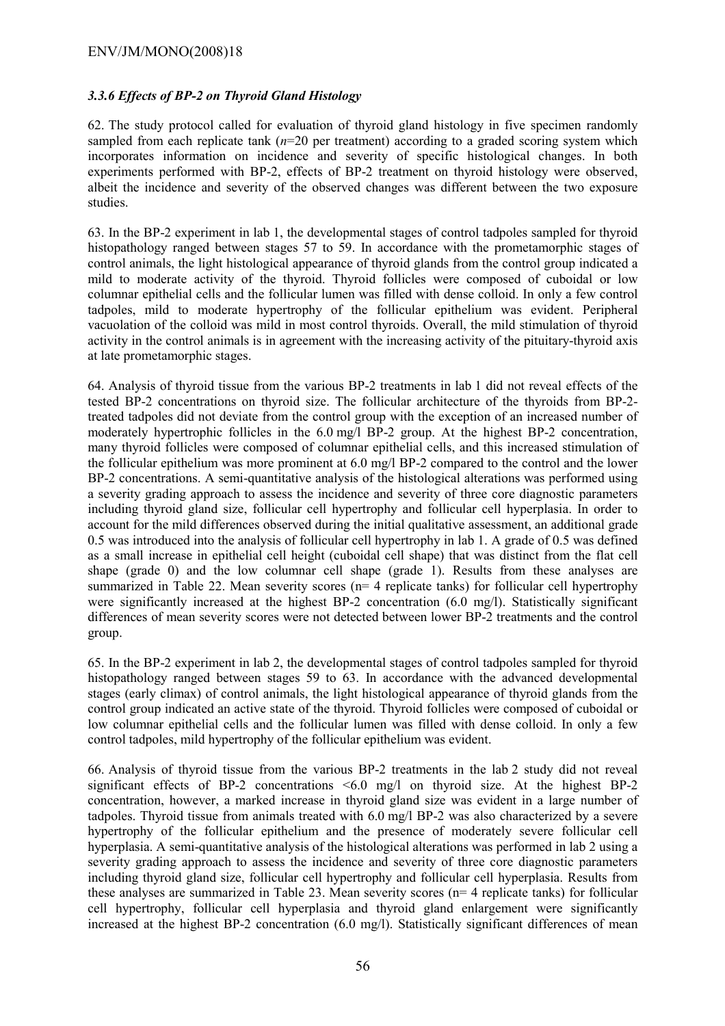## *3.3.6 Effects of BP-2 on Thyroid Gland Histology*

62. The study protocol called for evaluation of thyroid gland histology in five specimen randomly sampled from each replicate tank ( $n=20$  per treatment) according to a graded scoring system which incorporates information on incidence and severity of specific histological changes. In both experiments performed with BP-2, effects of BP-2 treatment on thyroid histology were observed, albeit the incidence and severity of the observed changes was different between the two exposure studies.

63. In the BP-2 experiment in lab 1, the developmental stages of control tadpoles sampled for thyroid histopathology ranged between stages 57 to 59. In accordance with the prometamorphic stages of control animals, the light histological appearance of thyroid glands from the control group indicated a mild to moderate activity of the thyroid. Thyroid follicles were composed of cuboidal or low columnar epithelial cells and the follicular lumen was filled with dense colloid. In only a few control tadpoles, mild to moderate hypertrophy of the follicular epithelium was evident. Peripheral vacuolation of the colloid was mild in most control thyroids. Overall, the mild stimulation of thyroid activity in the control animals is in agreement with the increasing activity of the pituitary-thyroid axis at late prometamorphic stages.

64. Analysis of thyroid tissue from the various BP-2 treatments in lab 1 did not reveal effects of the tested BP-2 concentrations on thyroid size. The follicular architecture of the thyroids from BP-2 treated tadpoles did not deviate from the control group with the exception of an increased number of moderately hypertrophic follicles in the 6.0 mg/l BP-2 group. At the highest BP-2 concentration, many thyroid follicles were composed of columnar epithelial cells, and this increased stimulation of the follicular epithelium was more prominent at 6.0 mg/l BP-2 compared to the control and the lower BP-2 concentrations. A semi-quantitative analysis of the histological alterations was performed using a severity grading approach to assess the incidence and severity of three core diagnostic parameters including thyroid gland size, follicular cell hypertrophy and follicular cell hyperplasia. In order to account for the mild differences observed during the initial qualitative assessment, an additional grade 0.5 was introduced into the analysis of follicular cell hypertrophy in lab 1. A grade of 0.5 was defined as a small increase in epithelial cell height (cuboidal cell shape) that was distinct from the flat cell shape (grade 0) and the low columnar cell shape (grade 1). Results from these analyses are summarized in Table 22. Mean severity scores ( $n=4$  replicate tanks) for follicular cell hypertrophy were significantly increased at the highest BP-2 concentration (6.0 mg/l). Statistically significant differences of mean severity scores were not detected between lower BP-2 treatments and the control group.

65. In the BP-2 experiment in lab 2, the developmental stages of control tadpoles sampled for thyroid histopathology ranged between stages 59 to 63. In accordance with the advanced developmental stages (early climax) of control animals, the light histological appearance of thyroid glands from the control group indicated an active state of the thyroid. Thyroid follicles were composed of cuboidal or low columnar epithelial cells and the follicular lumen was filled with dense colloid. In only a few control tadpoles, mild hypertrophy of the follicular epithelium was evident.

66. Analysis of thyroid tissue from the various BP-2 treatments in the lab 2 study did not reveal significant effects of BP-2 concentrations <6.0 mg/l on thyroid size. At the highest BP-2 concentration, however, a marked increase in thyroid gland size was evident in a large number of tadpoles. Thyroid tissue from animals treated with 6.0 mg/l BP-2 was also characterized by a severe hypertrophy of the follicular epithelium and the presence of moderately severe follicular cell hyperplasia. A semi-quantitative analysis of the histological alterations was performed in lab 2 using a severity grading approach to assess the incidence and severity of three core diagnostic parameters including thyroid gland size, follicular cell hypertrophy and follicular cell hyperplasia. Results from these analyses are summarized in Table 23. Mean severity scores (n= 4 replicate tanks) for follicular cell hypertrophy, follicular cell hyperplasia and thyroid gland enlargement were significantly increased at the highest BP-2 concentration (6.0 mg/l). Statistically significant differences of mean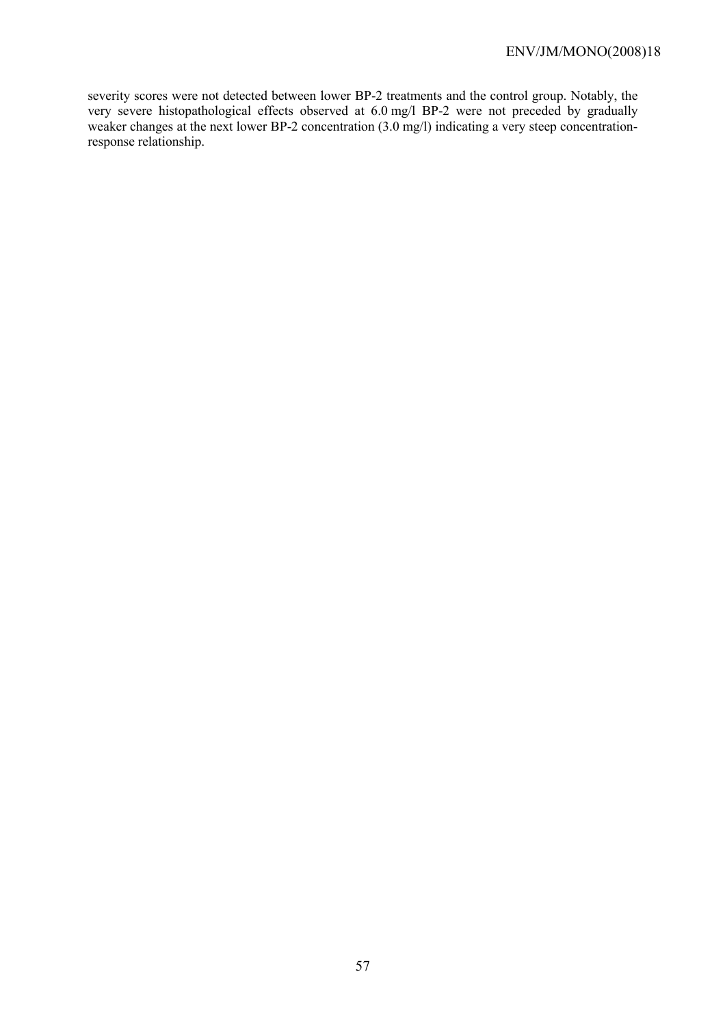severity scores were not detected between lower BP-2 treatments and the control group. Notably, the very severe histopathological effects observed at 6.0 mg/l BP-2 were not preceded by gradually weaker changes at the next lower BP-2 concentration (3.0 mg/l) indicating a very steep concentrationresponse relationship.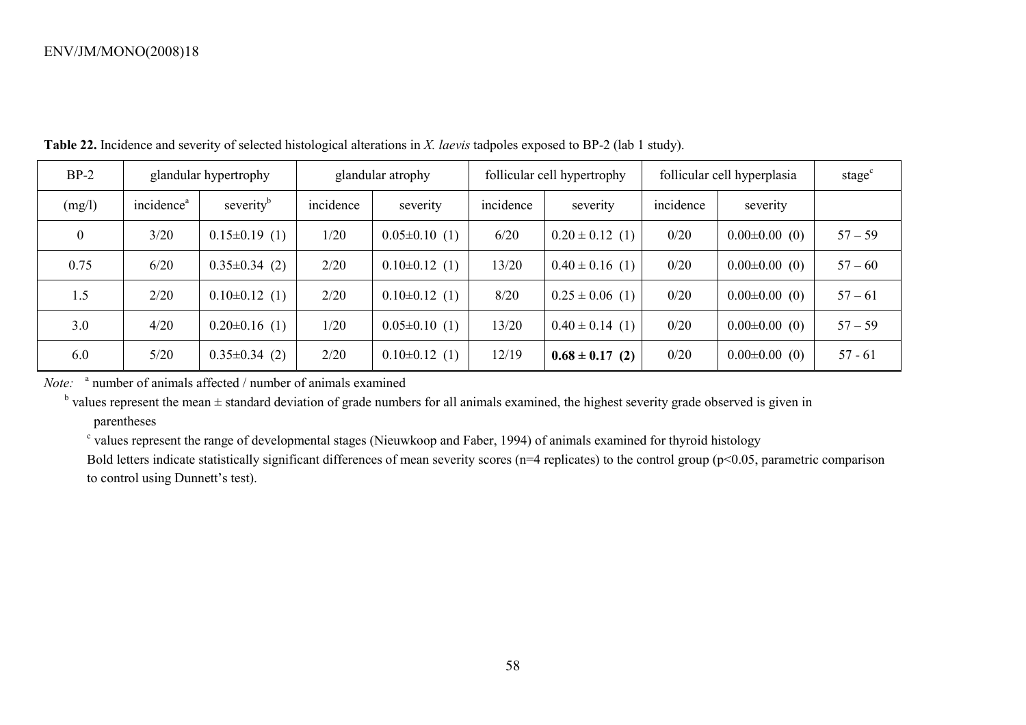| $BP-2$   |                        | glandular hypertrophy | glandular atrophy |                     |           | follicular cell hypertrophy | follicular cell hyperplasia | stage <sup>c</sup> |           |
|----------|------------------------|-----------------------|-------------------|---------------------|-----------|-----------------------------|-----------------------------|--------------------|-----------|
| (mg/l)   | incidence <sup>a</sup> | severity <sup>b</sup> | incidence         | severity            | incidence | severity                    | incidence                   | severity           |           |
| $\theta$ | 3/20                   | $0.15 \pm 0.19$ (1)   | 1/20              | $0.05 \pm 0.10$ (1) | 6/20      | $0.20 \pm 0.12$ (1)         | 0/20                        | $0.00\pm0.00$ (0)  | $57 - 59$ |
| 0.75     | 6/20                   | $0.35 \pm 0.34$ (2)   | 2/20              | $0.10\pm0.12$ (1)   | 13/20     | $0.40 \pm 0.16$ (1)         | 0/20                        | $0.00\pm0.00$ (0)  | $57 - 60$ |
| 1.5      | 2/20                   | $0.10\pm0.12$ (1)     | 2/20              | $0.10\pm0.12$ (1)   | 8/20      | $0.25 \pm 0.06$ (1)         | 0/20                        | $0.00\pm0.00$ (0)  | $57 - 61$ |
| 3.0      | 4/20                   | $0.20 \pm 0.16$ (1)   | 1/20              | $0.05 \pm 0.10$ (1) | 13/20     | $0.40 \pm 0.14$ (1)         | 0/20                        | $0.00\pm0.00$ (0)  | $57 - 59$ |
| 6.0      | 5/20                   | $0.35 \pm 0.34$ (2)   | 2/20              | $0.10\pm0.12$ (1)   | 12/19     | $0.68 \pm 0.17$ (2)         | 0/20                        | $0.00\pm0.00$ (0)  | $57 - 61$ |

**Table 22.** Incidence and severity of selected histological alterations in *X. laevis* tadpoles exposed to BP-2 (lab 1 study).

*Note*: <sup>a</sup> number of animals affected / number of animals examined

 $<sup>b</sup>$  values represent the mean  $\pm$  standard deviation of grade numbers for all animals examined, the highest severity grade observed is given in</sup> parentheses

 $\degree$  values represent the range of developmental stages (Nieuwkoop and Faber, 1994) of animals examined for thyroid histology

Bold letters indicate statistically significant differences of mean severity scores (n=4 replicates) to the control group (p<0.05, parametric comparison to control using Dunnett's test).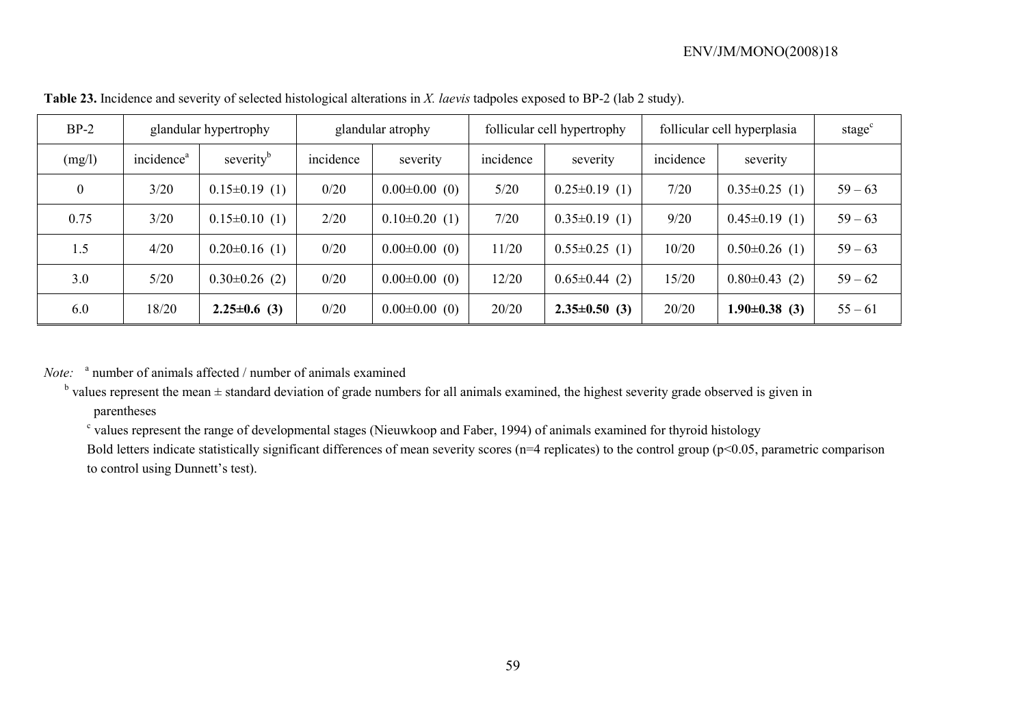| $BP-2$   |                        | glandular hypertrophy |           | glandular atrophy | follicular cell hypertrophy<br>follicular cell hyperplasia |                     |           | stage <sup>c</sup>  |           |
|----------|------------------------|-----------------------|-----------|-------------------|------------------------------------------------------------|---------------------|-----------|---------------------|-----------|
| (mg/l)   | incidence <sup>a</sup> | severity <sup>b</sup> | incidence | severity          | incidence                                                  | severity            | incidence | severity            |           |
| $\theta$ | 3/20                   | $0.15 \pm 0.19$ (1)   | 0/20      | $0.00\pm0.00$ (0) | 5/20                                                       | $0.25 \pm 0.19$ (1) | 7/20      | $0.35 \pm 0.25$ (1) | $59 - 63$ |
| 0.75     | 3/20                   | $0.15 \pm 0.10$ (1)   | 2/20      | $0.10\pm0.20$ (1) | 7/20                                                       | $0.35\pm0.19$ (1)   | 9/20      | $0.45 \pm 0.19$ (1) | $59 - 63$ |
| 1.5      | 4/20                   | $0.20 \pm 0.16$ (1)   | 0/20      | $0.00\pm0.00$ (0) | 11/20                                                      | $0.55 \pm 0.25$ (1) | 10/20     | $0.50 \pm 0.26$ (1) | $59 - 63$ |
| 3.0      | 5/20                   | $0.30\pm0.26$ (2)     | 0/20      | $0.00\pm0.00$ (0) | 12/20                                                      | $0.65 \pm 0.44$ (2) | 15/20     | $0.80 \pm 0.43$ (2) | $59 - 62$ |
| 6.0      | 18/20                  | $2.25 \pm 0.6$ (3)    | 0/20      | $0.00\pm0.00$ (0) | 20/20                                                      | $2.35 \pm 0.50$ (3) | 20/20     | $1.90 \pm 0.38$ (3) | $55 - 61$ |

**Table 23.** Incidence and severity of selected histological alterations in *X. laevis* tadpoles exposed to BP-2 (lab 2 study).

*Note*: <sup>a</sup> number of animals affected / number of animals examined

 $<sup>b</sup>$  values represent the mean  $\pm$  standard deviation of grade numbers for all animals examined, the highest severity grade observed is given in</sup> parentheses

<sup>c</sup> values represent the range of developmental stages (Nieuwkoop and Faber, 1994) of animals examined for thyroid histology

Bold letters indicate statistically significant differences of mean severity scores (n=4 replicates) to the control group (p<0.05, parametric comparison to control using Dunnett's test).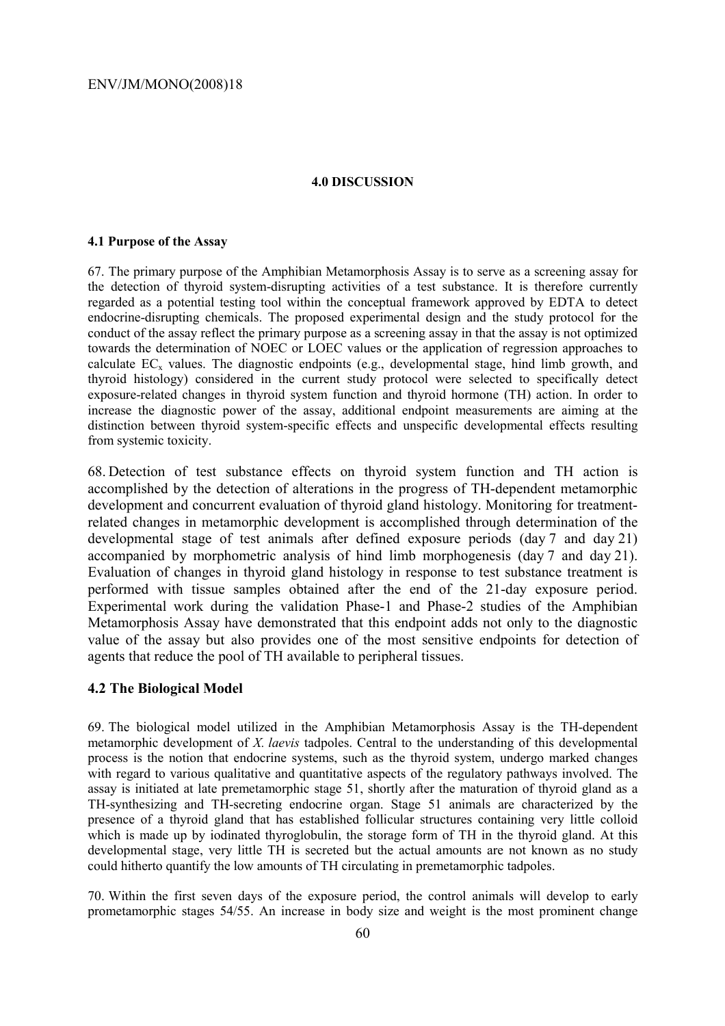## **4.0 DISCUSSION**

#### **4.1 Purpose of the Assay**

67. The primary purpose of the Amphibian Metamorphosis Assay is to serve as a screening assay for the detection of thyroid system-disrupting activities of a test substance. It is therefore currently regarded as a potential testing tool within the conceptual framework approved by EDTA to detect endocrine-disrupting chemicals. The proposed experimental design and the study protocol for the conduct of the assay reflect the primary purpose as a screening assay in that the assay is not optimized towards the determination of NOEC or LOEC values or the application of regression approaches to calculate  $EC_x$  values. The diagnostic endpoints (e.g., developmental stage, hind limb growth, and thyroid histology) considered in the current study protocol were selected to specifically detect exposure-related changes in thyroid system function and thyroid hormone (TH) action. In order to increase the diagnostic power of the assay, additional endpoint measurements are aiming at the distinction between thyroid system-specific effects and unspecific developmental effects resulting from systemic toxicity.

68. Detection of test substance effects on thyroid system function and TH action is accomplished by the detection of alterations in the progress of TH-dependent metamorphic development and concurrent evaluation of thyroid gland histology. Monitoring for treatmentrelated changes in metamorphic development is accomplished through determination of the developmental stage of test animals after defined exposure periods (day 7 and day 21) accompanied by morphometric analysis of hind limb morphogenesis (day 7 and day 21). Evaluation of changes in thyroid gland histology in response to test substance treatment is performed with tissue samples obtained after the end of the 21-day exposure period. Experimental work during the validation Phase-1 and Phase-2 studies of the Amphibian Metamorphosis Assay have demonstrated that this endpoint adds not only to the diagnostic value of the assay but also provides one of the most sensitive endpoints for detection of agents that reduce the pool of TH available to peripheral tissues.

### **4.2 The Biological Model**

69. The biological model utilized in the Amphibian Metamorphosis Assay is the TH-dependent metamorphic development of *X. laevis* tadpoles. Central to the understanding of this developmental process is the notion that endocrine systems, such as the thyroid system, undergo marked changes with regard to various qualitative and quantitative aspects of the regulatory pathways involved. The assay is initiated at late premetamorphic stage 51, shortly after the maturation of thyroid gland as a TH-synthesizing and TH-secreting endocrine organ. Stage 51 animals are characterized by the presence of a thyroid gland that has established follicular structures containing very little colloid which is made up by iodinated thyroglobulin, the storage form of TH in the thyroid gland. At this developmental stage, very little TH is secreted but the actual amounts are not known as no study could hitherto quantify the low amounts of TH circulating in premetamorphic tadpoles.

70. Within the first seven days of the exposure period, the control animals will develop to early prometamorphic stages 54/55. An increase in body size and weight is the most prominent change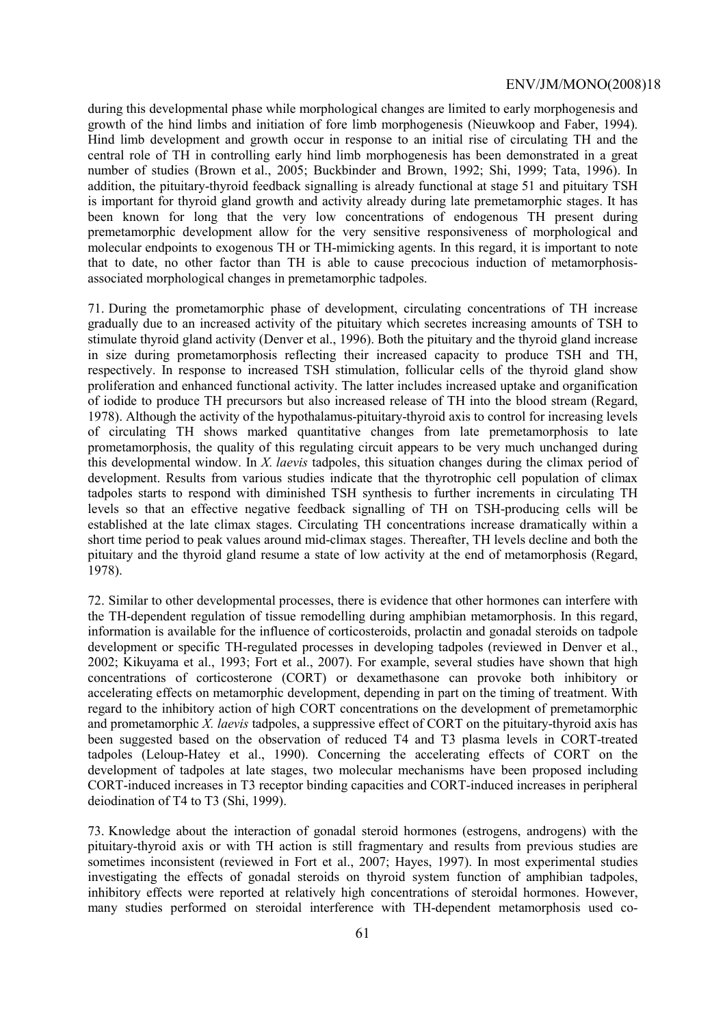during this developmental phase while morphological changes are limited to early morphogenesis and growth of the hind limbs and initiation of fore limb morphogenesis (Nieuwkoop and Faber, 1994). Hind limb development and growth occur in response to an initial rise of circulating TH and the central role of TH in controlling early hind limb morphogenesis has been demonstrated in a great number of studies (Brown et al., 2005; Buckbinder and Brown, 1992; Shi, 1999; Tata, 1996). In addition, the pituitary-thyroid feedback signalling is already functional at stage 51 and pituitary TSH is important for thyroid gland growth and activity already during late premetamorphic stages. It has been known for long that the very low concentrations of endogenous TH present during premetamorphic development allow for the very sensitive responsiveness of morphological and molecular endpoints to exogenous TH or TH-mimicking agents. In this regard, it is important to note that to date, no other factor than TH is able to cause precocious induction of metamorphosisassociated morphological changes in premetamorphic tadpoles.

71. During the prometamorphic phase of development, circulating concentrations of TH increase gradually due to an increased activity of the pituitary which secretes increasing amounts of TSH to stimulate thyroid gland activity (Denver et al., 1996). Both the pituitary and the thyroid gland increase in size during prometamorphosis reflecting their increased capacity to produce TSH and TH, respectively. In response to increased TSH stimulation, follicular cells of the thyroid gland show proliferation and enhanced functional activity. The latter includes increased uptake and organification of iodide to produce TH precursors but also increased release of TH into the blood stream (Regard, 1978). Although the activity of the hypothalamus-pituitary-thyroid axis to control for increasing levels of circulating TH shows marked quantitative changes from late premetamorphosis to late prometamorphosis, the quality of this regulating circuit appears to be very much unchanged during this developmental window. In *X. laevis* tadpoles, this situation changes during the climax period of development. Results from various studies indicate that the thyrotrophic cell population of climax tadpoles starts to respond with diminished TSH synthesis to further increments in circulating TH levels so that an effective negative feedback signalling of TH on TSH-producing cells will be established at the late climax stages. Circulating TH concentrations increase dramatically within a short time period to peak values around mid-climax stages. Thereafter, TH levels decline and both the pituitary and the thyroid gland resume a state of low activity at the end of metamorphosis (Regard, 1978).

72. Similar to other developmental processes, there is evidence that other hormones can interfere with the TH-dependent regulation of tissue remodelling during amphibian metamorphosis. In this regard, information is available for the influence of corticosteroids, prolactin and gonadal steroids on tadpole development or specific TH-regulated processes in developing tadpoles (reviewed in Denver et al., 2002; Kikuyama et al., 1993; Fort et al., 2007). For example, several studies have shown that high concentrations of corticosterone (CORT) or dexamethasone can provoke both inhibitory or accelerating effects on metamorphic development, depending in part on the timing of treatment. With regard to the inhibitory action of high CORT concentrations on the development of premetamorphic and prometamorphic *X. laevis* tadpoles, a suppressive effect of CORT on the pituitary-thyroid axis has been suggested based on the observation of reduced T4 and T3 plasma levels in CORT-treated tadpoles (Leloup-Hatey et al., 1990). Concerning the accelerating effects of CORT on the development of tadpoles at late stages, two molecular mechanisms have been proposed including CORT-induced increases in T3 receptor binding capacities and CORT-induced increases in peripheral deiodination of T4 to T3 (Shi, 1999).

73. Knowledge about the interaction of gonadal steroid hormones (estrogens, androgens) with the pituitary-thyroid axis or with TH action is still fragmentary and results from previous studies are sometimes inconsistent (reviewed in Fort et al., 2007; Hayes, 1997). In most experimental studies investigating the effects of gonadal steroids on thyroid system function of amphibian tadpoles, inhibitory effects were reported at relatively high concentrations of steroidal hormones. However, many studies performed on steroidal interference with TH-dependent metamorphosis used co-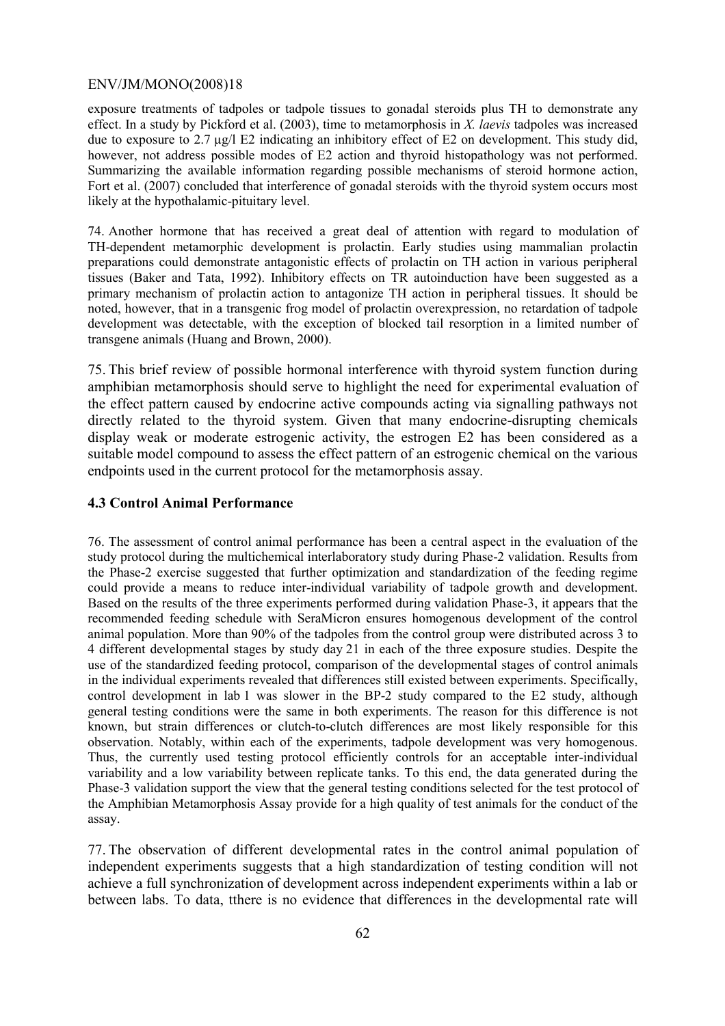exposure treatments of tadpoles or tadpole tissues to gonadal steroids plus TH to demonstrate any effect. In a study by Pickford et al. (2003), time to metamorphosis in *X. laevis* tadpoles was increased due to exposure to 2.7 µg/l E2 indicating an inhibitory effect of E2 on development. This study did, however, not address possible modes of E2 action and thyroid histopathology was not performed. Summarizing the available information regarding possible mechanisms of steroid hormone action, Fort et al. (2007) concluded that interference of gonadal steroids with the thyroid system occurs most likely at the hypothalamic-pituitary level.

74. Another hormone that has received a great deal of attention with regard to modulation of TH-dependent metamorphic development is prolactin. Early studies using mammalian prolactin preparations could demonstrate antagonistic effects of prolactin on TH action in various peripheral tissues (Baker and Tata, 1992). Inhibitory effects on TR autoinduction have been suggested as a primary mechanism of prolactin action to antagonize TH action in peripheral tissues. It should be noted, however, that in a transgenic frog model of prolactin overexpression, no retardation of tadpole development was detectable, with the exception of blocked tail resorption in a limited number of transgene animals (Huang and Brown, 2000).

75. This brief review of possible hormonal interference with thyroid system function during amphibian metamorphosis should serve to highlight the need for experimental evaluation of the effect pattern caused by endocrine active compounds acting via signalling pathways not directly related to the thyroid system. Given that many endocrine-disrupting chemicals display weak or moderate estrogenic activity, the estrogen E2 has been considered as a suitable model compound to assess the effect pattern of an estrogenic chemical on the various endpoints used in the current protocol for the metamorphosis assay.

## **4.3 Control Animal Performance**

76. The assessment of control animal performance has been a central aspect in the evaluation of the study protocol during the multichemical interlaboratory study during Phase-2 validation. Results from the Phase-2 exercise suggested that further optimization and standardization of the feeding regime could provide a means to reduce inter-individual variability of tadpole growth and development. Based on the results of the three experiments performed during validation Phase-3, it appears that the recommended feeding schedule with SeraMicron ensures homogenous development of the control animal population. More than 90% of the tadpoles from the control group were distributed across 3 to 4 different developmental stages by study day 21 in each of the three exposure studies. Despite the use of the standardized feeding protocol, comparison of the developmental stages of control animals in the individual experiments revealed that differences still existed between experiments. Specifically, control development in lab 1 was slower in the BP-2 study compared to the E2 study, although general testing conditions were the same in both experiments. The reason for this difference is not known, but strain differences or clutch-to-clutch differences are most likely responsible for this observation. Notably, within each of the experiments, tadpole development was very homogenous. Thus, the currently used testing protocol efficiently controls for an acceptable inter-individual variability and a low variability between replicate tanks. To this end, the data generated during the Phase-3 validation support the view that the general testing conditions selected for the test protocol of the Amphibian Metamorphosis Assay provide for a high quality of test animals for the conduct of the assay.

77. The observation of different developmental rates in the control animal population of independent experiments suggests that a high standardization of testing condition will not achieve a full synchronization of development across independent experiments within a lab or between labs. To data, tthere is no evidence that differences in the developmental rate will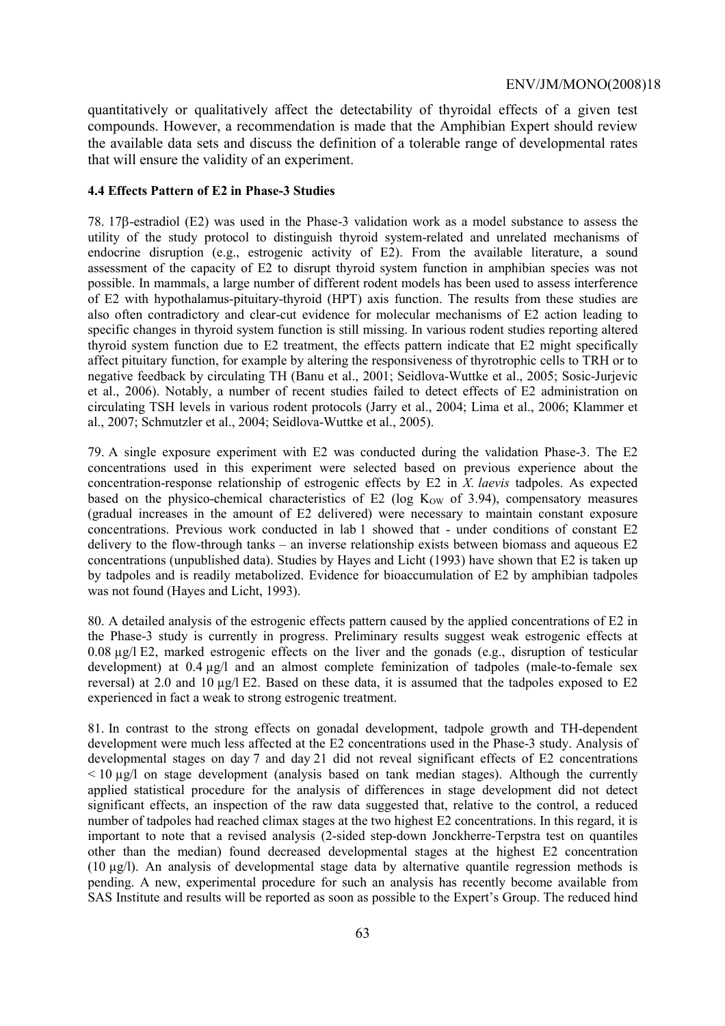quantitatively or qualitatively affect the detectability of thyroidal effects of a given test compounds. However, a recommendation is made that the Amphibian Expert should review the available data sets and discuss the definition of a tolerable range of developmental rates that will ensure the validity of an experiment.

### **4.4 Effects Pattern of E2 in Phase-3 Studies**

78. 17β-estradiol (E2) was used in the Phase-3 validation work as a model substance to assess the utility of the study protocol to distinguish thyroid system-related and unrelated mechanisms of endocrine disruption (e.g., estrogenic activity of E2). From the available literature, a sound assessment of the capacity of E2 to disrupt thyroid system function in amphibian species was not possible. In mammals, a large number of different rodent models has been used to assess interference of E2 with hypothalamus-pituitary-thyroid (HPT) axis function. The results from these studies are also often contradictory and clear-cut evidence for molecular mechanisms of E2 action leading to specific changes in thyroid system function is still missing. In various rodent studies reporting altered thyroid system function due to E2 treatment, the effects pattern indicate that E2 might specifically affect pituitary function, for example by altering the responsiveness of thyrotrophic cells to TRH or to negative feedback by circulating TH (Banu et al., 2001; Seidlova-Wuttke et al., 2005; Sosic-Jurjevic et al., 2006). Notably, a number of recent studies failed to detect effects of E2 administration on circulating TSH levels in various rodent protocols (Jarry et al., 2004; Lima et al., 2006; Klammer et al., 2007; Schmutzler et al., 2004; Seidlova-Wuttke et al., 2005).

79. A single exposure experiment with E2 was conducted during the validation Phase-3. The E2 concentrations used in this experiment were selected based on previous experience about the concentration-response relationship of estrogenic effects by E2 in *X. laevis* tadpoles. As expected based on the physico-chemical characteristics of E2 (log  $K_{OW}$  of 3.94), compensatory measures (gradual increases in the amount of E2 delivered) were necessary to maintain constant exposure concentrations. Previous work conducted in lab 1 showed that - under conditions of constant E2 delivery to the flow-through tanks – an inverse relationship exists between biomass and aqueous E2 concentrations (unpublished data). Studies by Hayes and Licht (1993) have shown that E2 is taken up by tadpoles and is readily metabolized. Evidence for bioaccumulation of E2 by amphibian tadpoles was not found (Hayes and Licht, 1993).

80. A detailed analysis of the estrogenic effects pattern caused by the applied concentrations of E2 in the Phase-3 study is currently in progress. Preliminary results suggest weak estrogenic effects at 0.08 µg/l E2, marked estrogenic effects on the liver and the gonads (e.g., disruption of testicular development) at 0.4 µg/l and an almost complete feminization of tadpoles (male-to-female sex reversal) at 2.0 and 10 µg/l E2. Based on these data, it is assumed that the tadpoles exposed to E2 experienced in fact a weak to strong estrogenic treatment.

81. In contrast to the strong effects on gonadal development, tadpole growth and TH-dependent development were much less affected at the E2 concentrations used in the Phase-3 study. Analysis of developmental stages on day 7 and day 21 did not reveal significant effects of E2 concentrations  $\leq$  10  $\mu$ g/l on stage development (analysis based on tank median stages). Although the currently applied statistical procedure for the analysis of differences in stage development did not detect significant effects, an inspection of the raw data suggested that, relative to the control, a reduced number of tadpoles had reached climax stages at the two highest E2 concentrations. In this regard, it is important to note that a revised analysis (2-sided step-down Jonckherre-Terpstra test on quantiles other than the median) found decreased developmental stages at the highest E2 concentration  $(10 \mu g/l)$ . An analysis of developmental stage data by alternative quantile regression methods is pending. A new, experimental procedure for such an analysis has recently become available from SAS Institute and results will be reported as soon as possible to the Expert's Group. The reduced hind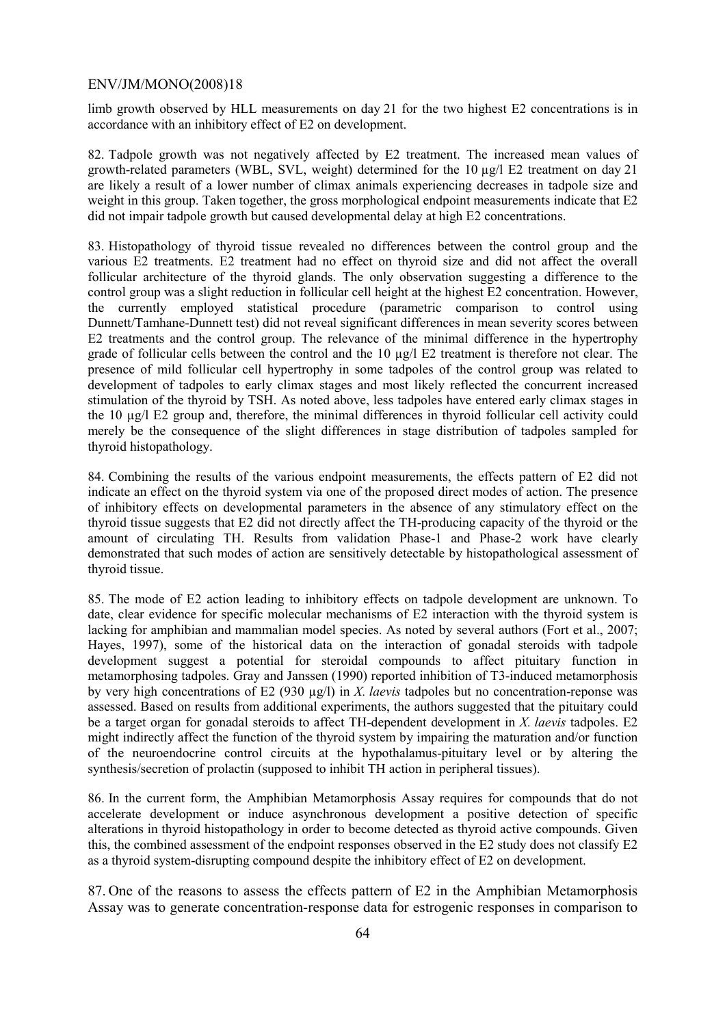limb growth observed by HLL measurements on day 21 for the two highest E2 concentrations is in accordance with an inhibitory effect of E2 on development.

82. Tadpole growth was not negatively affected by E2 treatment. The increased mean values of growth-related parameters (WBL, SVL, weight) determined for the 10 µg/l E2 treatment on day 21 are likely a result of a lower number of climax animals experiencing decreases in tadpole size and weight in this group. Taken together, the gross morphological endpoint measurements indicate that E2 did not impair tadpole growth but caused developmental delay at high E2 concentrations.

83. Histopathology of thyroid tissue revealed no differences between the control group and the various E2 treatments. E2 treatment had no effect on thyroid size and did not affect the overall follicular architecture of the thyroid glands. The only observation suggesting a difference to the control group was a slight reduction in follicular cell height at the highest E2 concentration. However, the currently employed statistical procedure (parametric comparison to control using Dunnett/Tamhane-Dunnett test) did not reveal significant differences in mean severity scores between E2 treatments and the control group. The relevance of the minimal difference in the hypertrophy grade of follicular cells between the control and the 10 µg/l E2 treatment is therefore not clear. The presence of mild follicular cell hypertrophy in some tadpoles of the control group was related to development of tadpoles to early climax stages and most likely reflected the concurrent increased stimulation of the thyroid by TSH. As noted above, less tadpoles have entered early climax stages in the 10 µg/l E2 group and, therefore, the minimal differences in thyroid follicular cell activity could merely be the consequence of the slight differences in stage distribution of tadpoles sampled for thyroid histopathology.

84. Combining the results of the various endpoint measurements, the effects pattern of E2 did not indicate an effect on the thyroid system via one of the proposed direct modes of action. The presence of inhibitory effects on developmental parameters in the absence of any stimulatory effect on the thyroid tissue suggests that E2 did not directly affect the TH-producing capacity of the thyroid or the amount of circulating TH. Results from validation Phase-1 and Phase-2 work have clearly demonstrated that such modes of action are sensitively detectable by histopathological assessment of thyroid tissue.

85. The mode of E2 action leading to inhibitory effects on tadpole development are unknown. To date, clear evidence for specific molecular mechanisms of E2 interaction with the thyroid system is lacking for amphibian and mammalian model species. As noted by several authors (Fort et al., 2007; Hayes, 1997), some of the historical data on the interaction of gonadal steroids with tadpole development suggest a potential for steroidal compounds to affect pituitary function in metamorphosing tadpoles. Gray and Janssen (1990) reported inhibition of T3-induced metamorphosis by very high concentrations of E2 (930 µg/l) in *X. laevis* tadpoles but no concentration-reponse was assessed. Based on results from additional experiments, the authors suggested that the pituitary could be a target organ for gonadal steroids to affect TH-dependent development in *X. laevis* tadpoles. E2 might indirectly affect the function of the thyroid system by impairing the maturation and/or function of the neuroendocrine control circuits at the hypothalamus-pituitary level or by altering the synthesis/secretion of prolactin (supposed to inhibit TH action in peripheral tissues).

86. In the current form, the Amphibian Metamorphosis Assay requires for compounds that do not accelerate development or induce asynchronous development a positive detection of specific alterations in thyroid histopathology in order to become detected as thyroid active compounds. Given this, the combined assessment of the endpoint responses observed in the E2 study does not classify E2 as a thyroid system-disrupting compound despite the inhibitory effect of E2 on development.

87. One of the reasons to assess the effects pattern of E2 in the Amphibian Metamorphosis Assay was to generate concentration-response data for estrogenic responses in comparison to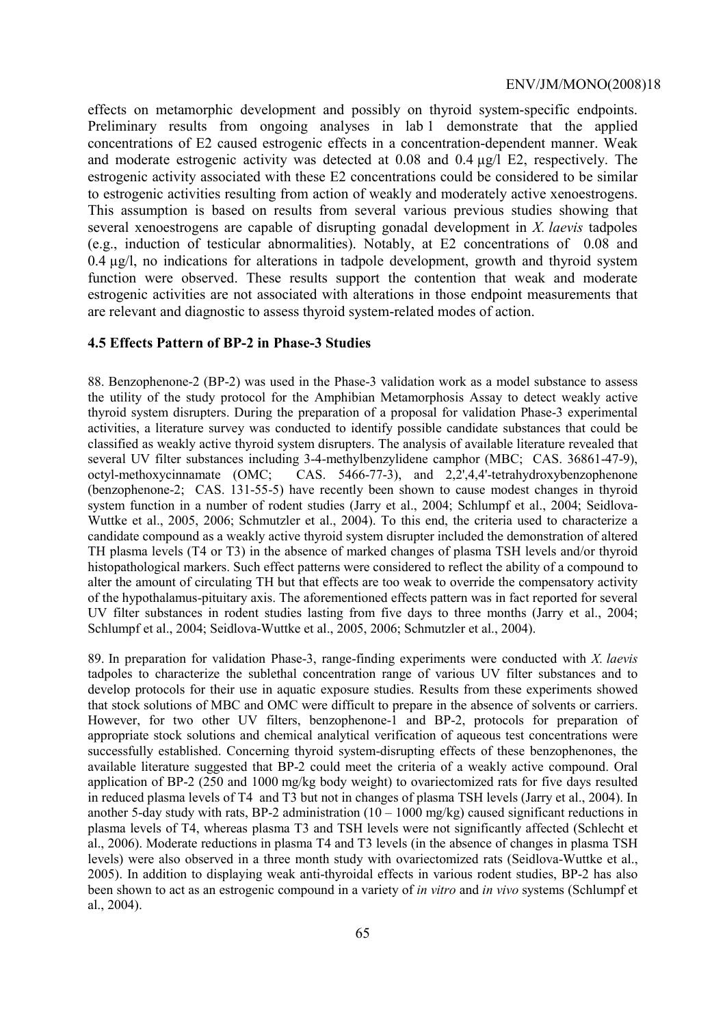effects on metamorphic development and possibly on thyroid system-specific endpoints. Preliminary results from ongoing analyses in lab 1 demonstrate that the applied concentrations of E2 caused estrogenic effects in a concentration-dependent manner. Weak and moderate estrogenic activity was detected at 0.08 and 0.4 µg/l E2, respectively. The estrogenic activity associated with these E2 concentrations could be considered to be similar to estrogenic activities resulting from action of weakly and moderately active xenoestrogens. This assumption is based on results from several various previous studies showing that several xenoestrogens are capable of disrupting gonadal development in *X. laevis* tadpoles (e.g., induction of testicular abnormalities). Notably, at E2 concentrations of 0.08 and 0.4 µg/l, no indications for alterations in tadpole development, growth and thyroid system function were observed. These results support the contention that weak and moderate estrogenic activities are not associated with alterations in those endpoint measurements that are relevant and diagnostic to assess thyroid system-related modes of action.

## **4.5 Effects Pattern of BP-2 in Phase-3 Studies**

88. Benzophenone-2 (BP-2) was used in the Phase-3 validation work as a model substance to assess the utility of the study protocol for the Amphibian Metamorphosis Assay to detect weakly active thyroid system disrupters. During the preparation of a proposal for validation Phase-3 experimental activities, a literature survey was conducted to identify possible candidate substances that could be classified as weakly active thyroid system disrupters. The analysis of available literature revealed that several UV filter substances including 3-4-methylbenzylidene camphor (MBC; CAS. 36861-47-9), octyl-methoxycinnamate (OMC; CAS. 5466-77-3), and 2,2',4,4'-tetrahydroxybenzophenone (benzophenone-2; CAS. 131-55-5) have recently been shown to cause modest changes in thyroid system function in a number of rodent studies (Jarry et al., 2004; Schlumpf et al., 2004; Seidlova-Wuttke et al., 2005, 2006; Schmutzler et al., 2004). To this end, the criteria used to characterize a candidate compound as a weakly active thyroid system disrupter included the demonstration of altered TH plasma levels (T4 or T3) in the absence of marked changes of plasma TSH levels and/or thyroid histopathological markers. Such effect patterns were considered to reflect the ability of a compound to alter the amount of circulating TH but that effects are too weak to override the compensatory activity of the hypothalamus-pituitary axis. The aforementioned effects pattern was in fact reported for several UV filter substances in rodent studies lasting from five days to three months (Jarry et al., 2004; Schlumpf et al., 2004; Seidlova-Wuttke et al., 2005, 2006; Schmutzler et al., 2004).

89. In preparation for validation Phase-3, range-finding experiments were conducted with *X. laevis* tadpoles to characterize the sublethal concentration range of various UV filter substances and to develop protocols for their use in aquatic exposure studies. Results from these experiments showed that stock solutions of MBC and OMC were difficult to prepare in the absence of solvents or carriers. However, for two other UV filters, benzophenone-1 and BP-2, protocols for preparation of appropriate stock solutions and chemical analytical verification of aqueous test concentrations were successfully established. Concerning thyroid system-disrupting effects of these benzophenones, the available literature suggested that BP-2 could meet the criteria of a weakly active compound. Oral application of BP-2 (250 and 1000 mg/kg body weight) to ovariectomized rats for five days resulted in reduced plasma levels of T4 and T3 but not in changes of plasma TSH levels (Jarry et al., 2004). In another 5-day study with rats, BP-2 administration  $(10 - 1000 \text{ mg/kg})$  caused significant reductions in plasma levels of T4, whereas plasma T3 and TSH levels were not significantly affected (Schlecht et al., 2006). Moderate reductions in plasma T4 and T3 levels (in the absence of changes in plasma TSH levels) were also observed in a three month study with ovariectomized rats (Seidlova-Wuttke et al., 2005). In addition to displaying weak anti-thyroidal effects in various rodent studies, BP-2 has also been shown to act as an estrogenic compound in a variety of *in vitro* and *in vivo* systems (Schlumpf et al., 2004).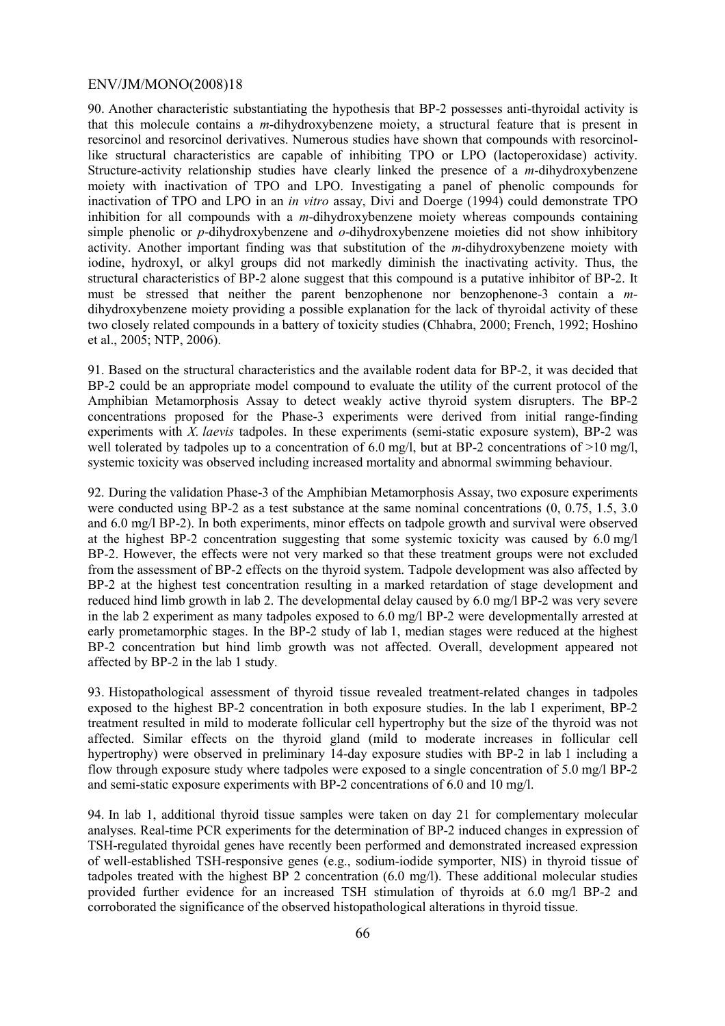90. Another characteristic substantiating the hypothesis that BP-2 possesses anti-thyroidal activity is that this molecule contains a *m*-dihydroxybenzene moiety, a structural feature that is present in resorcinol and resorcinol derivatives. Numerous studies have shown that compounds with resorcinollike structural characteristics are capable of inhibiting TPO or LPO (lactoperoxidase) activity. Structure-activity relationship studies have clearly linked the presence of a *m*-dihydroxybenzene moiety with inactivation of TPO and LPO. Investigating a panel of phenolic compounds for inactivation of TPO and LPO in an *in vitro* assay, Divi and Doerge (1994) could demonstrate TPO inhibition for all compounds with a *m*-dihydroxybenzene moiety whereas compounds containing simple phenolic or *p*-dihydroxybenzene and *o*-dihydroxybenzene moieties did not show inhibitory activity. Another important finding was that substitution of the *m*-dihydroxybenzene moiety with iodine, hydroxyl, or alkyl groups did not markedly diminish the inactivating activity. Thus, the structural characteristics of BP-2 alone suggest that this compound is a putative inhibitor of BP-2. It must be stressed that neither the parent benzophenone nor benzophenone-3 contain a *m*dihydroxybenzene moiety providing a possible explanation for the lack of thyroidal activity of these two closely related compounds in a battery of toxicity studies (Chhabra, 2000; French, 1992; Hoshino et al., 2005; NTP, 2006).

91. Based on the structural characteristics and the available rodent data for BP-2, it was decided that BP-2 could be an appropriate model compound to evaluate the utility of the current protocol of the Amphibian Metamorphosis Assay to detect weakly active thyroid system disrupters. The BP-2 concentrations proposed for the Phase-3 experiments were derived from initial range-finding experiments with *X. laevis* tadpoles. In these experiments (semi-static exposure system), BP-2 was well tolerated by tadpoles up to a concentration of 6.0 mg/l, but at BP-2 concentrations of  $>10$  mg/l, systemic toxicity was observed including increased mortality and abnormal swimming behaviour.

92. During the validation Phase-3 of the Amphibian Metamorphosis Assay, two exposure experiments were conducted using BP-2 as a test substance at the same nominal concentrations  $(0, 0.75, 1.5, 3.0)$ and 6.0 mg/l BP-2). In both experiments, minor effects on tadpole growth and survival were observed at the highest BP-2 concentration suggesting that some systemic toxicity was caused by 6.0 mg/l BP-2. However, the effects were not very marked so that these treatment groups were not excluded from the assessment of BP-2 effects on the thyroid system. Tadpole development was also affected by BP-2 at the highest test concentration resulting in a marked retardation of stage development and reduced hind limb growth in lab 2. The developmental delay caused by 6.0 mg/l BP-2 was very severe in the lab 2 experiment as many tadpoles exposed to 6.0 mg/l BP-2 were developmentally arrested at early prometamorphic stages. In the BP-2 study of lab 1, median stages were reduced at the highest BP-2 concentration but hind limb growth was not affected. Overall, development appeared not affected by BP-2 in the lab 1 study.

93. Histopathological assessment of thyroid tissue revealed treatment-related changes in tadpoles exposed to the highest BP-2 concentration in both exposure studies. In the lab 1 experiment, BP-2 treatment resulted in mild to moderate follicular cell hypertrophy but the size of the thyroid was not affected. Similar effects on the thyroid gland (mild to moderate increases in follicular cell hypertrophy) were observed in preliminary 14-day exposure studies with BP-2 in lab 1 including a flow through exposure study where tadpoles were exposed to a single concentration of 5.0 mg/l BP-2 and semi-static exposure experiments with BP-2 concentrations of 6.0 and 10 mg/l.

94. In lab 1, additional thyroid tissue samples were taken on day 21 for complementary molecular analyses. Real-time PCR experiments for the determination of BP-2 induced changes in expression of TSH-regulated thyroidal genes have recently been performed and demonstrated increased expression of well-established TSH-responsive genes (e.g., sodium-iodide symporter, NIS) in thyroid tissue of tadpoles treated with the highest BP 2 concentration (6.0 mg/l). These additional molecular studies provided further evidence for an increased TSH stimulation of thyroids at 6.0 mg/l BP-2 and corroborated the significance of the observed histopathological alterations in thyroid tissue.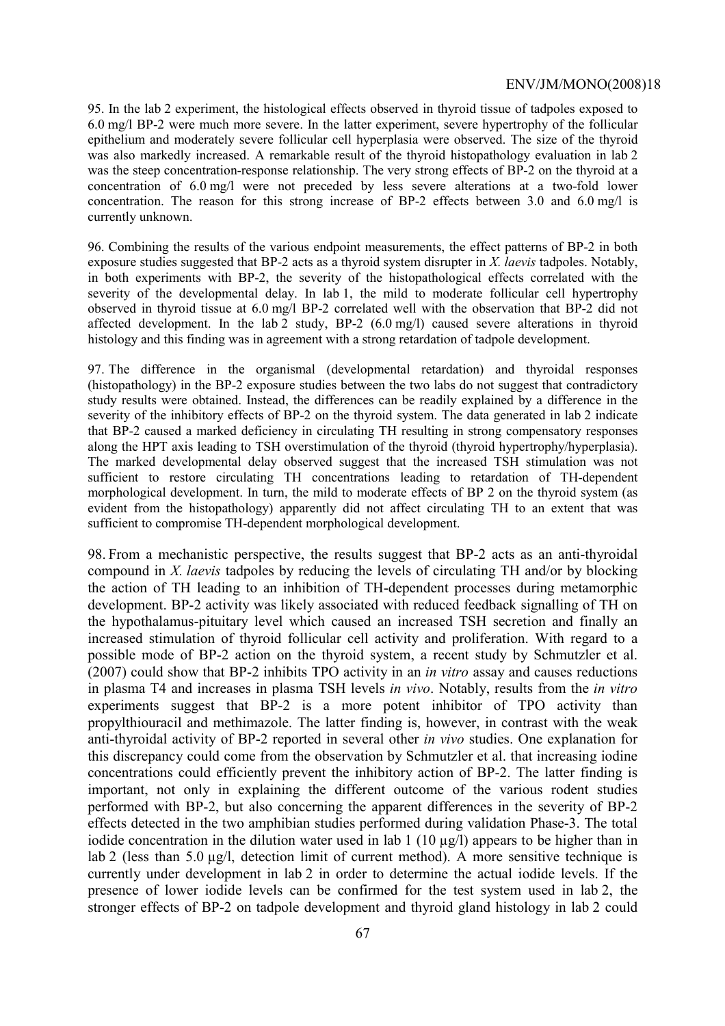95. In the lab 2 experiment, the histological effects observed in thyroid tissue of tadpoles exposed to 6.0 mg/l BP-2 were much more severe. In the latter experiment, severe hypertrophy of the follicular epithelium and moderately severe follicular cell hyperplasia were observed. The size of the thyroid was also markedly increased. A remarkable result of the thyroid histopathology evaluation in lab 2 was the steep concentration-response relationship. The very strong effects of BP-2 on the thyroid at a concentration of 6.0 mg/l were not preceded by less severe alterations at a two-fold lower concentration. The reason for this strong increase of BP-2 effects between 3.0 and 6.0 mg/l is currently unknown.

96. Combining the results of the various endpoint measurements, the effect patterns of BP-2 in both exposure studies suggested that BP-2 acts as a thyroid system disrupter in *X. laevis* tadpoles. Notably, in both experiments with BP-2, the severity of the histopathological effects correlated with the severity of the developmental delay. In lab 1, the mild to moderate follicular cell hypertrophy observed in thyroid tissue at 6.0 mg/l BP-2 correlated well with the observation that BP-2 did not affected development. In the lab 2 study, BP-2 (6.0 mg/l) caused severe alterations in thyroid histology and this finding was in agreement with a strong retardation of tadpole development.

97. The difference in the organismal (developmental retardation) and thyroidal responses (histopathology) in the BP-2 exposure studies between the two labs do not suggest that contradictory study results were obtained. Instead, the differences can be readily explained by a difference in the severity of the inhibitory effects of BP-2 on the thyroid system. The data generated in lab 2 indicate that BP-2 caused a marked deficiency in circulating TH resulting in strong compensatory responses along the HPT axis leading to TSH overstimulation of the thyroid (thyroid hypertrophy/hyperplasia). The marked developmental delay observed suggest that the increased TSH stimulation was not sufficient to restore circulating TH concentrations leading to retardation of TH-dependent morphological development. In turn, the mild to moderate effects of BP 2 on the thyroid system (as evident from the histopathology) apparently did not affect circulating TH to an extent that was sufficient to compromise TH-dependent morphological development.

98. From a mechanistic perspective, the results suggest that BP-2 acts as an anti-thyroidal compound in *X. laevis* tadpoles by reducing the levels of circulating TH and/or by blocking the action of TH leading to an inhibition of TH-dependent processes during metamorphic development. BP-2 activity was likely associated with reduced feedback signalling of TH on the hypothalamus-pituitary level which caused an increased TSH secretion and finally an increased stimulation of thyroid follicular cell activity and proliferation. With regard to a possible mode of BP-2 action on the thyroid system, a recent study by Schmutzler et al. (2007) could show that BP-2 inhibits TPO activity in an *in vitro* assay and causes reductions in plasma T4 and increases in plasma TSH levels *in vivo*. Notably, results from the *in vitro* experiments suggest that BP-2 is a more potent inhibitor of TPO activity than propylthiouracil and methimazole. The latter finding is, however, in contrast with the weak anti-thyroidal activity of BP-2 reported in several other *in vivo* studies. One explanation for this discrepancy could come from the observation by Schmutzler et al. that increasing iodine concentrations could efficiently prevent the inhibitory action of BP-2. The latter finding is important, not only in explaining the different outcome of the various rodent studies performed with BP-2, but also concerning the apparent differences in the severity of BP-2 effects detected in the two amphibian studies performed during validation Phase-3. The total iodide concentration in the dilution water used in lab  $1(10 \mu g/l)$  appears to be higher than in lab 2 (less than 5.0 µg/l, detection limit of current method). A more sensitive technique is currently under development in lab 2 in order to determine the actual iodide levels. If the presence of lower iodide levels can be confirmed for the test system used in lab 2, the stronger effects of BP-2 on tadpole development and thyroid gland histology in lab 2 could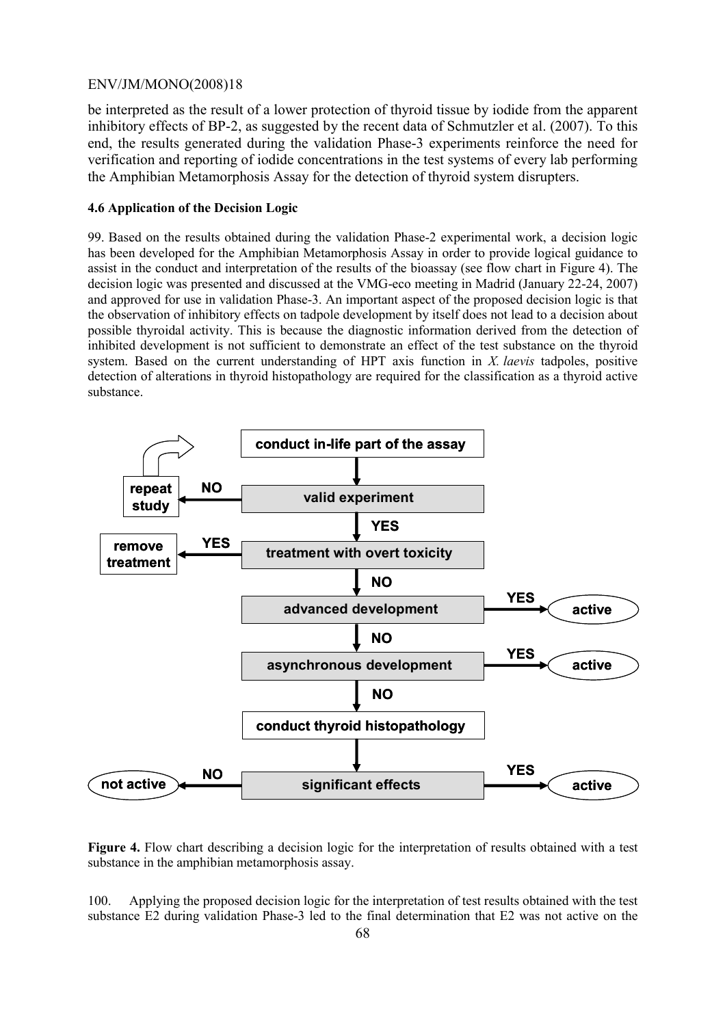be interpreted as the result of a lower protection of thyroid tissue by iodide from the apparent inhibitory effects of BP-2, as suggested by the recent data of Schmutzler et al. (2007). To this end, the results generated during the validation Phase-3 experiments reinforce the need for verification and reporting of iodide concentrations in the test systems of every lab performing the Amphibian Metamorphosis Assay for the detection of thyroid system disrupters.

## **4.6 Application of the Decision Logic**

99. Based on the results obtained during the validation Phase-2 experimental work, a decision logic has been developed for the Amphibian Metamorphosis Assay in order to provide logical guidance to assist in the conduct and interpretation of the results of the bioassay (see flow chart in Figure 4). The decision logic was presented and discussed at the VMG-eco meeting in Madrid (January 22-24, 2007) and approved for use in validation Phase-3. An important aspect of the proposed decision logic is that the observation of inhibitory effects on tadpole development by itself does not lead to a decision about possible thyroidal activity. This is because the diagnostic information derived from the detection of inhibited development is not sufficient to demonstrate an effect of the test substance on the thyroid system. Based on the current understanding of HPT axis function in *X. laevis* tadpoles, positive detection of alterations in thyroid histopathology are required for the classification as a thyroid active substance.



**Figure 4.** Flow chart describing a decision logic for the interpretation of results obtained with a test substance in the amphibian metamorphosis assay.

100. Applying the proposed decision logic for the interpretation of test results obtained with the test substance E2 during validation Phase-3 led to the final determination that E2 was not active on the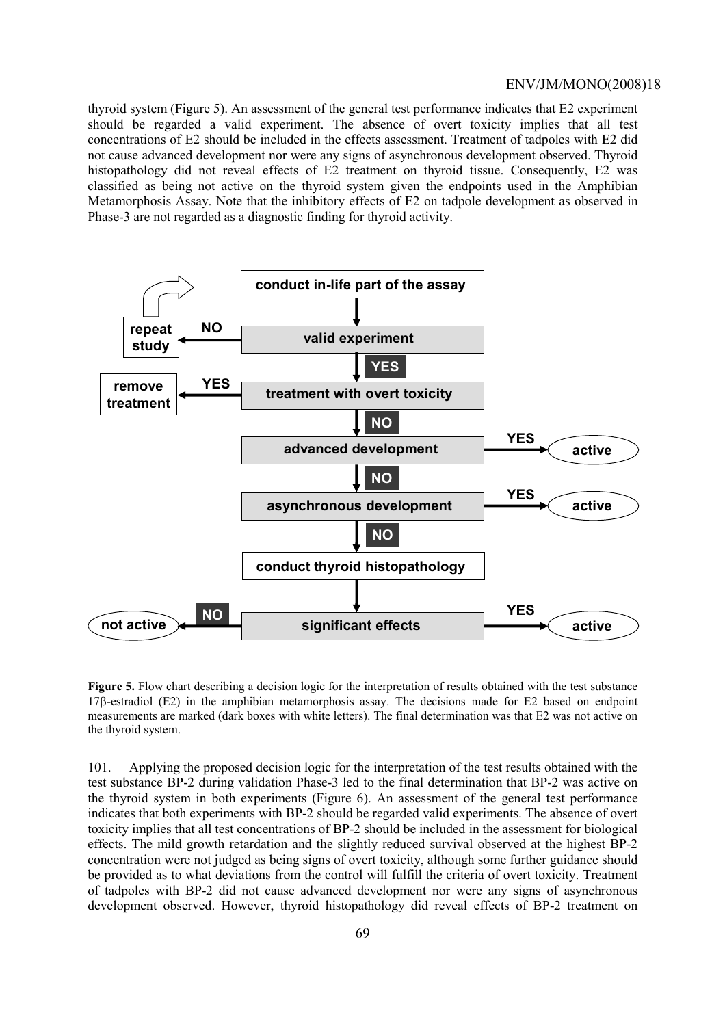thyroid system (Figure 5). An assessment of the general test performance indicates that E2 experiment should be regarded a valid experiment. The absence of overt toxicity implies that all test concentrations of E2 should be included in the effects assessment. Treatment of tadpoles with E2 did not cause advanced development nor were any signs of asynchronous development observed. Thyroid histopathology did not reveal effects of E2 treatment on thyroid tissue. Consequently, E2 was classified as being not active on the thyroid system given the endpoints used in the Amphibian Metamorphosis Assay. Note that the inhibitory effects of E2 on tadpole development as observed in Phase-3 are not regarded as a diagnostic finding for thyroid activity.



**Figure 5.** Flow chart describing a decision logic for the interpretation of results obtained with the test substance 17β-estradiol (E2) in the amphibian metamorphosis assay. The decisions made for E2 based on endpoint measurements are marked (dark boxes with white letters). The final determination was that E2 was not active on the thyroid system.

101. Applying the proposed decision logic for the interpretation of the test results obtained with the test substance BP-2 during validation Phase-3 led to the final determination that BP-2 was active on the thyroid system in both experiments (Figure 6). An assessment of the general test performance indicates that both experiments with BP-2 should be regarded valid experiments. The absence of overt toxicity implies that all test concentrations of BP-2 should be included in the assessment for biological effects. The mild growth retardation and the slightly reduced survival observed at the highest BP-2 concentration were not judged as being signs of overt toxicity, although some further guidance should be provided as to what deviations from the control will fulfill the criteria of overt toxicity. Treatment of tadpoles with BP-2 did not cause advanced development nor were any signs of asynchronous development observed. However, thyroid histopathology did reveal effects of BP-2 treatment on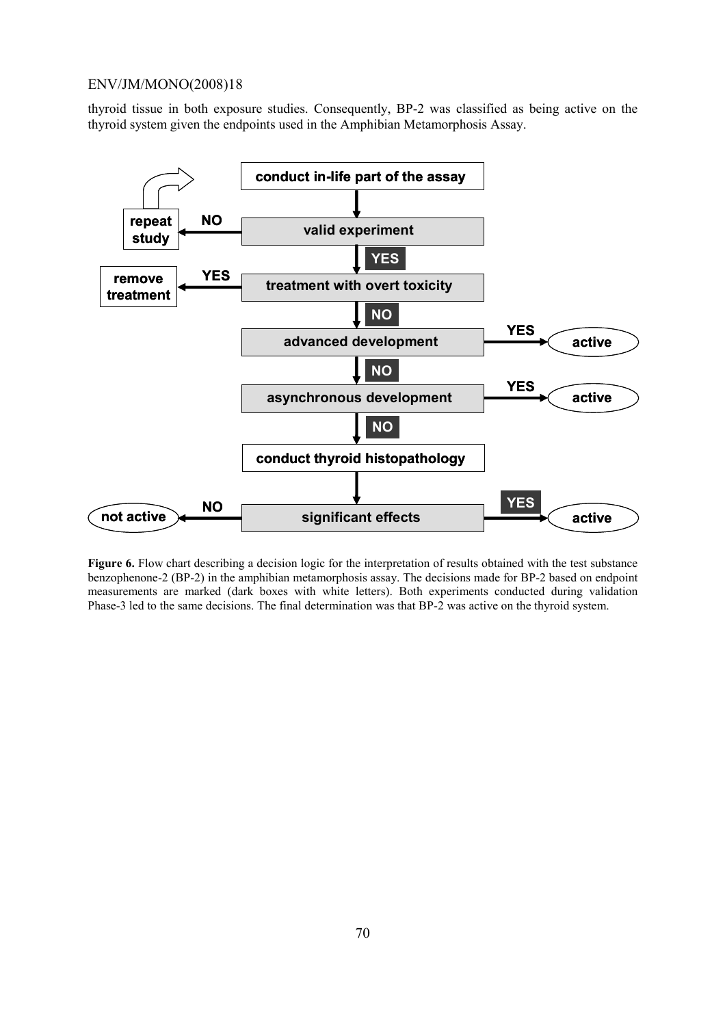thyroid tissue in both exposure studies. Consequently, BP-2 was classified as being active on the thyroid system given the endpoints used in the Amphibian Metamorphosis Assay.



**Figure 6.** Flow chart describing a decision logic for the interpretation of results obtained with the test substance benzophenone-2 (BP-2) in the amphibian metamorphosis assay. The decisions made for BP-2 based on endpoint measurements are marked (dark boxes with white letters). Both experiments conducted during validation Phase-3 led to the same decisions. The final determination was that BP-2 was active on the thyroid system.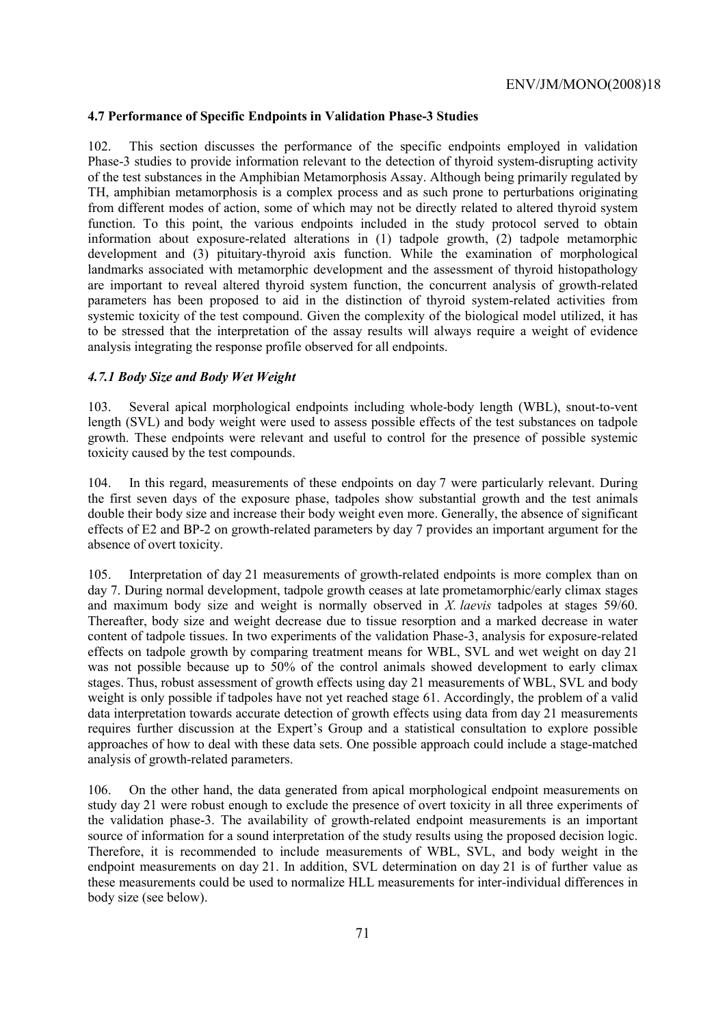## **4.7 Performance of Specific Endpoints in Validation Phase-3 Studies**

102. This section discusses the performance of the specific endpoints employed in validation Phase-3 studies to provide information relevant to the detection of thyroid system-disrupting activity of the test substances in the Amphibian Metamorphosis Assay. Although being primarily regulated by TH, amphibian metamorphosis is a complex process and as such prone to perturbations originating from different modes of action, some of which may not be directly related to altered thyroid system function. To this point, the various endpoints included in the study protocol served to obtain information about exposure-related alterations in (1) tadpole growth, (2) tadpole metamorphic development and (3) pituitary-thyroid axis function. While the examination of morphological landmarks associated with metamorphic development and the assessment of thyroid histopathology are important to reveal altered thyroid system function, the concurrent analysis of growth-related parameters has been proposed to aid in the distinction of thyroid system-related activities from systemic toxicity of the test compound. Given the complexity of the biological model utilized, it has to be stressed that the interpretation of the assay results will always require a weight of evidence analysis integrating the response profile observed for all endpoints.

## *4.7.1 Body Size and Body Wet Weight*

103. Several apical morphological endpoints including whole-body length (WBL), snout-to-vent length (SVL) and body weight were used to assess possible effects of the test substances on tadpole growth. These endpoints were relevant and useful to control for the presence of possible systemic toxicity caused by the test compounds.

104. In this regard, measurements of these endpoints on day 7 were particularly relevant. During the first seven days of the exposure phase, tadpoles show substantial growth and the test animals double their body size and increase their body weight even more. Generally, the absence of significant effects of E2 and BP-2 on growth-related parameters by day 7 provides an important argument for the absence of overt toxicity.

105. Interpretation of day 21 measurements of growth-related endpoints is more complex than on day 7. During normal development, tadpole growth ceases at late prometamorphic/early climax stages and maximum body size and weight is normally observed in *X. laevis* tadpoles at stages 59/60. Thereafter, body size and weight decrease due to tissue resorption and a marked decrease in water content of tadpole tissues. In two experiments of the validation Phase-3, analysis for exposure-related effects on tadpole growth by comparing treatment means for WBL, SVL and wet weight on day 21 was not possible because up to 50% of the control animals showed development to early climax stages. Thus, robust assessment of growth effects using day 21 measurements of WBL, SVL and body weight is only possible if tadpoles have not yet reached stage 61. Accordingly, the problem of a valid data interpretation towards accurate detection of growth effects using data from day 21 measurements requires further discussion at the Expert's Group and a statistical consultation to explore possible approaches of how to deal with these data sets. One possible approach could include a stage-matched analysis of growth-related parameters.

106. On the other hand, the data generated from apical morphological endpoint measurements on study day 21 were robust enough to exclude the presence of overt toxicity in all three experiments of the validation phase-3. The availability of growth-related endpoint measurements is an important source of information for a sound interpretation of the study results using the proposed decision logic. Therefore, it is recommended to include measurements of WBL, SVL, and body weight in the endpoint measurements on day 21. In addition, SVL determination on day 21 is of further value as these measurements could be used to normalize HLL measurements for inter-individual differences in body size (see below).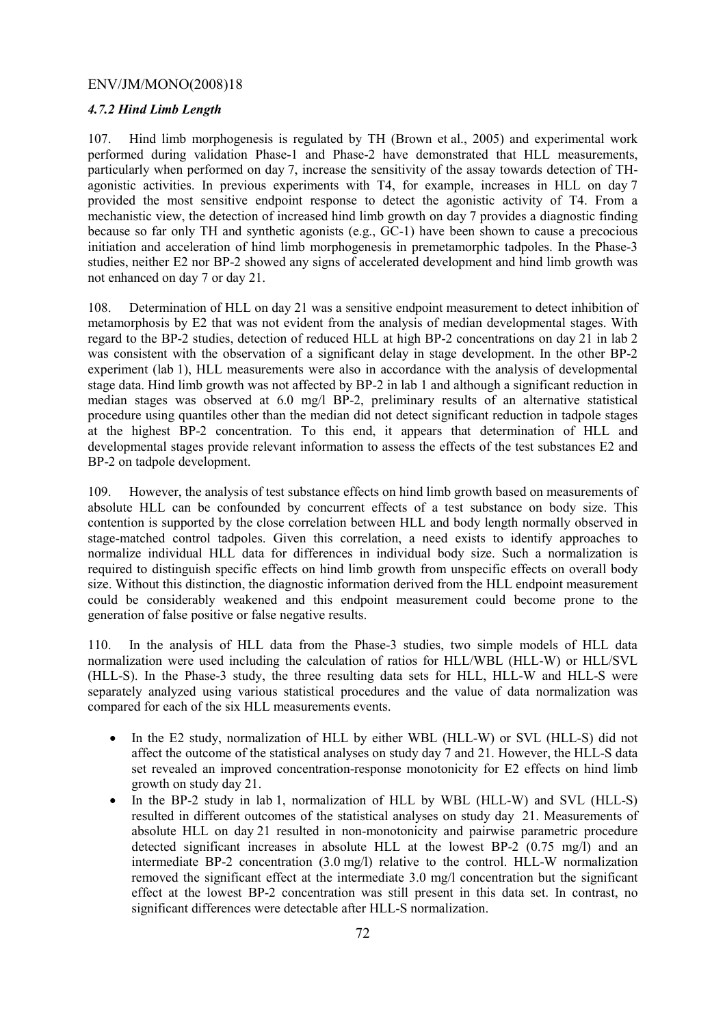## *4.7.2 Hind Limb Length*

107. Hind limb morphogenesis is regulated by TH (Brown et al., 2005) and experimental work performed during validation Phase-1 and Phase-2 have demonstrated that HLL measurements, particularly when performed on day 7, increase the sensitivity of the assay towards detection of THagonistic activities. In previous experiments with T4, for example, increases in HLL on day 7 provided the most sensitive endpoint response to detect the agonistic activity of T4. From a mechanistic view, the detection of increased hind limb growth on day 7 provides a diagnostic finding because so far only TH and synthetic agonists (e.g., GC-1) have been shown to cause a precocious initiation and acceleration of hind limb morphogenesis in premetamorphic tadpoles. In the Phase-3 studies, neither E2 nor BP-2 showed any signs of accelerated development and hind limb growth was not enhanced on day 7 or day 21.

108. Determination of HLL on day 21 was a sensitive endpoint measurement to detect inhibition of metamorphosis by E2 that was not evident from the analysis of median developmental stages. With regard to the BP-2 studies, detection of reduced HLL at high BP-2 concentrations on day 21 in lab 2 was consistent with the observation of a significant delay in stage development. In the other BP-2 experiment (lab 1), HLL measurements were also in accordance with the analysis of developmental stage data. Hind limb growth was not affected by BP-2 in lab 1 and although a significant reduction in median stages was observed at 6.0 mg/l BP-2, preliminary results of an alternative statistical procedure using quantiles other than the median did not detect significant reduction in tadpole stages at the highest BP-2 concentration. To this end, it appears that determination of HLL and developmental stages provide relevant information to assess the effects of the test substances E2 and BP-2 on tadpole development.

109. However, the analysis of test substance effects on hind limb growth based on measurements of absolute HLL can be confounded by concurrent effects of a test substance on body size. This contention is supported by the close correlation between HLL and body length normally observed in stage-matched control tadpoles. Given this correlation, a need exists to identify approaches to normalize individual HLL data for differences in individual body size. Such a normalization is required to distinguish specific effects on hind limb growth from unspecific effects on overall body size. Without this distinction, the diagnostic information derived from the HLL endpoint measurement could be considerably weakened and this endpoint measurement could become prone to the generation of false positive or false negative results.

110. In the analysis of HLL data from the Phase-3 studies, two simple models of HLL data normalization were used including the calculation of ratios for HLL/WBL (HLL-W) or HLL/SVL (HLL-S). In the Phase-3 study, the three resulting data sets for HLL, HLL-W and HLL-S were separately analyzed using various statistical procedures and the value of data normalization was compared for each of the six HLL measurements events.

- In the E2 study, normalization of HLL by either WBL (HLL-W) or SVL (HLL-S) did not affect the outcome of the statistical analyses on study day 7 and 21. However, the HLL-S data set revealed an improved concentration-response monotonicity for E2 effects on hind limb growth on study day 21.
- In the BP-2 study in lab 1, normalization of HLL by WBL (HLL-W) and SVL (HLL-S) resulted in different outcomes of the statistical analyses on study day 21. Measurements of absolute HLL on day 21 resulted in non-monotonicity and pairwise parametric procedure detected significant increases in absolute HLL at the lowest BP-2 (0.75 mg/l) and an intermediate BP-2 concentration (3.0 mg/l) relative to the control. HLL-W normalization removed the significant effect at the intermediate 3.0 mg/l concentration but the significant effect at the lowest BP-2 concentration was still present in this data set. In contrast, no significant differences were detectable after HLL-S normalization.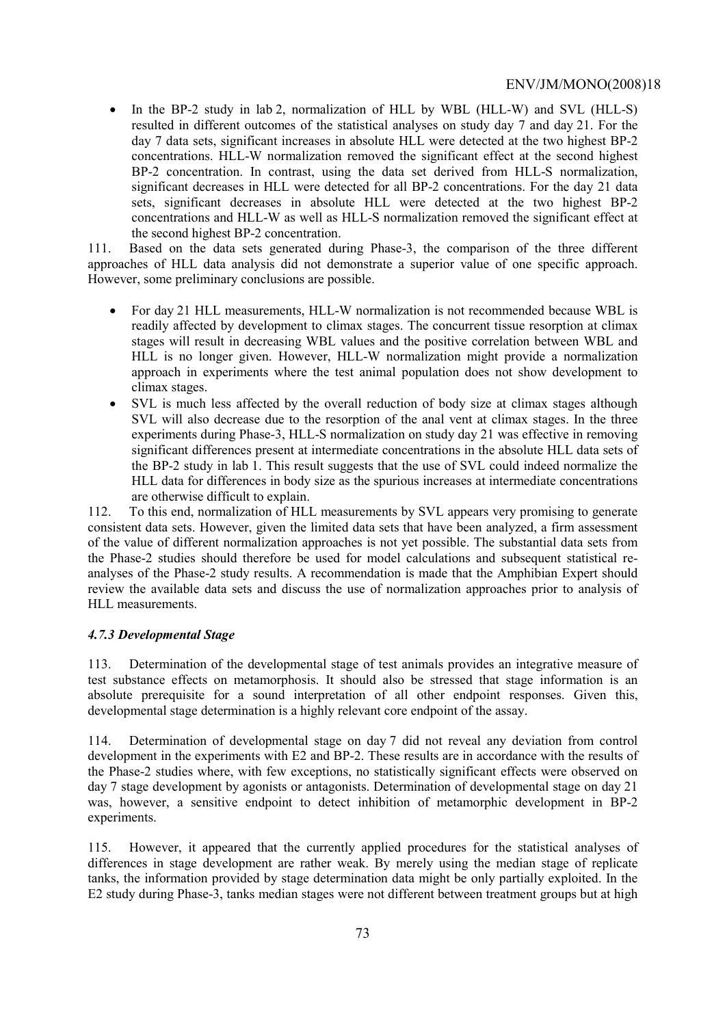• In the BP-2 study in lab 2, normalization of HLL by WBL (HLL-W) and SVL (HLL-S) resulted in different outcomes of the statistical analyses on study day 7 and day 21. For the day 7 data sets, significant increases in absolute HLL were detected at the two highest BP-2 concentrations. HLL-W normalization removed the significant effect at the second highest BP-2 concentration. In contrast, using the data set derived from HLL-S normalization, significant decreases in HLL were detected for all BP-2 concentrations. For the day 21 data sets, significant decreases in absolute HLL were detected at the two highest BP-2 concentrations and HLL-W as well as HLL-S normalization removed the significant effect at the second highest BP-2 concentration.

111. Based on the data sets generated during Phase-3, the comparison of the three different approaches of HLL data analysis did not demonstrate a superior value of one specific approach. However, some preliminary conclusions are possible.

- For day 21 HLL measurements, HLL-W normalization is not recommended because WBL is readily affected by development to climax stages. The concurrent tissue resorption at climax stages will result in decreasing WBL values and the positive correlation between WBL and HLL is no longer given. However, HLL-W normalization might provide a normalization approach in experiments where the test animal population does not show development to climax stages.
- SVL is much less affected by the overall reduction of body size at climax stages although SVL will also decrease due to the resorption of the anal vent at climax stages. In the three experiments during Phase-3, HLL-S normalization on study day 21 was effective in removing significant differences present at intermediate concentrations in the absolute HLL data sets of the BP-2 study in lab 1. This result suggests that the use of SVL could indeed normalize the HLL data for differences in body size as the spurious increases at intermediate concentrations are otherwise difficult to explain.

112. To this end, normalization of HLL measurements by SVL appears very promising to generate consistent data sets. However, given the limited data sets that have been analyzed, a firm assessment of the value of different normalization approaches is not yet possible. The substantial data sets from the Phase-2 studies should therefore be used for model calculations and subsequent statistical reanalyses of the Phase-2 study results. A recommendation is made that the Amphibian Expert should review the available data sets and discuss the use of normalization approaches prior to analysis of HLL measurements.

## *4.7.3 Developmental Stage*

113. Determination of the developmental stage of test animals provides an integrative measure of test substance effects on metamorphosis. It should also be stressed that stage information is an absolute prerequisite for a sound interpretation of all other endpoint responses. Given this, developmental stage determination is a highly relevant core endpoint of the assay.

114. Determination of developmental stage on day 7 did not reveal any deviation from control development in the experiments with E2 and BP-2. These results are in accordance with the results of the Phase-2 studies where, with few exceptions, no statistically significant effects were observed on day 7 stage development by agonists or antagonists. Determination of developmental stage on day 21 was, however, a sensitive endpoint to detect inhibition of metamorphic development in BP-2 experiments.

115. However, it appeared that the currently applied procedures for the statistical analyses of differences in stage development are rather weak. By merely using the median stage of replicate tanks, the information provided by stage determination data might be only partially exploited. In the E2 study during Phase-3, tanks median stages were not different between treatment groups but at high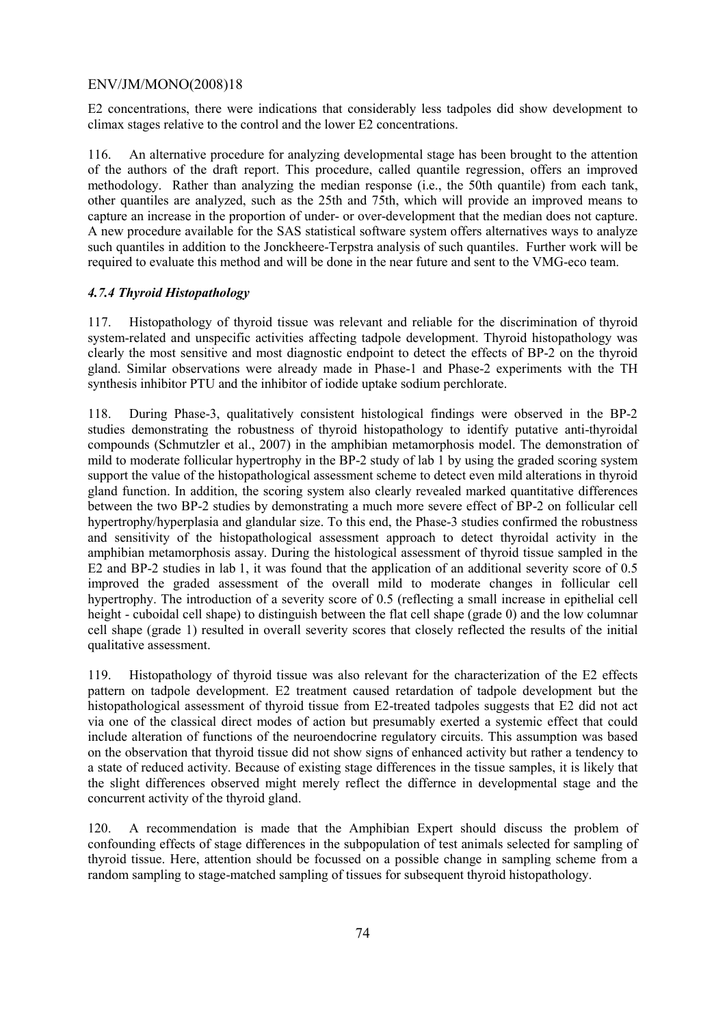E2 concentrations, there were indications that considerably less tadpoles did show development to climax stages relative to the control and the lower E2 concentrations.

116. An alternative procedure for analyzing developmental stage has been brought to the attention of the authors of the draft report. This procedure, called quantile regression, offers an improved methodology. Rather than analyzing the median response (i.e., the 50th quantile) from each tank, other quantiles are analyzed, such as the 25th and 75th, which will provide an improved means to capture an increase in the proportion of under- or over-development that the median does not capture. A new procedure available for the SAS statistical software system offers alternatives ways to analyze such quantiles in addition to the Jonckheere-Terpstra analysis of such quantiles. Further work will be required to evaluate this method and will be done in the near future and sent to the VMG-eco team.

# *4.7.4 Thyroid Histopathology*

117. Histopathology of thyroid tissue was relevant and reliable for the discrimination of thyroid system-related and unspecific activities affecting tadpole development. Thyroid histopathology was clearly the most sensitive and most diagnostic endpoint to detect the effects of BP-2 on the thyroid gland. Similar observations were already made in Phase-1 and Phase-2 experiments with the TH synthesis inhibitor PTU and the inhibitor of iodide uptake sodium perchlorate.

118. During Phase-3, qualitatively consistent histological findings were observed in the BP-2 studies demonstrating the robustness of thyroid histopathology to identify putative anti-thyroidal compounds (Schmutzler et al., 2007) in the amphibian metamorphosis model. The demonstration of mild to moderate follicular hypertrophy in the BP-2 study of lab 1 by using the graded scoring system support the value of the histopathological assessment scheme to detect even mild alterations in thyroid gland function. In addition, the scoring system also clearly revealed marked quantitative differences between the two BP-2 studies by demonstrating a much more severe effect of BP-2 on follicular cell hypertrophy/hyperplasia and glandular size. To this end, the Phase-3 studies confirmed the robustness and sensitivity of the histopathological assessment approach to detect thyroidal activity in the amphibian metamorphosis assay. During the histological assessment of thyroid tissue sampled in the E2 and BP-2 studies in lab 1, it was found that the application of an additional severity score of 0.5 improved the graded assessment of the overall mild to moderate changes in follicular cell hypertrophy. The introduction of a severity score of 0.5 (reflecting a small increase in epithelial cell height - cuboidal cell shape) to distinguish between the flat cell shape (grade 0) and the low columnar cell shape (grade 1) resulted in overall severity scores that closely reflected the results of the initial qualitative assessment.

119. Histopathology of thyroid tissue was also relevant for the characterization of the E2 effects pattern on tadpole development. E2 treatment caused retardation of tadpole development but the histopathological assessment of thyroid tissue from E2-treated tadpoles suggests that E2 did not act via one of the classical direct modes of action but presumably exerted a systemic effect that could include alteration of functions of the neuroendocrine regulatory circuits. This assumption was based on the observation that thyroid tissue did not show signs of enhanced activity but rather a tendency to a state of reduced activity. Because of existing stage differences in the tissue samples, it is likely that the slight differences observed might merely reflect the differnce in developmental stage and the concurrent activity of the thyroid gland.

120. A recommendation is made that the Amphibian Expert should discuss the problem of confounding effects of stage differences in the subpopulation of test animals selected for sampling of thyroid tissue. Here, attention should be focussed on a possible change in sampling scheme from a random sampling to stage-matched sampling of tissues for subsequent thyroid histopathology.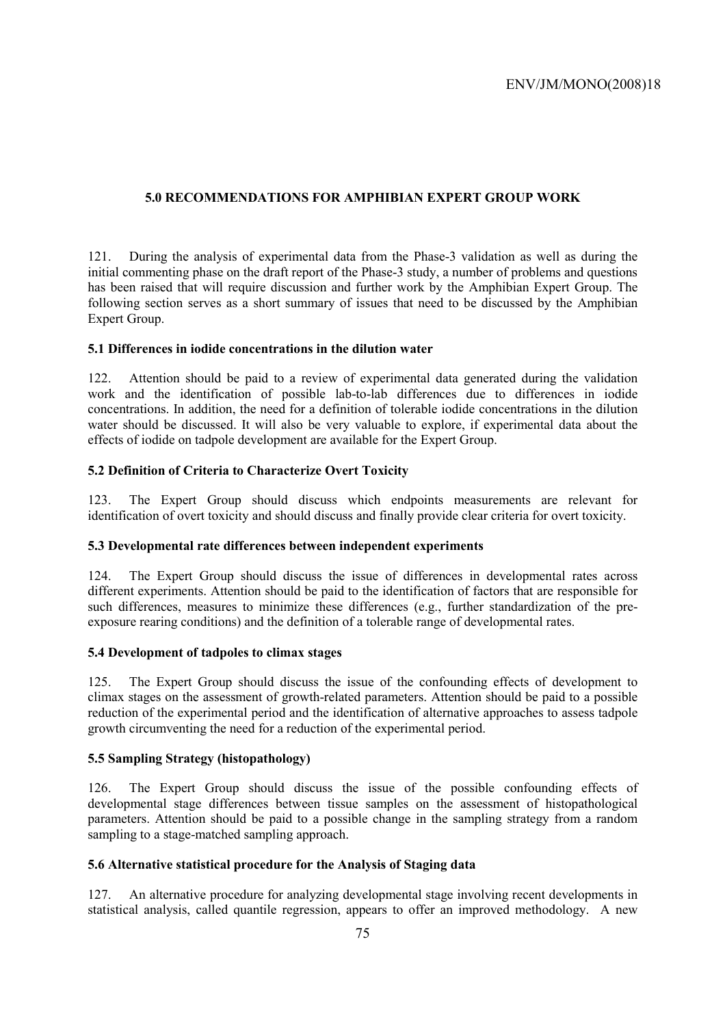# **5.0 RECOMMENDATIONS FOR AMPHIBIAN EXPERT GROUP WORK**

121. During the analysis of experimental data from the Phase-3 validation as well as during the initial commenting phase on the draft report of the Phase-3 study, a number of problems and questions has been raised that will require discussion and further work by the Amphibian Expert Group. The following section serves as a short summary of issues that need to be discussed by the Amphibian Expert Group.

#### **5.1 Differences in iodide concentrations in the dilution water**

122. Attention should be paid to a review of experimental data generated during the validation work and the identification of possible lab-to-lab differences due to differences in iodide concentrations. In addition, the need for a definition of tolerable iodide concentrations in the dilution water should be discussed. It will also be very valuable to explore, if experimental data about the effects of iodide on tadpole development are available for the Expert Group.

## **5.2 Definition of Criteria to Characterize Overt Toxicity**

123. The Expert Group should discuss which endpoints measurements are relevant for identification of overt toxicity and should discuss and finally provide clear criteria for overt toxicity.

#### **5.3 Developmental rate differences between independent experiments**

124. The Expert Group should discuss the issue of differences in developmental rates across different experiments. Attention should be paid to the identification of factors that are responsible for such differences, measures to minimize these differences (e.g., further standardization of the preexposure rearing conditions) and the definition of a tolerable range of developmental rates.

#### **5.4 Development of tadpoles to climax stages**

125. The Expert Group should discuss the issue of the confounding effects of development to climax stages on the assessment of growth-related parameters. Attention should be paid to a possible reduction of the experimental period and the identification of alternative approaches to assess tadpole growth circumventing the need for a reduction of the experimental period.

## **5.5 Sampling Strategy (histopathology)**

126. The Expert Group should discuss the issue of the possible confounding effects of developmental stage differences between tissue samples on the assessment of histopathological parameters. Attention should be paid to a possible change in the sampling strategy from a random sampling to a stage-matched sampling approach.

#### **5.6 Alternative statistical procedure for the Analysis of Staging data**

127. An alternative procedure for analyzing developmental stage involving recent developments in statistical analysis, called quantile regression, appears to offer an improved methodology. A new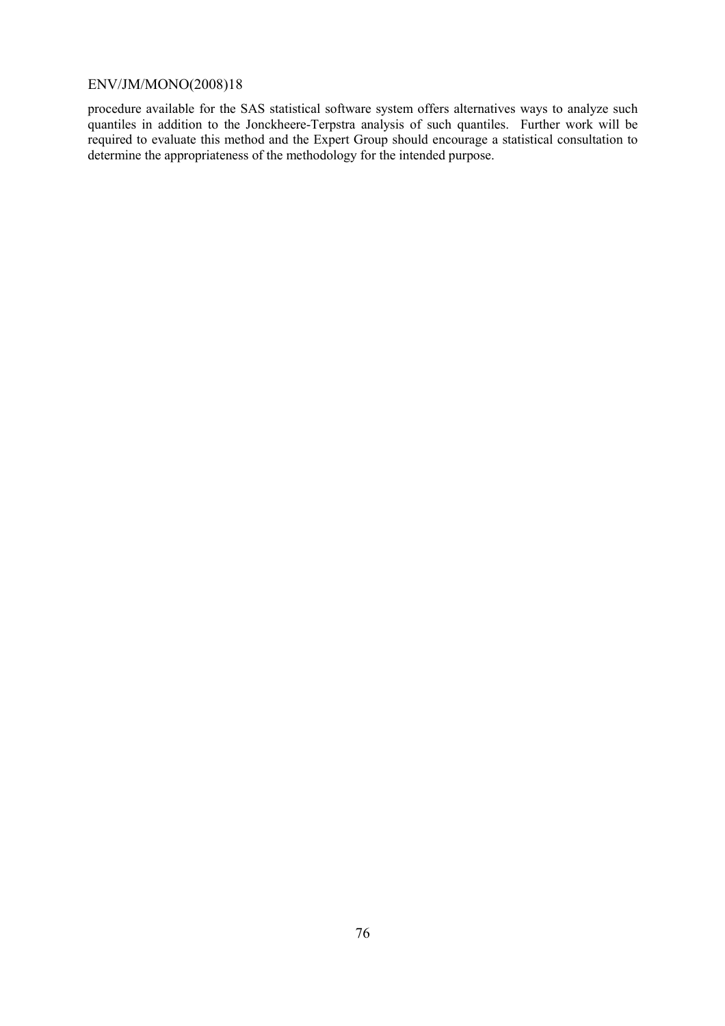procedure available for the SAS statistical software system offers alternatives ways to analyze such quantiles in addition to the Jonckheere-Terpstra analysis of such quantiles. Further work will be required to evaluate this method and the Expert Group should encourage a statistical consultation to determine the appropriateness of the methodology for the intended purpose.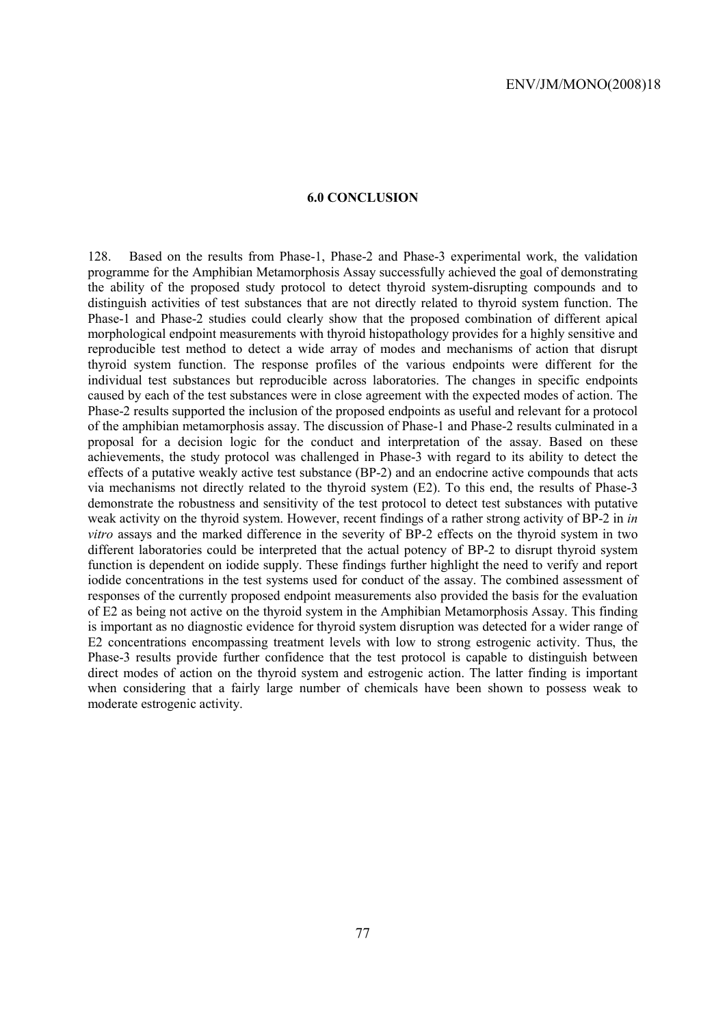#### **6.0 CONCLUSION**

128. Based on the results from Phase-1, Phase-2 and Phase-3 experimental work, the validation programme for the Amphibian Metamorphosis Assay successfully achieved the goal of demonstrating the ability of the proposed study protocol to detect thyroid system-disrupting compounds and to distinguish activities of test substances that are not directly related to thyroid system function. The Phase-1 and Phase-2 studies could clearly show that the proposed combination of different apical morphological endpoint measurements with thyroid histopathology provides for a highly sensitive and reproducible test method to detect a wide array of modes and mechanisms of action that disrupt thyroid system function. The response profiles of the various endpoints were different for the individual test substances but reproducible across laboratories. The changes in specific endpoints caused by each of the test substances were in close agreement with the expected modes of action. The Phase-2 results supported the inclusion of the proposed endpoints as useful and relevant for a protocol of the amphibian metamorphosis assay. The discussion of Phase-1 and Phase-2 results culminated in a proposal for a decision logic for the conduct and interpretation of the assay. Based on these achievements, the study protocol was challenged in Phase-3 with regard to its ability to detect the effects of a putative weakly active test substance (BP-2) and an endocrine active compounds that acts via mechanisms not directly related to the thyroid system (E2). To this end, the results of Phase-3 demonstrate the robustness and sensitivity of the test protocol to detect test substances with putative weak activity on the thyroid system. However, recent findings of a rather strong activity of BP-2 in *in vitro* assays and the marked difference in the severity of BP-2 effects on the thyroid system in two different laboratories could be interpreted that the actual potency of BP-2 to disrupt thyroid system function is dependent on iodide supply. These findings further highlight the need to verify and report iodide concentrations in the test systems used for conduct of the assay. The combined assessment of responses of the currently proposed endpoint measurements also provided the basis for the evaluation of E2 as being not active on the thyroid system in the Amphibian Metamorphosis Assay. This finding is important as no diagnostic evidence for thyroid system disruption was detected for a wider range of E2 concentrations encompassing treatment levels with low to strong estrogenic activity. Thus, the Phase-3 results provide further confidence that the test protocol is capable to distinguish between direct modes of action on the thyroid system and estrogenic action. The latter finding is important when considering that a fairly large number of chemicals have been shown to possess weak to moderate estrogenic activity.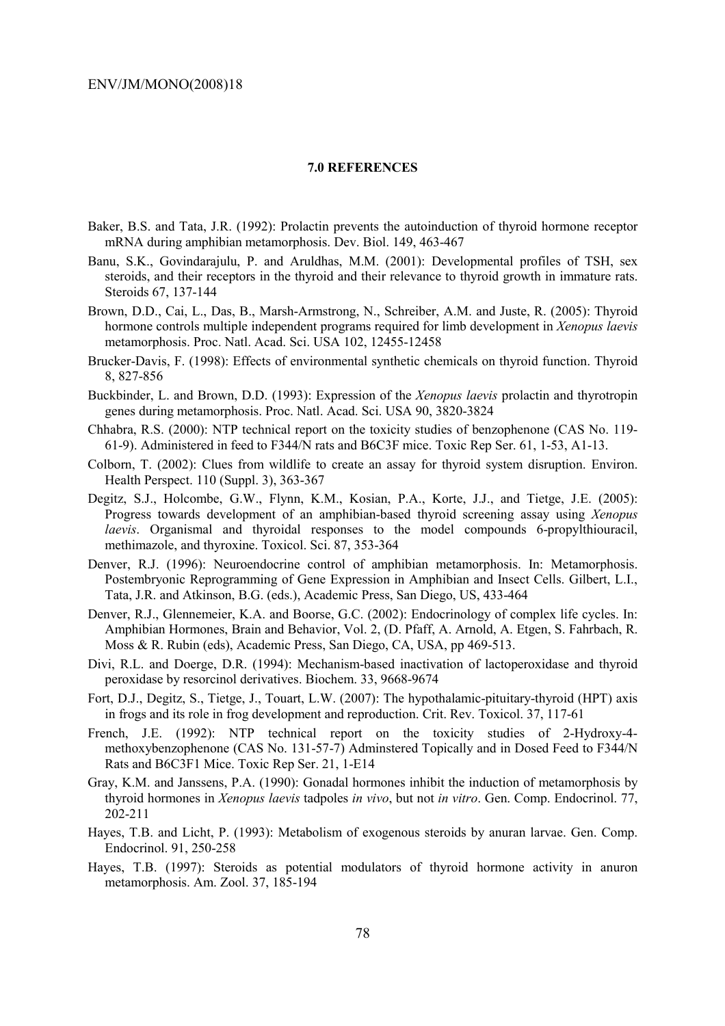#### **7.0 REFERENCES**

- Baker, B.S. and Tata, J.R. (1992): Prolactin prevents the autoinduction of thyroid hormone receptor mRNA during amphibian metamorphosis. Dev. Biol. 149, 463-467
- Banu, S.K., Govindarajulu, P. and Aruldhas, M.M. (2001): Developmental profiles of TSH, sex steroids, and their receptors in the thyroid and their relevance to thyroid growth in immature rats. Steroids 67, 137-144
- Brown, D.D., Cai, L., Das, B., Marsh-Armstrong, N., Schreiber, A.M. and Juste, R. (2005): Thyroid hormone controls multiple independent programs required for limb development in *Xenopus laevis* metamorphosis. Proc. Natl. Acad. Sci. USA 102, 12455-12458
- Brucker-Davis, F. (1998): Effects of environmental synthetic chemicals on thyroid function. Thyroid 8, 827-856
- Buckbinder, L. and Brown, D.D. (1993): Expression of the *Xenopus laevis* prolactin and thyrotropin genes during metamorphosis. Proc. Natl. Acad. Sci. USA 90, 3820-3824
- Chhabra, R.S. (2000): NTP technical report on the toxicity studies of benzophenone (CAS No. 119- 61-9). Administered in feed to F344/N rats and B6C3F mice. Toxic Rep Ser. 61, 1-53, A1-13.
- Colborn, T. (2002): Clues from wildlife to create an assay for thyroid system disruption. Environ. Health Perspect. 110 (Suppl. 3), 363-367
- Degitz, S.J., Holcombe, G.W., Flynn, K.M., Kosian, P.A., Korte, J.J., and Tietge, J.E. (2005): Progress towards development of an amphibian-based thyroid screening assay using *Xenopus laevis*. Organismal and thyroidal responses to the model compounds 6-propylthiouracil, methimazole, and thyroxine. Toxicol. Sci. 87, 353-364
- Denver, R.J. (1996): Neuroendocrine control of amphibian metamorphosis. In: Metamorphosis. Postembryonic Reprogramming of Gene Expression in Amphibian and Insect Cells. Gilbert, L.I., Tata, J.R. and Atkinson, B.G. (eds.), Academic Press, San Diego, US, 433-464
- Denver, R.J., Glennemeier, K.A. and Boorse, G.C. (2002): Endocrinology of complex life cycles. In: Amphibian Hormones, Brain and Behavior, Vol. 2, (D. Pfaff, A. Arnold, A. Etgen, S. Fahrbach, R. Moss & R. Rubin (eds), Academic Press, San Diego, CA, USA, pp 469-513.
- Divi, R.L. and Doerge, D.R. (1994): Mechanism-based inactivation of lactoperoxidase and thyroid peroxidase by resorcinol derivatives. Biochem. 33, 9668-9674
- Fort, D.J., Degitz, S., Tietge, J., Touart, L.W. (2007): The hypothalamic-pituitary-thyroid (HPT) axis in frogs and its role in frog development and reproduction. Crit. Rev. Toxicol. 37, 117-61
- French, J.E. (1992): NTP technical report on the toxicity studies of 2-Hydroxy-4 methoxybenzophenone (CAS No. 131-57-7) Adminstered Topically and in Dosed Feed to F344/N Rats and B6C3F1 Mice. Toxic Rep Ser. 21, 1-E14
- Gray, K.M. and Janssens, P.A. (1990): Gonadal hormones inhibit the induction of metamorphosis by thyroid hormones in *Xenopus laevis* tadpoles *in vivo*, but not *in vitro*. Gen. Comp. Endocrinol. 77, 202-211
- Hayes, T.B. and Licht, P. (1993): Metabolism of exogenous steroids by anuran larvae. Gen. Comp. Endocrinol. 91, 250-258
- Hayes, T.B. (1997): Steroids as potential modulators of thyroid hormone activity in anuron metamorphosis. Am. Zool. 37, 185-194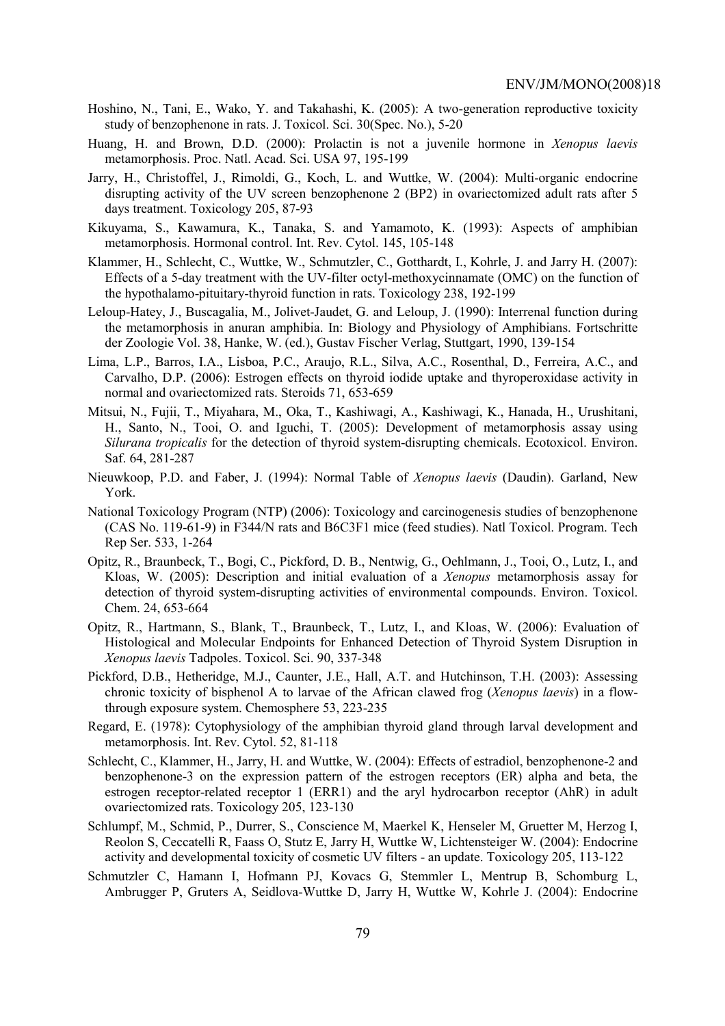- Hoshino, N., Tani, E., Wako, Y. and Takahashi, K. (2005): A two-generation reproductive toxicity study of benzophenone in rats. J. Toxicol. Sci. 30(Spec. No.), 5-20
- Huang, H. and Brown, D.D. (2000): Prolactin is not a juvenile hormone in *Xenopus laevis*  metamorphosis. Proc. Natl. Acad. Sci. USA 97, 195-199
- Jarry, H., Christoffel, J., Rimoldi, G., Koch, L. and Wuttke, W. (2004): Multi-organic endocrine disrupting activity of the UV screen benzophenone 2 (BP2) in ovariectomized adult rats after 5 days treatment. Toxicology 205, 87-93
- Kikuyama, S., Kawamura, K., Tanaka, S. and Yamamoto, K. (1993): Aspects of amphibian metamorphosis. Hormonal control. Int. Rev. Cytol. 145, 105-148
- Klammer, H., Schlecht, C., Wuttke, W., Schmutzler, C., Gotthardt, I., Kohrle, J. and Jarry H. (2007): Effects of a 5-day treatment with the UV-filter octyl-methoxycinnamate (OMC) on the function of the hypothalamo-pituitary-thyroid function in rats. Toxicology 238, 192-199
- Leloup-Hatey, J., Buscagalia, M., Jolivet-Jaudet, G. and Leloup, J. (1990): Interrenal function during the metamorphosis in anuran amphibia. In: Biology and Physiology of Amphibians. Fortschritte der Zoologie Vol. 38, Hanke, W. (ed.), Gustav Fischer Verlag, Stuttgart, 1990, 139-154
- Lima, L.P., Barros, I.A., Lisboa, P.C., Araujo, R.L., Silva, A.C., Rosenthal, D., Ferreira, A.C., and Carvalho, D.P. (2006): Estrogen effects on thyroid iodide uptake and thyroperoxidase activity in normal and ovariectomized rats. Steroids 71, 653-659
- Mitsui, N., Fujii, T., Miyahara, M., Oka, T., Kashiwagi, A., Kashiwagi, K., Hanada, H., Urushitani, H., Santo, N., Tooi, O. and Iguchi, T. (2005): Development of metamorphosis assay using *Silurana tropicalis* for the detection of thyroid system-disrupting chemicals. Ecotoxicol. Environ. Saf. 64, 281-287
- Nieuwkoop, P.D. and Faber, J. (1994): Normal Table of *Xenopus laevis* (Daudin). Garland, New York.
- National Toxicology Program (NTP) (2006): Toxicology and carcinogenesis studies of benzophenone (CAS No. 119-61-9) in F344/N rats and B6C3F1 mice (feed studies). Natl Toxicol. Program. Tech Rep Ser. 533, 1-264
- Opitz, R., Braunbeck, T., Bogi, C., Pickford, D. B., Nentwig, G., Oehlmann, J., Tooi, O., Lutz, I., and Kloas, W. (2005): Description and initial evaluation of a *Xenopus* metamorphosis assay for detection of thyroid system-disrupting activities of environmental compounds. Environ. Toxicol. Chem. 24, 653-664
- Opitz, R., Hartmann, S., Blank, T., Braunbeck, T., Lutz, I., and Kloas, W. (2006): Evaluation of Histological and Molecular Endpoints for Enhanced Detection of Thyroid System Disruption in *Xenopus laevis* Tadpoles. Toxicol. Sci. 90, 337-348
- Pickford, D.B., Hetheridge, M.J., Caunter, J.E., Hall, A.T. and Hutchinson, T.H. (2003): Assessing chronic toxicity of bisphenol A to larvae of the African clawed frog (*Xenopus laevis*) in a flowthrough exposure system. Chemosphere 53, 223-235
- Regard, E. (1978): Cytophysiology of the amphibian thyroid gland through larval development and metamorphosis. Int. Rev. Cytol. 52, 81-118
- Schlecht, C., Klammer, H., Jarry, H. and Wuttke, W. (2004): Effects of estradiol, benzophenone-2 and benzophenone-3 on the expression pattern of the estrogen receptors (ER) alpha and beta, the estrogen receptor-related receptor 1 (ERR1) and the aryl hydrocarbon receptor (AhR) in adult ovariectomized rats. Toxicology 205, 123-130
- Schlumpf, M., Schmid, P., Durrer, S., Conscience M, Maerkel K, Henseler M, Gruetter M, Herzog I, Reolon S, Ceccatelli R, Faass O, Stutz E, Jarry H, Wuttke W, Lichtensteiger W. (2004): Endocrine activity and developmental toxicity of cosmetic UV filters - an update. Toxicology 205, 113-122
- Schmutzler C, Hamann I, Hofmann PJ, Kovacs G, Stemmler L, Mentrup B, Schomburg L, Ambrugger P, Gruters A, Seidlova-Wuttke D, Jarry H, Wuttke W, Kohrle J. (2004): Endocrine